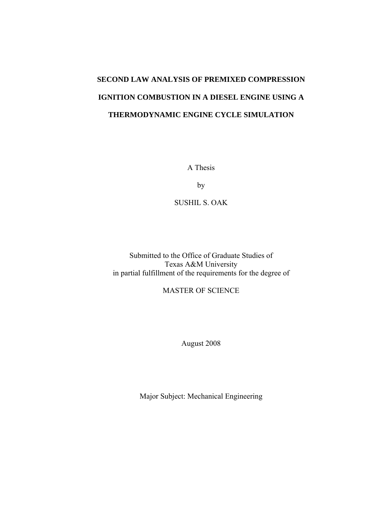# **SECOND LAW ANALYSIS OF PREMIXED COMPRESSION IGNITION COMBUSTION IN A DIESEL ENGINE USING A THERMODYNAMIC ENGINE CYCLE SIMULATION**

A Thesis

by

SUSHIL S. OAK

Submitted to the Office of Graduate Studies of Texas A&M University in partial fulfillment of the requirements for the degree of

MASTER OF SCIENCE

August 2008

Major Subject: Mechanical Engineering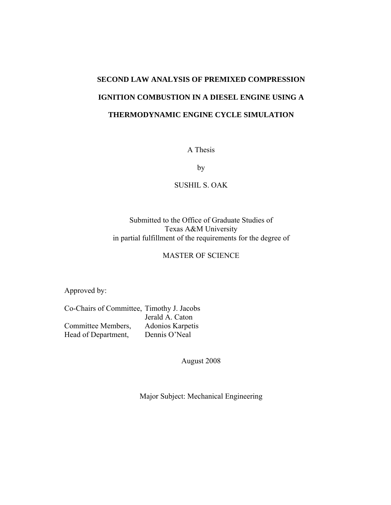# **SECOND LAW ANALYSIS OF PREMIXED COMPRESSION IGNITION COMBUSTION IN A DIESEL ENGINE USING A THERMODYNAMIC ENGINE CYCLE SIMULATION**

A Thesis

by

#### SUSHIL S. OAK

### Submitted to the Office of Graduate Studies of Texas A&M University in partial fulfillment of the requirements for the degree of

### MASTER OF SCIENCE

Approved by:

Co-Chairs of Committee, Timothy J. Jacobs Jerald A. Caton Committee Members, Adonios Karpetis Head of Department, Dennis O'Neal

August 2008

Major Subject: Mechanical Engineering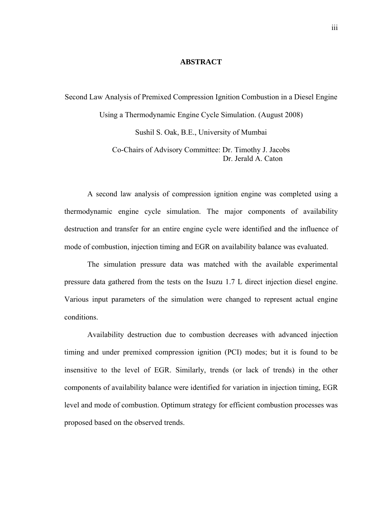#### **ABSTRACT**

Second Law Analysis of Premixed Compression Ignition Combustion in a Diesel Engine Using a Thermodynamic Engine Cycle Simulation. (August 2008)

Sushil S. Oak, B.E., University of Mumbai

Co-Chairs of Advisory Committee: Dr. Timothy J. Jacobs Dr. Jerald A. Caton

 A second law analysis of compression ignition engine was completed using a thermodynamic engine cycle simulation. The major components of availability destruction and transfer for an entire engine cycle were identified and the influence of mode of combustion, injection timing and EGR on availability balance was evaluated.

The simulation pressure data was matched with the available experimental pressure data gathered from the tests on the Isuzu 1.7 L direct injection diesel engine. Various input parameters of the simulation were changed to represent actual engine conditions.

Availability destruction due to combustion decreases with advanced injection timing and under premixed compression ignition (PCI) modes; but it is found to be insensitive to the level of EGR. Similarly, trends (or lack of trends) in the other components of availability balance were identified for variation in injection timing, EGR level and mode of combustion. Optimum strategy for efficient combustion processes was proposed based on the observed trends.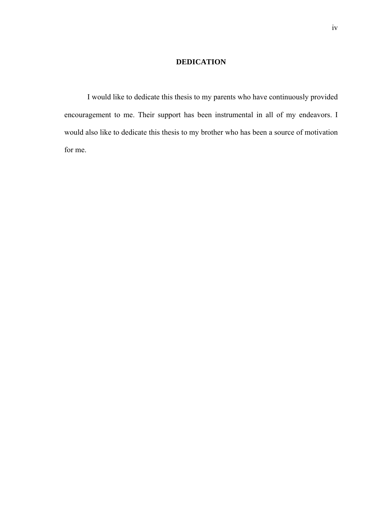### **DEDICATION**

I would like to dedicate this thesis to my parents who have continuously provided encouragement to me. Their support has been instrumental in all of my endeavors. I would also like to dedicate this thesis to my brother who has been a source of motivation for me.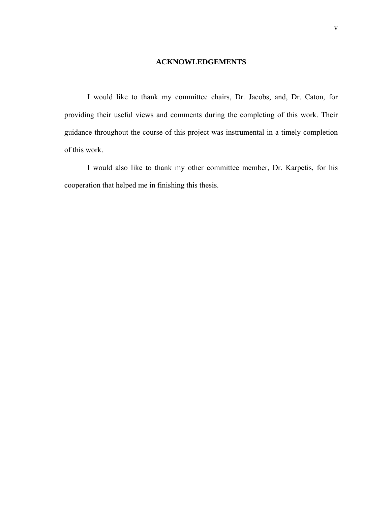#### **ACKNOWLEDGEMENTS**

I would like to thank my committee chairs, Dr. Jacobs, and, Dr. Caton, for providing their useful views and comments during the completing of this work. Their guidance throughout the course of this project was instrumental in a timely completion of this work.

I would also like to thank my other committee member, Dr. Karpetis, for his cooperation that helped me in finishing this thesis.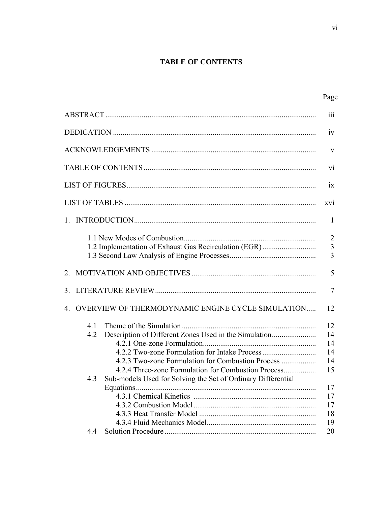## **TABLE OF CONTENTS**

|                                                                                                                                                                              | Page                                  |
|------------------------------------------------------------------------------------------------------------------------------------------------------------------------------|---------------------------------------|
|                                                                                                                                                                              | 111                                   |
|                                                                                                                                                                              | 1V                                    |
|                                                                                                                                                                              | V                                     |
|                                                                                                                                                                              | $\overline{vi}$                       |
|                                                                                                                                                                              | 1X                                    |
|                                                                                                                                                                              | XV1                                   |
|                                                                                                                                                                              | -1                                    |
| 1.2 Implementation of Exhaust Gas Recirculation (EGR)                                                                                                                        | $\overline{2}$<br>$\mathfrak{Z}$<br>3 |
|                                                                                                                                                                              | 5                                     |
|                                                                                                                                                                              | 7                                     |
| 4. OVERVIEW OF THERMODYNAMIC ENGINE CYCLE SIMULATION                                                                                                                         | 12                                    |
| 4.1<br>4.2                                                                                                                                                                   | 12<br>14<br>14<br>14                  |
| 4.2.3 Two-zone Formulation for Combustion Process<br>4.2.4 Three-zone Formulation for Combustion Process<br>4.3 Sub-models Used for Solving the Set of Ordinary Differential | 14<br>15                              |
|                                                                                                                                                                              | 17<br>17<br>17<br>18                  |
|                                                                                                                                                                              | 19<br>20                              |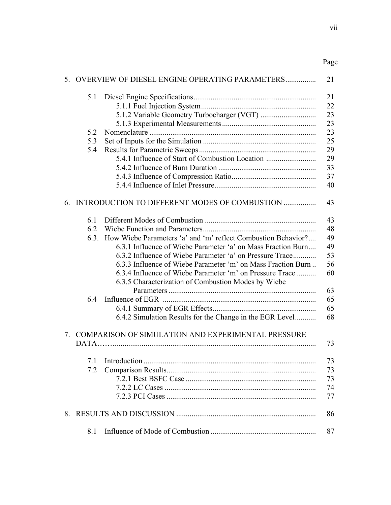|    |      | 5. OVERVIEW OF DIESEL ENGINE OPERATING PARAMETERS                                                               | 21 |
|----|------|-----------------------------------------------------------------------------------------------------------------|----|
|    | 5.1  |                                                                                                                 | 21 |
|    |      |                                                                                                                 | 22 |
|    |      |                                                                                                                 | 23 |
|    |      |                                                                                                                 | 23 |
|    | 5.2  |                                                                                                                 | 23 |
|    | 5.3  |                                                                                                                 | 25 |
|    | 5.4  |                                                                                                                 | 29 |
|    |      | 5.4.1 Influence of Start of Combustion Location                                                                 | 29 |
|    |      |                                                                                                                 | 33 |
|    |      |                                                                                                                 | 37 |
|    |      |                                                                                                                 | 40 |
|    |      | 6. INTRODUCTION TO DIFFERENT MODES OF COMBUSTION                                                                | 43 |
|    | 6.1  |                                                                                                                 | 43 |
|    | 6.2  |                                                                                                                 | 48 |
|    | 6.3. | How Wiebe Parameters 'a' and 'm' reflect Combustion Behavior?                                                   | 49 |
|    |      | 6.3.1 Influence of Wiebe Parameter 'a' on Mass Fraction Burn                                                    | 49 |
|    |      | 6.3.2 Influence of Wiebe Parameter 'a' on Pressure Trace                                                        | 53 |
|    |      | 6.3.3 Influence of Wiebe Parameter 'm' on Mass Fraction Burn                                                    | 56 |
|    |      | 6.3.4 Influence of Wiebe Parameter 'm' on Pressure Trace<br>6.3.5 Characterization of Combustion Modes by Wiebe | 60 |
|    |      |                                                                                                                 | 63 |
|    | 6.4  |                                                                                                                 | 65 |
|    |      |                                                                                                                 | 65 |
|    |      | 6.4.2 Simulation Results for the Change in the EGR Level                                                        | 68 |
| 7  |      | COMPARISON OF SIMULATION AND EXPERIMENTAL PRESSURE                                                              | 73 |
|    |      |                                                                                                                 |    |
|    |      | 7.1 Introduction                                                                                                | 73 |
|    | 7.2  |                                                                                                                 | 73 |
|    |      |                                                                                                                 | 73 |
|    |      |                                                                                                                 | 74 |
|    |      |                                                                                                                 | 77 |
| 8. |      |                                                                                                                 | 86 |
|    | 8.1  |                                                                                                                 | 87 |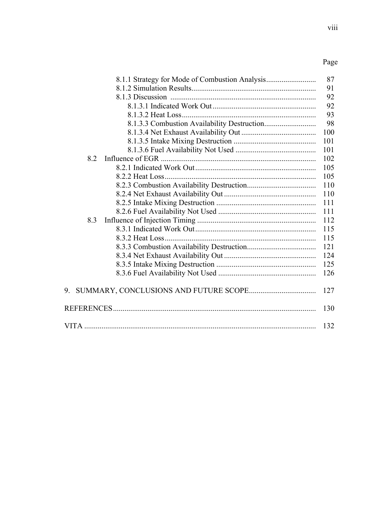### Page and the state of the state of the state of the state of the state of the state of the state of the state of the state of the state of the state of the state of the state of the state of the state of the state of the s

| 8.1.1 Strategy for Mode of Combustion Analysis | 87  |
|------------------------------------------------|-----|
|                                                | 91  |
|                                                | 92  |
|                                                | 92  |
|                                                | 93  |
|                                                | 98  |
|                                                | 100 |
|                                                | 101 |
|                                                | 101 |
| 8.2                                            | 102 |
|                                                | 105 |
|                                                | 105 |
|                                                | 110 |
|                                                | 110 |
|                                                | 111 |
|                                                | 111 |
| 8.3                                            | 112 |
|                                                | 115 |
|                                                | 115 |
|                                                | 121 |
|                                                | 124 |
|                                                | 125 |
|                                                | 126 |
| 9.                                             | 127 |
|                                                | 130 |
|                                                | 132 |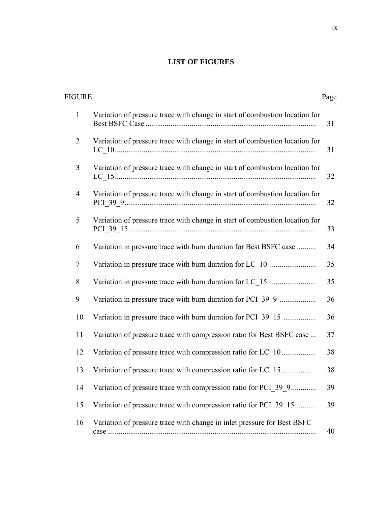### **LIST OF FIGURES**

| <b>FIGURE</b>  |                                                                                           | Page |
|----------------|-------------------------------------------------------------------------------------------|------|
| $\mathbf{1}$   | Variation of pressure trace with change in start of combustion location for               | 31   |
| $\overline{2}$ | Variation of pressure trace with change in start of combustion location for               | 31   |
| 3              | Variation of pressure trace with change in start of combustion location for               | 32   |
| $\overline{4}$ | Variation of pressure trace with change in start of combustion location for               | 32   |
| 5              | Variation of pressure trace with change in start of combustion location for               | 33   |
| 6              | Variation in pressure trace with burn duration for Best BSFC case                         | 34   |
| $\tau$         | Variation in pressure trace with burn duration for LC 10                                  | 35   |
| 8              |                                                                                           | 35   |
| 9              | Variation in pressure trace with burn duration for PCI_39_9                               | 36   |
| 10             | Variation in pressure trace with burn duration for PCI_39_15                              | 36   |
| 11             | Variation of pressure trace with compression ratio for Best BSFC case                     | 37   |
| 12             | Variation of pressure trace with compression ratio for LC_10                              | 38   |
| 13             | Variation of pressure trace with compression ratio for LC 15                              | 38   |
| 14             | Variation of pressure trace with compression ratio for PCI 39 9                           | 39   |
| 15             | Variation of pressure trace with compression ratio for PCI_39_15                          | 39   |
| 16             | Variation of pressure trace with change in inlet pressure for Best BSFC<br>$case \dots 1$ | 40   |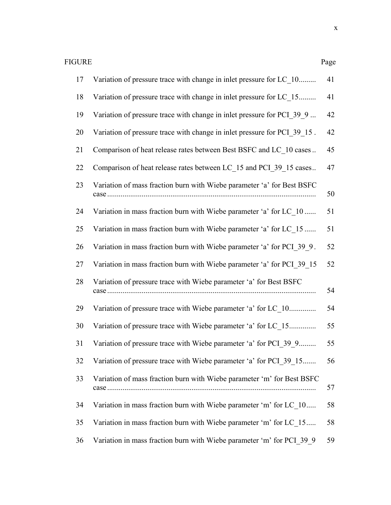| 17 | Variation of pressure trace with change in inlet pressure for LC 10      | 41 |
|----|--------------------------------------------------------------------------|----|
| 18 | Variation of pressure trace with change in inlet pressure for LC 15      | 41 |
| 19 | Variation of pressure trace with change in inlet pressure for PCI 39 9   | 42 |
| 20 | Variation of pressure trace with change in inlet pressure for PCI 39 15. | 42 |
| 21 | Comparison of heat release rates between Best BSFC and LC 10 cases       | 45 |
| 22 | Comparison of heat release rates between LC 15 and PCI 39 15 cases       | 47 |
| 23 | Variation of mass fraction burn with Wiebe parameter 'a' for Best BSFC   | 50 |
| 24 | Variation in mass fraction burn with Wiebe parameter 'a' for LC 10       | 51 |
| 25 | Variation in mass fraction burn with Wiebe parameter 'a' for LC 15       | 51 |
| 26 | Variation in mass fraction burn with Wiebe parameter 'a' for PCI 39 9.   | 52 |
| 27 | Variation in mass fraction burn with Wiebe parameter 'a' for PCI 39 15   | 52 |
| 28 | Variation of pressure trace with Wiebe parameter 'a' for Best BSFC       | 54 |
| 29 | Variation of pressure trace with Wiebe parameter 'a' for LC 10           | 54 |
| 30 | Variation of pressure trace with Wiebe parameter 'a' for LC 15           | 55 |
| 31 | Variation of pressure trace with Wiebe parameter 'a' for PCI 39 9        | 55 |
| 32 | Variation of pressure trace with Wiebe parameter 'a' for PCI 39 15       | 56 |
| 33 | Variation of mass fraction burn with Wiebe parameter 'm' for Best BSFC   | 57 |
| 34 | Variation in mass fraction burn with Wiebe parameter 'm' for LC 10       | 58 |
| 35 | Variation in mass fraction burn with Wiebe parameter 'm' for LC 15       | 58 |
| 36 | Variation in mass fraction burn with Wiebe parameter 'm' for PCI 39 9    | 59 |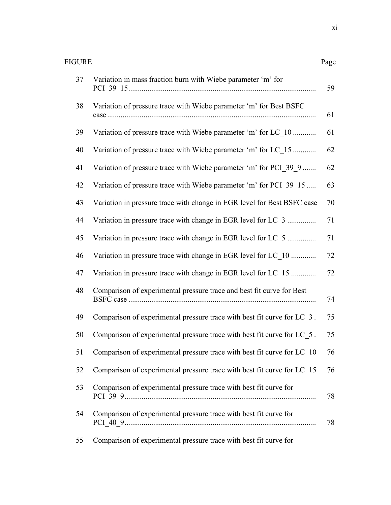| FIGURE<br>Page |                                                                         |    |
|----------------|-------------------------------------------------------------------------|----|
| 37             | Variation in mass fraction burn with Wiebe parameter 'm' for            | 59 |
| 38             | Variation of pressure trace with Wiebe parameter 'm' for Best BSFC      | 61 |
| 39             | Variation of pressure trace with Wiebe parameter 'm' for LC 10          | 61 |
| 40             | Variation of pressure trace with Wiebe parameter 'm' for LC 15          | 62 |
| 41             | Variation of pressure trace with Wiebe parameter 'm' for PCI_39_9       | 62 |
| 42             | Variation of pressure trace with Wiebe parameter 'm' for PCI 39 15      | 63 |
| 43             | Variation in pressure trace with change in EGR level for Best BSFC case | 70 |
| 44             | Variation in pressure trace with change in EGR level for LC 3           | 71 |
| 45             | Variation in pressure trace with change in EGR level for LC 5           | 71 |
| 46             | Variation in pressure trace with change in EGR level for LC 10          | 72 |
| 47             | Variation in pressure trace with change in EGR level for LC 15          | 72 |
| 48             | Comparison of experimental pressure trace and best fit curve for Best   | 74 |
| 49             | Comparison of experimental pressure trace with best fit curve for LC_3. | 75 |
| 50             | Comparison of experimental pressure trace with best fit curve for LC 5. | 75 |
| 51             | Comparison of experimental pressure trace with best fit curve for LC_10 | 76 |
| 52             | Comparison of experimental pressure trace with best fit curve for LC 15 | 76 |
| 53             | Comparison of experimental pressure trace with best fit curve for       | 78 |
| 54             | Comparison of experimental pressure trace with best fit curve for       | 78 |
| 55             | Comparison of experimental pressure trace with best fit curve for       |    |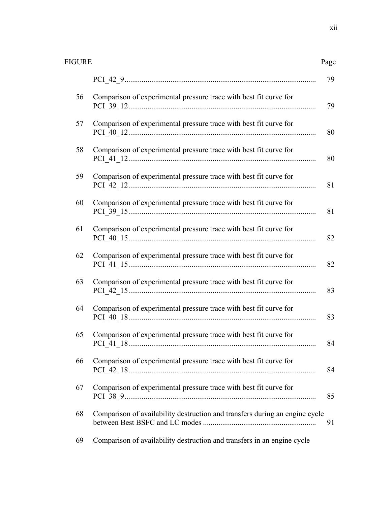| <b>FIGURE</b> |                                                                             |    |
|---------------|-----------------------------------------------------------------------------|----|
|               |                                                                             | 79 |
| 56            | Comparison of experimental pressure trace with best fit curve for           | 79 |
| 57            | Comparison of experimental pressure trace with best fit curve for           | 80 |
| 58            | Comparison of experimental pressure trace with best fit curve for           | 80 |
| 59            | Comparison of experimental pressure trace with best fit curve for           | 81 |
| 60            | Comparison of experimental pressure trace with best fit curve for           | 81 |
| 61            | Comparison of experimental pressure trace with best fit curve for           | 82 |
| 62            | Comparison of experimental pressure trace with best fit curve for           | 82 |
| 63            | Comparison of experimental pressure trace with best fit curve for           | 83 |
| 64            | Comparison of experimental pressure trace with best fit curve for           | 83 |
| 65            | Comparison of experimental pressure trace with best fit curve for           | 84 |
| 66            | Comparison of experimental pressure trace with best fit curve for           | 84 |
| 67            | Comparison of experimental pressure trace with best fit curve for           | 85 |
| 68            | Comparison of availability destruction and transfers during an engine cycle | 91 |

69 Comparison of availability destruction and transfers in an engine cycle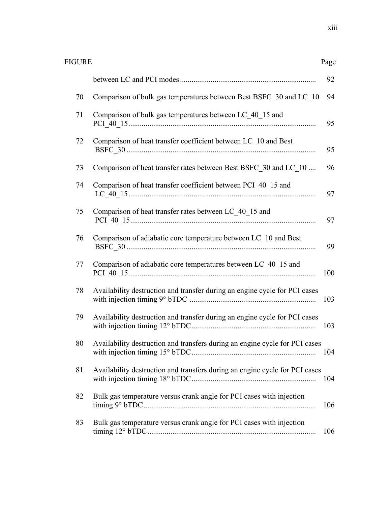| <b>FIGURE</b> | Page |
|---------------|------|
|---------------|------|

|    |                                                                             | 92  |
|----|-----------------------------------------------------------------------------|-----|
| 70 | Comparison of bulk gas temperatures between Best BSFC 30 and LC 10          | 94  |
| 71 | Comparison of bulk gas temperatures between LC 40 15 and                    | 95  |
| 72 | Comparison of heat transfer coefficient between LC 10 and Best              | 95  |
| 73 | Comparison of heat transfer rates between Best BSFC 30 and LC 10            | 96  |
| 74 | Comparison of heat transfer coefficient between PCI_40_15 and               | 97  |
| 75 | Comparison of heat transfer rates between LC 40 15 and                      | 97  |
| 76 | Comparison of adiabatic core temperature between LC 10 and Best             | 99  |
| 77 | Comparison of adiabatic core temperatures between LC 40 15 and              | 100 |
| 78 | Availability destruction and transfer during an engine cycle for PCI cases  | 103 |
| 79 | Availability destruction and transfer during an engine cycle for PCI cases  | 103 |
| 80 | Availability destruction and transfers during an engine cycle for PCI cases | 104 |
| 81 | Availability destruction and transfers during an engine cycle for PCI cases | 104 |
| 82 | Bulk gas temperature versus crank angle for PCI cases with injection        | 106 |
| 83 | Bulk gas temperature versus crank angle for PCI cases with injection        | 106 |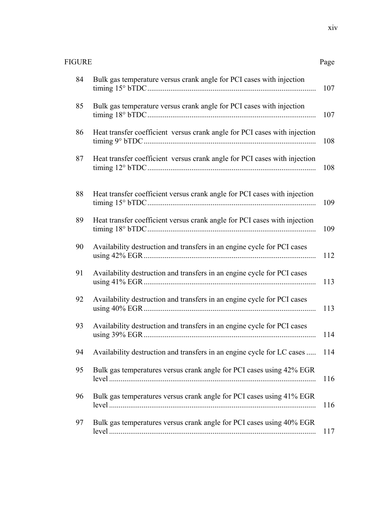| <b>FIGURE</b><br>Page |                                                                           |     |
|-----------------------|---------------------------------------------------------------------------|-----|
| 84                    | Bulk gas temperature versus crank angle for PCI cases with injection      | 107 |
| 85                    | Bulk gas temperature versus crank angle for PCI cases with injection      | 107 |
| 86                    | Heat transfer coefficient versus crank angle for PCI cases with injection | 108 |
| 87                    | Heat transfer coefficient versus crank angle for PCI cases with injection | 108 |
| 88                    | Heat transfer coefficient versus crank angle for PCI cases with injection | 109 |
| 89                    | Heat transfer coefficient versus crank angle for PCI cases with injection | 109 |
| 90                    | Availability destruction and transfers in an engine cycle for PCI cases   | 112 |
| 91                    | Availability destruction and transfers in an engine cycle for PCI cases   | 113 |
| 92                    | Availability destruction and transfers in an engine cycle for PCI cases   | 113 |
| 93                    | Availability destruction and transfers in an engine cycle for PCI cases   | 114 |
| 94                    | Availability destruction and transfers in an engine cycle for LC cases    | 114 |
| 95                    | Bulk gas temperatures versus crank angle for PCI cases using 42% EGR      | 116 |
| 96                    | Bulk gas temperatures versus crank angle for PCI cases using 41% EGR      | 116 |
| 97                    | Bulk gas temperatures versus crank angle for PCI cases using 40% EGR      | 117 |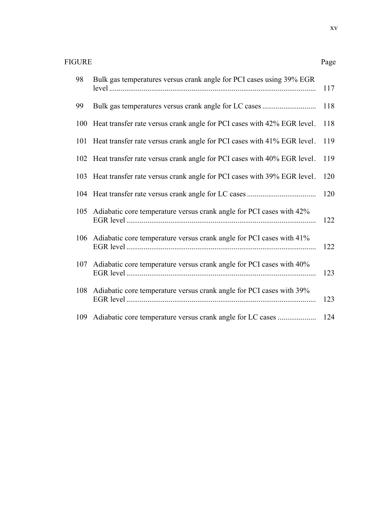| 98  | Bulk gas temperatures versus crank angle for PCI cases using 39% EGR        | 117 |
|-----|-----------------------------------------------------------------------------|-----|
| 99  | Bulk gas temperatures versus crank angle for LC cases                       | 118 |
| 100 | Heat transfer rate versus crank angle for PCI cases with 42% EGR level.     | 118 |
|     | 101 Heat transfer rate versus crank angle for PCI cases with 41% EGR level. | 119 |
| 102 | Heat transfer rate versus crank angle for PCI cases with 40% EGR level.     | 119 |
| 103 | Heat transfer rate versus crank angle for PCI cases with 39% EGR level.     | 120 |
|     |                                                                             | 120 |
|     | 105 Adiabatic core temperature versus crank angle for PCI cases with 42%    | 122 |
|     | 106 Adiabatic core temperature versus crank angle for PCI cases with 41%    | 122 |
| 107 | Adiabatic core temperature versus crank angle for PCI cases with 40%        | 123 |
| 108 | Adiabatic core temperature versus crank angle for PCI cases with 39%        | 123 |
| 109 |                                                                             | 124 |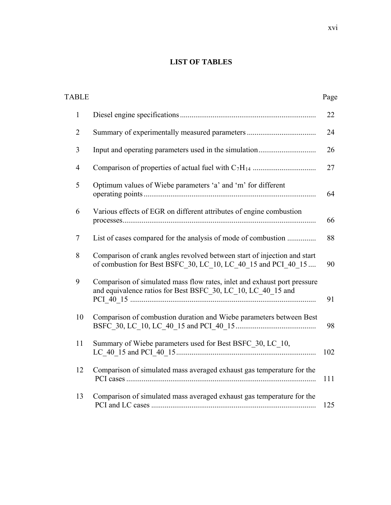### **LIST OF TABLES**

| <b>TABLE</b>   |                                                                                                                                           | Page |
|----------------|-------------------------------------------------------------------------------------------------------------------------------------------|------|
| $\mathbf{1}$   |                                                                                                                                           | 22   |
| $\overline{2}$ | Summary of experimentally measured parameters                                                                                             | 24   |
| 3              |                                                                                                                                           | 26   |
| $\overline{4}$ |                                                                                                                                           | 27   |
| 5              | Optimum values of Wiebe parameters 'a' and 'm' for different                                                                              | 64   |
| 6              | Various effects of EGR on different attributes of engine combustion                                                                       | 66   |
| $\tau$         | List of cases compared for the analysis of mode of combustion                                                                             | 88   |
| 8              | Comparison of crank angles revolved between start of injection and start<br>of combustion for Best BSFC_30, LC_10, LC_40_15 and PCI_40_15 | 90   |
| 9              | Comparison of simulated mass flow rates, inlet and exhaust port pressure<br>and equivalence ratios for Best BSFC 30, LC 10, LC 40 15 and  | 91   |
| 10             | Comparison of combustion duration and Wiebe parameters between Best                                                                       | 98   |
| 11             | Summary of Wiebe parameters used for Best BSFC 30, LC 10,                                                                                 | 102  |
| 12             | Comparison of simulated mass averaged exhaust gas temperature for the                                                                     | 111  |
| 13             | Comparison of simulated mass averaged exhaust gas temperature for the                                                                     | 125  |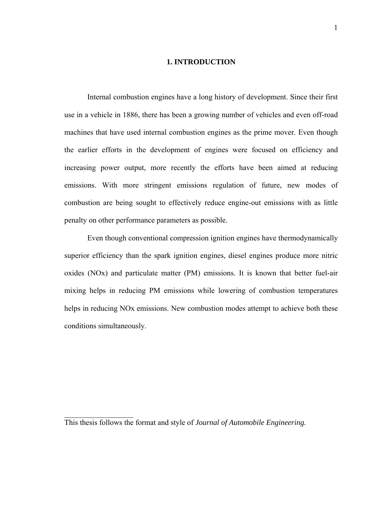#### **1. INTRODUCTION**

Internal combustion engines have a long history of development. Since their first use in a vehicle in 1886, there has been a growing number of vehicles and even off-road machines that have used internal combustion engines as the prime mover. Even though the earlier efforts in the development of engines were focused on efficiency and increasing power output, more recently the efforts have been aimed at reducing emissions. With more stringent emissions regulation of future, new modes of combustion are being sought to effectively reduce engine-out emissions with as little penalty on other performance parameters as possible.

Even though conventional compression ignition engines have thermodynamically superior efficiency than the spark ignition engines, diesel engines produce more nitric oxides (NOx) and particulate matter (PM) emissions. It is known that better fuel-air mixing helps in reducing PM emissions while lowering of combustion temperatures helps in reducing NOx emissions. New combustion modes attempt to achieve both these conditions simultaneously.

 $\overline{\phantom{a}}$  , where  $\overline{\phantom{a}}$ 

This thesis follows the format and style of *Journal of Automobile Engineering.*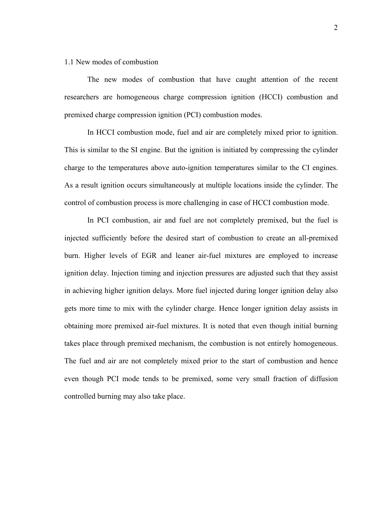#### 1.1 New modes of combustion

The new modes of combustion that have caught attention of the recent researchers are homogeneous charge compression ignition (HCCI) combustion and premixed charge compression ignition (PCI) combustion modes.

In HCCI combustion mode, fuel and air are completely mixed prior to ignition. This is similar to the SI engine. But the ignition is initiated by compressing the cylinder charge to the temperatures above auto-ignition temperatures similar to the CI engines. As a result ignition occurs simultaneously at multiple locations inside the cylinder. The control of combustion process is more challenging in case of HCCI combustion mode.

In PCI combustion, air and fuel are not completely premixed, but the fuel is injected sufficiently before the desired start of combustion to create an all-premixed burn. Higher levels of EGR and leaner air-fuel mixtures are employed to increase ignition delay. Injection timing and injection pressures are adjusted such that they assist in achieving higher ignition delays. More fuel injected during longer ignition delay also gets more time to mix with the cylinder charge. Hence longer ignition delay assists in obtaining more premixed air-fuel mixtures. It is noted that even though initial burning takes place through premixed mechanism, the combustion is not entirely homogeneous. The fuel and air are not completely mixed prior to the start of combustion and hence even though PCI mode tends to be premixed, some very small fraction of diffusion controlled burning may also take place.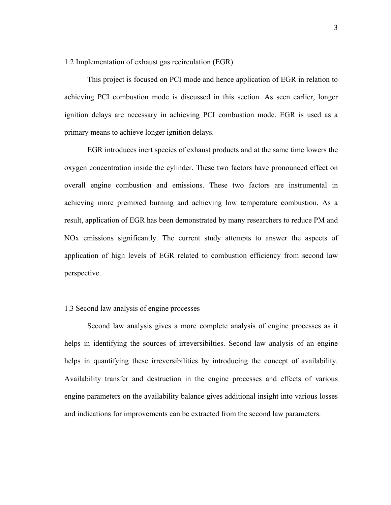1.2 Implementation of exhaust gas recirculation (EGR)

This project is focused on PCI mode and hence application of EGR in relation to achieving PCI combustion mode is discussed in this section. As seen earlier, longer ignition delays are necessary in achieving PCI combustion mode. EGR is used as a primary means to achieve longer ignition delays.

EGR introduces inert species of exhaust products and at the same time lowers the oxygen concentration inside the cylinder. These two factors have pronounced effect on overall engine combustion and emissions. These two factors are instrumental in achieving more premixed burning and achieving low temperature combustion. As a result, application of EGR has been demonstrated by many researchers to reduce PM and NOx emissions significantly. The current study attempts to answer the aspects of application of high levels of EGR related to combustion efficiency from second law perspective.

#### 1.3 Second law analysis of engine processes

Second law analysis gives a more complete analysis of engine processes as it helps in identifying the sources of irreversibilties. Second law analysis of an engine helps in quantifying these irreversibilities by introducing the concept of availability. Availability transfer and destruction in the engine processes and effects of various engine parameters on the availability balance gives additional insight into various losses and indications for improvements can be extracted from the second law parameters.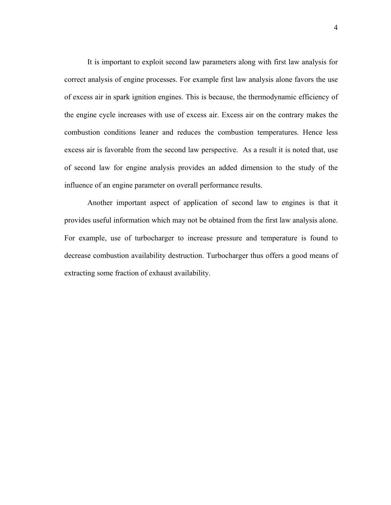It is important to exploit second law parameters along with first law analysis for correct analysis of engine processes. For example first law analysis alone favors the use of excess air in spark ignition engines. This is because, the thermodynamic efficiency of the engine cycle increases with use of excess air. Excess air on the contrary makes the combustion conditions leaner and reduces the combustion temperatures. Hence less excess air is favorable from the second law perspective. As a result it is noted that, use of second law for engine analysis provides an added dimension to the study of the influence of an engine parameter on overall performance results.

Another important aspect of application of second law to engines is that it provides useful information which may not be obtained from the first law analysis alone. For example, use of turbocharger to increase pressure and temperature is found to decrease combustion availability destruction. Turbocharger thus offers a good means of extracting some fraction of exhaust availability.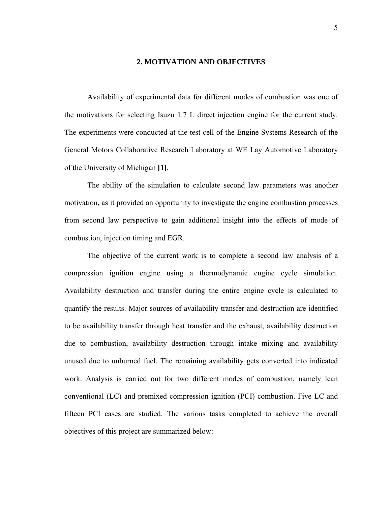#### **2. MOTIVATION AND OBJECTIVES**

Availability of experimental data for different modes of combustion was one of the motivations for selecting Isuzu 1.7 L direct injection engine for the current study. The experiments were conducted at the test cell of the Engine Systems Research of the General Motors Collaborative Research Laboratory at WE Lay Automotive Laboratory of the University of Michigan **[1]**.

The ability of the simulation to calculate second law parameters was another motivation, as it provided an opportunity to investigate the engine combustion processes from second law perspective to gain additional insight into the effects of mode of combustion, injection timing and EGR.

The objective of the current work is to complete a second law analysis of a compression ignition engine using a thermodynamic engine cycle simulation. Availability destruction and transfer during the entire engine cycle is calculated to quantify the results. Major sources of availability transfer and destruction are identified to be availability transfer through heat transfer and the exhaust, availability destruction due to combustion, availability destruction through intake mixing and availability unused due to unburned fuel. The remaining availability gets converted into indicated work. Analysis is carried out for two different modes of combustion, namely lean conventional (LC) and premixed compression ignition (PCI) combustion. Five LC and fifteen PCI cases are studied. The various tasks completed to achieve the overall objectives of this project are summarized below: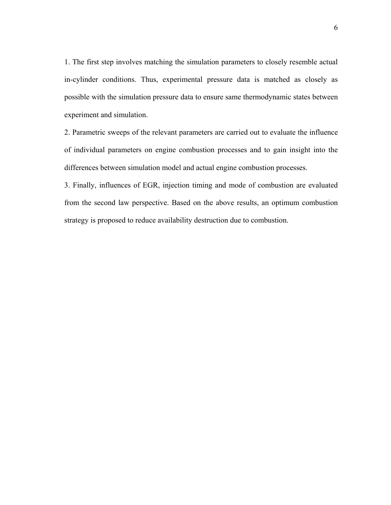1. The first step involves matching the simulation parameters to closely resemble actual in-cylinder conditions. Thus, experimental pressure data is matched as closely as possible with the simulation pressure data to ensure same thermodynamic states between experiment and simulation.

2. Parametric sweeps of the relevant parameters are carried out to evaluate the influence of individual parameters on engine combustion processes and to gain insight into the differences between simulation model and actual engine combustion processes.

3. Finally, influences of EGR, injection timing and mode of combustion are evaluated from the second law perspective. Based on the above results, an optimum combustion strategy is proposed to reduce availability destruction due to combustion.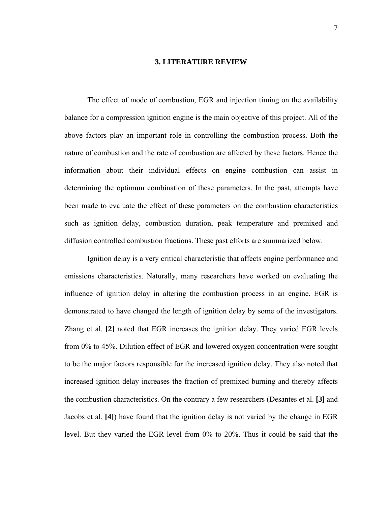#### **3. LITERATURE REVIEW**

The effect of mode of combustion, EGR and injection timing on the availability balance for a compression ignition engine is the main objective of this project. All of the above factors play an important role in controlling the combustion process. Both the nature of combustion and the rate of combustion are affected by these factors. Hence the information about their individual effects on engine combustion can assist in determining the optimum combination of these parameters. In the past, attempts have been made to evaluate the effect of these parameters on the combustion characteristics such as ignition delay, combustion duration, peak temperature and premixed and diffusion controlled combustion fractions. These past efforts are summarized below.

Ignition delay is a very critical characteristic that affects engine performance and emissions characteristics. Naturally, many researchers have worked on evaluating the influence of ignition delay in altering the combustion process in an engine. EGR is demonstrated to have changed the length of ignition delay by some of the investigators. Zhang et al. **[2]** noted that EGR increases the ignition delay. They varied EGR levels from 0% to 45%. Dilution effect of EGR and lowered oxygen concentration were sought to be the major factors responsible for the increased ignition delay. They also noted that increased ignition delay increases the fraction of premixed burning and thereby affects the combustion characteristics. On the contrary a few researchers (Desantes et al. **[3]** and Jacobs et al. **[4]**) have found that the ignition delay is not varied by the change in EGR level. But they varied the EGR level from 0% to 20%. Thus it could be said that the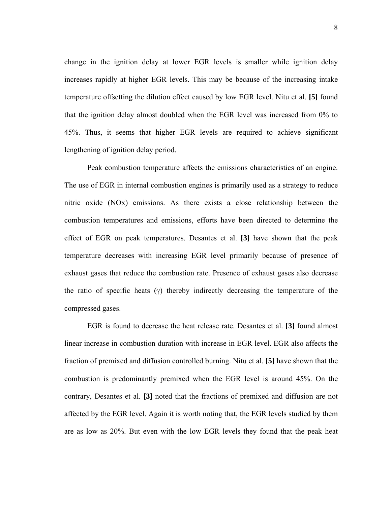change in the ignition delay at lower EGR levels is smaller while ignition delay increases rapidly at higher EGR levels. This may be because of the increasing intake temperature offsetting the dilution effect caused by low EGR level. Nitu et al. **[5]** found that the ignition delay almost doubled when the EGR level was increased from 0% to 45%. Thus, it seems that higher EGR levels are required to achieve significant lengthening of ignition delay period.

Peak combustion temperature affects the emissions characteristics of an engine. The use of EGR in internal combustion engines is primarily used as a strategy to reduce nitric oxide (NOx) emissions. As there exists a close relationship between the combustion temperatures and emissions, efforts have been directed to determine the effect of EGR on peak temperatures. Desantes et al. **[3]** have shown that the peak temperature decreases with increasing EGR level primarily because of presence of exhaust gases that reduce the combustion rate. Presence of exhaust gases also decrease the ratio of specific heats  $(y)$  thereby indirectly decreasing the temperature of the compressed gases.

EGR is found to decrease the heat release rate. Desantes et al. **[3]** found almost linear increase in combustion duration with increase in EGR level. EGR also affects the fraction of premixed and diffusion controlled burning. Nitu et al. **[5]** have shown that the combustion is predominantly premixed when the EGR level is around 45%. On the contrary, Desantes et al. **[3]** noted that the fractions of premixed and diffusion are not affected by the EGR level. Again it is worth noting that, the EGR levels studied by them are as low as 20%. But even with the low EGR levels they found that the peak heat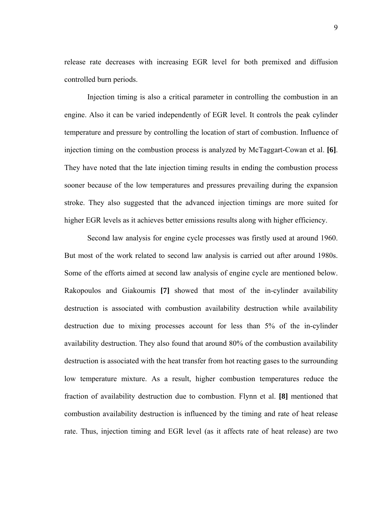release rate decreases with increasing EGR level for both premixed and diffusion controlled burn periods.

Injection timing is also a critical parameter in controlling the combustion in an engine. Also it can be varied independently of EGR level. It controls the peak cylinder temperature and pressure by controlling the location of start of combustion. Influence of injection timing on the combustion process is analyzed by McTaggart-Cowan et al. **[6]**. They have noted that the late injection timing results in ending the combustion process sooner because of the low temperatures and pressures prevailing during the expansion stroke. They also suggested that the advanced injection timings are more suited for higher EGR levels as it achieves better emissions results along with higher efficiency.

Second law analysis for engine cycle processes was firstly used at around 1960. But most of the work related to second law analysis is carried out after around 1980s. Some of the efforts aimed at second law analysis of engine cycle are mentioned below. Rakopoulos and Giakoumis **[7]** showed that most of the in-cylinder availability destruction is associated with combustion availability destruction while availability destruction due to mixing processes account for less than 5% of the in-cylinder availability destruction. They also found that around 80% of the combustion availability destruction is associated with the heat transfer from hot reacting gases to the surrounding low temperature mixture. As a result, higher combustion temperatures reduce the fraction of availability destruction due to combustion. Flynn et al. **[8]** mentioned that combustion availability destruction is influenced by the timing and rate of heat release rate. Thus, injection timing and EGR level (as it affects rate of heat release) are two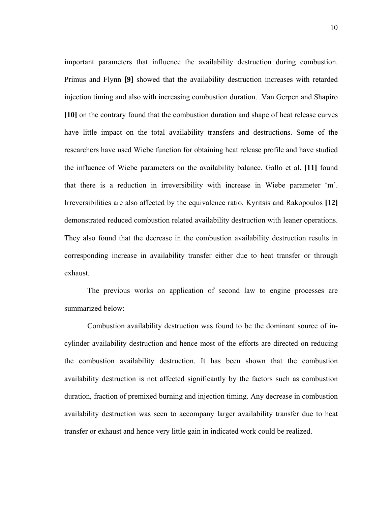important parameters that influence the availability destruction during combustion. Primus and Flynn **[9]** showed that the availability destruction increases with retarded injection timing and also with increasing combustion duration. Van Gerpen and Shapiro **[10]** on the contrary found that the combustion duration and shape of heat release curves have little impact on the total availability transfers and destructions. Some of the researchers have used Wiebe function for obtaining heat release profile and have studied the influence of Wiebe parameters on the availability balance. Gallo et al. **[11]** found that there is a reduction in irreversibility with increase in Wiebe parameter 'm'. Irreversibilities are also affected by the equivalence ratio. Kyritsis and Rakopoulos **[12]** demonstrated reduced combustion related availability destruction with leaner operations. They also found that the decrease in the combustion availability destruction results in corresponding increase in availability transfer either due to heat transfer or through exhaust.

The previous works on application of second law to engine processes are summarized below:

Combustion availability destruction was found to be the dominant source of incylinder availability destruction and hence most of the efforts are directed on reducing the combustion availability destruction. It has been shown that the combustion availability destruction is not affected significantly by the factors such as combustion duration, fraction of premixed burning and injection timing. Any decrease in combustion availability destruction was seen to accompany larger availability transfer due to heat transfer or exhaust and hence very little gain in indicated work could be realized.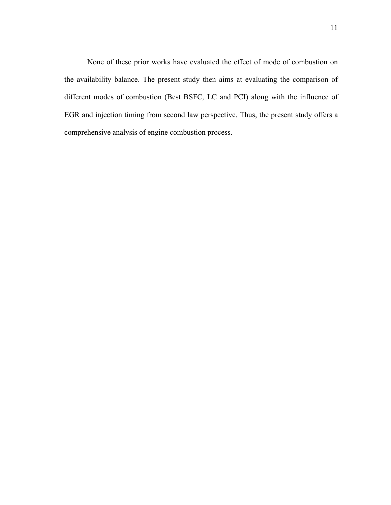None of these prior works have evaluated the effect of mode of combustion on the availability balance. The present study then aims at evaluating the comparison of different modes of combustion (Best BSFC, LC and PCI) along with the influence of EGR and injection timing from second law perspective. Thus, the present study offers a comprehensive analysis of engine combustion process.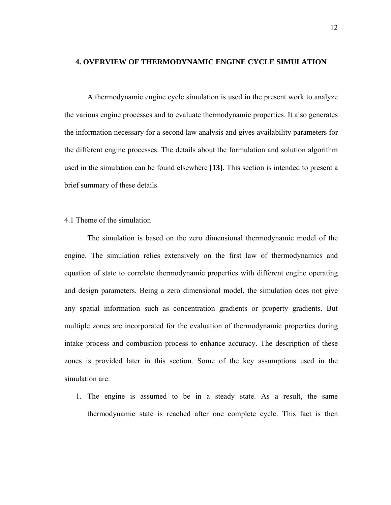#### **4. OVERVIEW OF THERMODYNAMIC ENGINE CYCLE SIMULATION**

A thermodynamic engine cycle simulation is used in the present work to analyze the various engine processes and to evaluate thermodynamic properties. It also generates the information necessary for a second law analysis and gives availability parameters for the different engine processes. The details about the formulation and solution algorithm used in the simulation can be found elsewhere **[13]**. This section is intended to present a brief summary of these details.

#### 4.1 Theme of the simulation

The simulation is based on the zero dimensional thermodynamic model of the engine. The simulation relies extensively on the first law of thermodynamics and equation of state to correlate thermodynamic properties with different engine operating and design parameters. Being a zero dimensional model, the simulation does not give any spatial information such as concentration gradients or property gradients. But multiple zones are incorporated for the evaluation of thermodynamic properties during intake process and combustion process to enhance accuracy. The description of these zones is provided later in this section. Some of the key assumptions used in the simulation are:

1. The engine is assumed to be in a steady state. As a result, the same thermodynamic state is reached after one complete cycle. This fact is then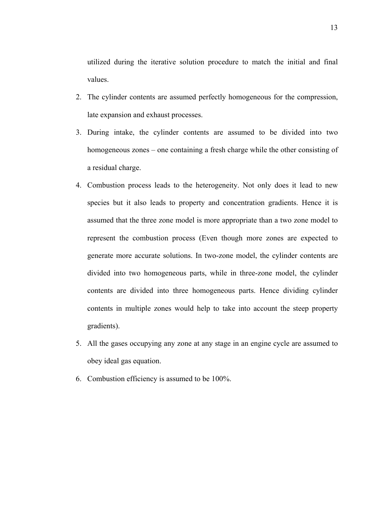utilized during the iterative solution procedure to match the initial and final values.

- 2. The cylinder contents are assumed perfectly homogeneous for the compression, late expansion and exhaust processes.
- 3. During intake, the cylinder contents are assumed to be divided into two homogeneous zones – one containing a fresh charge while the other consisting of a residual charge.
- 4. Combustion process leads to the heterogeneity. Not only does it lead to new species but it also leads to property and concentration gradients. Hence it is assumed that the three zone model is more appropriate than a two zone model to represent the combustion process (Even though more zones are expected to generate more accurate solutions. In two-zone model, the cylinder contents are divided into two homogeneous parts, while in three-zone model, the cylinder contents are divided into three homogeneous parts. Hence dividing cylinder contents in multiple zones would help to take into account the steep property gradients).
- 5. All the gases occupying any zone at any stage in an engine cycle are assumed to obey ideal gas equation.
- 6. Combustion efficiency is assumed to be 100%.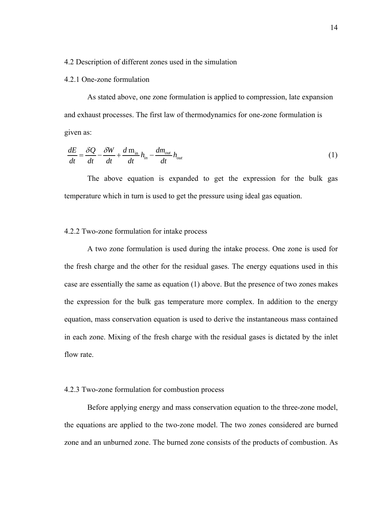#### 4.2 Description of different zones used in the simulation

#### 4.2.1 One-zone formulation

As stated above, one zone formulation is applied to compression, late expansion and exhaust processes. The first law of thermodynamics for one-zone formulation is given as:

$$
\frac{dE}{dt} = \frac{\delta Q}{dt} - \frac{\delta W}{dt} + \frac{d \mathbf{m}_{in}}{dt} h_{in} - \frac{dm_{out}}{dt} h_{out}
$$
(1)

The above equation is expanded to get the expression for the bulk gas temperature which in turn is used to get the pressure using ideal gas equation.

### 4.2.2 Two-zone formulation for intake process

A two zone formulation is used during the intake process. One zone is used for the fresh charge and the other for the residual gases. The energy equations used in this case are essentially the same as equation (1) above. But the presence of two zones makes the expression for the bulk gas temperature more complex. In addition to the energy equation, mass conservation equation is used to derive the instantaneous mass contained in each zone. Mixing of the fresh charge with the residual gases is dictated by the inlet flow rate.

#### 4.2.3 Two-zone formulation for combustion process

Before applying energy and mass conservation equation to the three-zone model, the equations are applied to the two-zone model. The two zones considered are burned zone and an unburned zone. The burned zone consists of the products of combustion. As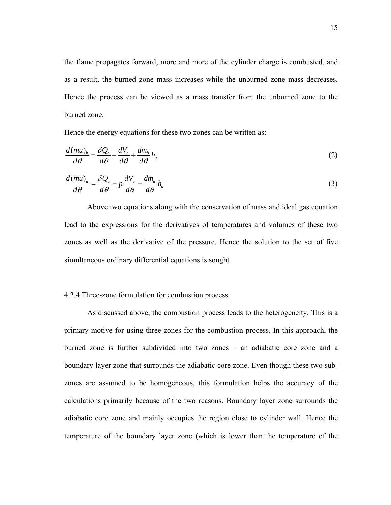the flame propagates forward, more and more of the cylinder charge is combusted, and as a result, the burned zone mass increases while the unburned zone mass decreases. Hence the process can be viewed as a mass transfer from the unburned zone to the burned zone.

Hence the energy equations for these two zones can be written as:

$$
\frac{d(mu)_b}{d\theta} = \frac{\delta Q_b}{d\theta} - \frac{dV_b}{d\theta} + \frac{dm_b}{d\theta}h_u
$$
\n(2)

$$
\frac{d(mu)_u}{d\theta} = \frac{\delta Q_u}{d\theta} - p\frac{dV_u}{d\theta} + \frac{dm_u}{d\theta}h_u
$$
\n(3)

Above two equations along with the conservation of mass and ideal gas equation lead to the expressions for the derivatives of temperatures and volumes of these two zones as well as the derivative of the pressure. Hence the solution to the set of five simultaneous ordinary differential equations is sought.

#### 4.2.4 Three-zone formulation for combustion process

As discussed above, the combustion process leads to the heterogeneity. This is a primary motive for using three zones for the combustion process. In this approach, the burned zone is further subdivided into two zones – an adiabatic core zone and a boundary layer zone that surrounds the adiabatic core zone. Even though these two subzones are assumed to be homogeneous, this formulation helps the accuracy of the calculations primarily because of the two reasons. Boundary layer zone surrounds the adiabatic core zone and mainly occupies the region close to cylinder wall. Hence the temperature of the boundary layer zone (which is lower than the temperature of the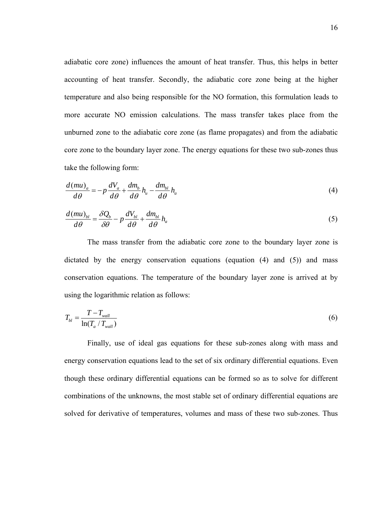adiabatic core zone) influences the amount of heat transfer. Thus, this helps in better accounting of heat transfer. Secondly, the adiabatic core zone being at the higher temperature and also being responsible for the NO formation, this formulation leads to more accurate NO emission calculations. The mass transfer takes place from the unburned zone to the adiabatic core zone (as flame propagates) and from the adiabatic core zone to the boundary layer zone. The energy equations for these two sub-zones thus take the following form:

$$
\frac{d(mu)_a}{d\theta} = -p\frac{dV_a}{d\theta} + \frac{dm_b}{d\theta}h_a - \frac{dm_{bl}}{d\theta}h_a
$$
\n(4)

$$
\frac{d(mu)_{bl}}{d\theta} = \frac{\delta Q_b}{\delta \theta} - p \frac{dV_{bl}}{d\theta} + \frac{dm_{bl}}{d\theta} h_a
$$
\n<sup>(5)</sup>

The mass transfer from the adiabatic core zone to the boundary layer zone is dictated by the energy conservation equations (equation  $(4)$  and  $(5)$ ) and mass conservation equations. The temperature of the boundary layer zone is arrived at by using the logarithmic relation as follows:

$$
T_{bl} = \frac{T - T_{wall}}{\ln(T_a / T_{wall})}
$$
\n
$$
\tag{6}
$$

Finally, use of ideal gas equations for these sub-zones along with mass and energy conservation equations lead to the set of six ordinary differential equations. Even though these ordinary differential equations can be formed so as to solve for different combinations of the unknowns, the most stable set of ordinary differential equations are solved for derivative of temperatures, volumes and mass of these two sub-zones. Thus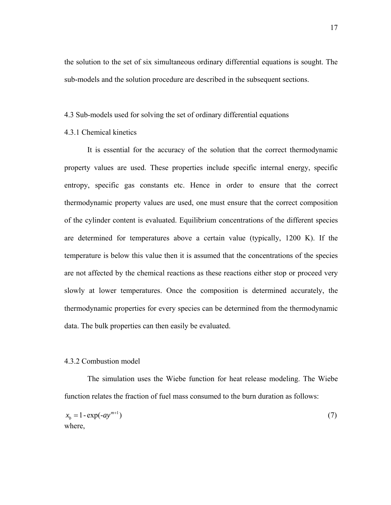the solution to the set of six simultaneous ordinary differential equations is sought. The sub-models and the solution procedure are described in the subsequent sections.

#### 4.3 Sub-models used for solving the set of ordinary differential equations

#### 4.3.1 Chemical kinetics

It is essential for the accuracy of the solution that the correct thermodynamic property values are used. These properties include specific internal energy, specific entropy, specific gas constants etc. Hence in order to ensure that the correct thermodynamic property values are used, one must ensure that the correct composition of the cylinder content is evaluated. Equilibrium concentrations of the different species are determined for temperatures above a certain value (typically, 1200 K). If the temperature is below this value then it is assumed that the concentrations of the species are not affected by the chemical reactions as these reactions either stop or proceed very slowly at lower temperatures. Once the composition is determined accurately, the thermodynamic properties for every species can be determined from the thermodynamic data. The bulk properties can then easily be evaluated.

#### 4.3.2 Combustion model

The simulation uses the Wiebe function for heat release modeling. The Wiebe function relates the fraction of fuel mass consumed to the burn duration as follows:

$$
x_b = 1 - \exp(-ay^{m+1})
$$
 (7)  
where,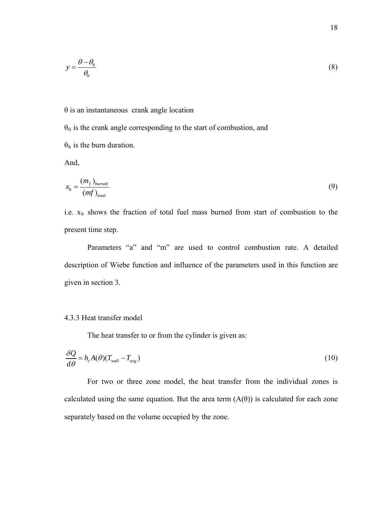$$
y = \frac{\theta - \theta_0}{\theta_b} \tag{8}
$$

#### θ is an instantaneous crank angle location

 $\theta_0$  is the crank angle corresponding to the start of combustion, and  $\theta_b$  is the burn duration.

And,

$$
x_b = \frac{(m_f)_{\text{burned}}}{(m_f)_{\text{total}}}
$$
\n(9)

i.e.  $x<sub>b</sub>$  shows the fraction of total fuel mass burned from start of combustion to the present time step.

Parameters "a" and "m" are used to control combustion rate. A detailed description of Wiebe function and influence of the parameters used in this function are given in section 3.

#### 4.3.3 Heat transfer model

The heat transfer to or from the cylinder is given as:

$$
\frac{\delta Q}{d\theta} = h_c A(\theta) (T_{wall} - T_{avg})
$$
\n(10)

For two or three zone model, the heat transfer from the individual zones is calculated using the same equation. But the area term  $(A(\theta))$  is calculated for each zone separately based on the volume occupied by the zone.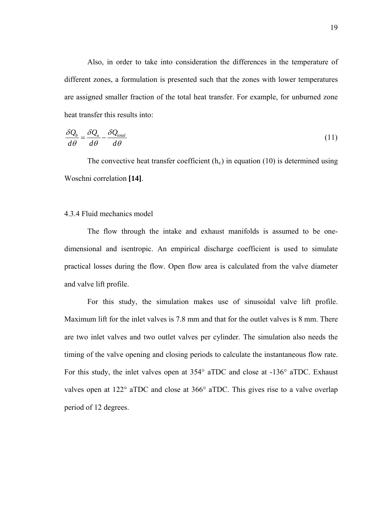Also, in order to take into consideration the differences in the temperature of different zones, a formulation is presented such that the zones with lower temperatures are assigned smaller fraction of the total heat transfer. For example, for unburned zone heat transfer this results into:

$$
\frac{\delta Q_b}{d\theta} = \frac{\delta Q_u}{d\theta} - \frac{\delta Q_{total}}{d\theta} \tag{11}
$$

The convective heat transfer coefficient  $(h_c)$  in equation (10) is determined using Woschni correlation **[14]**.

#### 4.3.4 Fluid mechanics model

The flow through the intake and exhaust manifolds is assumed to be onedimensional and isentropic. An empirical discharge coefficient is used to simulate practical losses during the flow. Open flow area is calculated from the valve diameter and valve lift profile.

For this study, the simulation makes use of sinusoidal valve lift profile. Maximum lift for the inlet valves is 7.8 mm and that for the outlet valves is 8 mm. There are two inlet valves and two outlet valves per cylinder. The simulation also needs the timing of the valve opening and closing periods to calculate the instantaneous flow rate. For this study, the inlet valves open at 354° aTDC and close at -136° aTDC. Exhaust valves open at 122° aTDC and close at 366° aTDC. This gives rise to a valve overlap period of 12 degrees.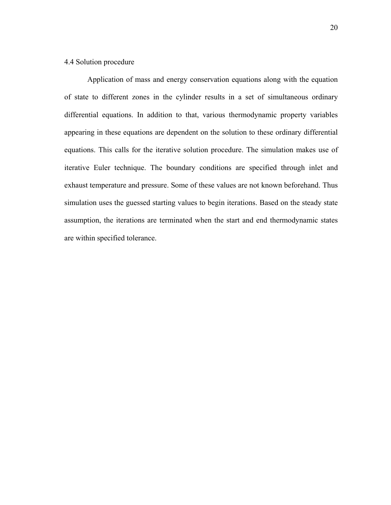#### 4.4 Solution procedure

Application of mass and energy conservation equations along with the equation of state to different zones in the cylinder results in a set of simultaneous ordinary differential equations. In addition to that, various thermodynamic property variables appearing in these equations are dependent on the solution to these ordinary differential equations. This calls for the iterative solution procedure. The simulation makes use of iterative Euler technique. The boundary conditions are specified through inlet and exhaust temperature and pressure. Some of these values are not known beforehand. Thus simulation uses the guessed starting values to begin iterations. Based on the steady state assumption, the iterations are terminated when the start and end thermodynamic states are within specified tolerance.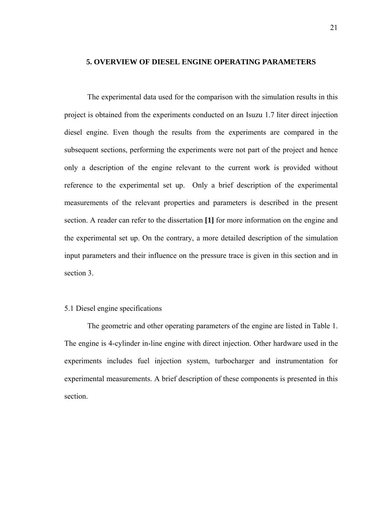### **5. OVERVIEW OF DIESEL ENGINE OPERATING PARAMETERS**

The experimental data used for the comparison with the simulation results in this project is obtained from the experiments conducted on an Isuzu 1.7 liter direct injection diesel engine. Even though the results from the experiments are compared in the subsequent sections, performing the experiments were not part of the project and hence only a description of the engine relevant to the current work is provided without reference to the experimental set up. Only a brief description of the experimental measurements of the relevant properties and parameters is described in the present section. A reader can refer to the dissertation **[1]** for more information on the engine and the experimental set up. On the contrary, a more detailed description of the simulation input parameters and their influence on the pressure trace is given in this section and in section 3.

# 5.1 Diesel engine specifications

The geometric and other operating parameters of the engine are listed in Table 1. The engine is 4-cylinder in-line engine with direct injection. Other hardware used in the experiments includes fuel injection system, turbocharger and instrumentation for experimental measurements. A brief description of these components is presented in this section.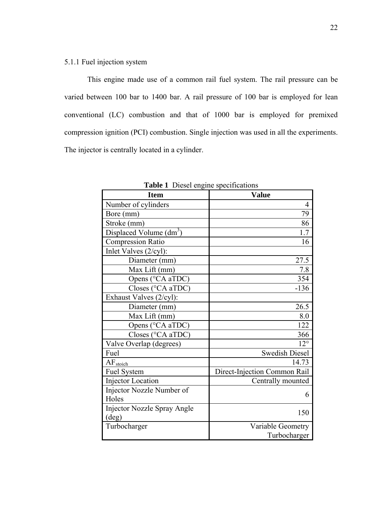This engine made use of a common rail fuel system. The rail pressure can be varied between 100 bar to 1400 bar. A rail pressure of 100 bar is employed for lean conventional (LC) combustion and that of 1000 bar is employed for premixed compression ignition (PCI) combustion. Single injection was used in all the experiments. The injector is centrally located in a cylinder.

| <b>Item</b>                         | <b>Value</b>                 |  |
|-------------------------------------|------------------------------|--|
| Number of cylinders                 | 4                            |  |
| Bore (mm)                           | 79                           |  |
| Stroke (mm)                         | 86                           |  |
| Displaced Volume (dm <sup>3</sup> ) | 1.7                          |  |
| <b>Compression Ratio</b>            | 16                           |  |
| Inlet Valves (2/cyl):               |                              |  |
| Diameter (mm)                       | 27.5                         |  |
| Max Lift (mm)                       | 7.8                          |  |
| Opens (°CA aTDC)                    | 354                          |  |
| Closes (°CA aTDC)                   | $-136$                       |  |
| Exhaust Valves (2/cyl):             |                              |  |
| Diameter (mm)                       | 26.5                         |  |
| Max Lift (mm)                       | 8.0                          |  |
| Opens (°CA aTDC)                    | 122                          |  |
| Closes (°CA aTDC)                   | 366                          |  |
| Valve Overlap (degrees)             | $12^{\circ}$                 |  |
| Fuel                                | <b>Swedish Diesel</b>        |  |
| AF <sub>stoich</sub>                | 14.73                        |  |
| Fuel System                         | Direct-Injection Common Rail |  |
| <b>Injector Location</b>            | Centrally mounted            |  |
| Injector Nozzle Number of           | 6                            |  |
| Holes                               |                              |  |
| <b>Injector Nozzle Spray Angle</b>  | 150                          |  |
| $(\text{deg})$                      |                              |  |
| Turbocharger                        | Variable Geometry            |  |
|                                     | Turbocharger                 |  |

**Table 1** Diesel engine specifications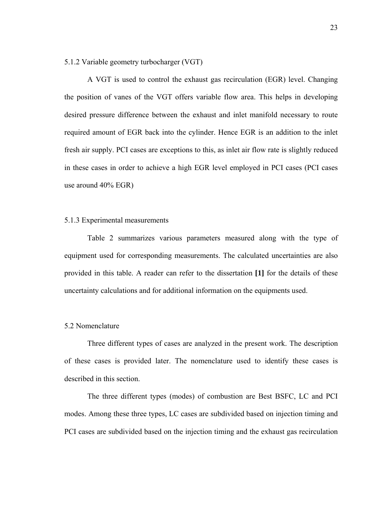5.1.2 Variable geometry turbocharger (VGT)

A VGT is used to control the exhaust gas recirculation (EGR) level. Changing the position of vanes of the VGT offers variable flow area. This helps in developing desired pressure difference between the exhaust and inlet manifold necessary to route required amount of EGR back into the cylinder. Hence EGR is an addition to the inlet fresh air supply. PCI cases are exceptions to this, as inlet air flow rate is slightly reduced in these cases in order to achieve a high EGR level employed in PCI cases (PCI cases use around 40% EGR)

## 5.1.3 Experimental measurements

Table 2 summarizes various parameters measured along with the type of equipment used for corresponding measurements. The calculated uncertainties are also provided in this table. A reader can refer to the dissertation **[1]** for the details of these uncertainty calculations and for additional information on the equipments used.

## 5.2 Nomenclature

Three different types of cases are analyzed in the present work. The description of these cases is provided later. The nomenclature used to identify these cases is described in this section.

The three different types (modes) of combustion are Best BSFC, LC and PCI modes. Among these three types, LC cases are subdivided based on injection timing and PCI cases are subdivided based on the injection timing and the exhaust gas recirculation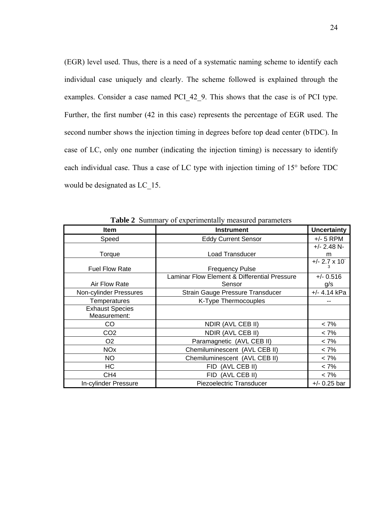(EGR) level used. Thus, there is a need of a systematic naming scheme to identify each individual case uniquely and clearly. The scheme followed is explained through the examples. Consider a case named PCI\_42\_9. This shows that the case is of PCI type. Further, the first number (42 in this case) represents the percentage of EGR used. The second number shows the injection timing in degrees before top dead center (bTDC). In case of LC, only one number (indicating the injection timing) is necessary to identify each individual case. Thus a case of LC type with injection timing of 15° before TDC would be designated as LC\_15.

| <b>Item</b>            | <b>Instrument</b>                            | <b>Uncertainty</b>      |
|------------------------|----------------------------------------------|-------------------------|
| Speed                  | <b>Eddy Current Sensor</b>                   | $+/- 5$ RPM             |
|                        |                                              | $+/- 2.48$ N-           |
| Torque                 | Load Transducer                              | m                       |
| <b>Fuel Flow Rate</b>  | <b>Frequency Pulse</b>                       | $+/- 2.7 \times 10^{-}$ |
|                        | Laminar Flow Element & Differential Pressure | $+/- 0.516$             |
| Air Flow Rate          | Sensor                                       | g/s                     |
| Non-cylinder Pressures | Strain Gauge Pressure Transducer             | +/- 4.14 kPa            |
| Temperatures           | K-Type Thermocouples                         |                         |
| <b>Exhaust Species</b> |                                              |                         |
| Measurement:           |                                              |                         |
| CO                     | NDIR (AVL CEB II)                            | $< 7\%$                 |
| CO <sub>2</sub>        | NDIR (AVL CEB II)                            | $< 7\%$                 |
| O <sub>2</sub>         | Paramagnetic (AVL CEB II)                    | $< 7\%$                 |
| <b>NO<sub>x</sub></b>  | Chemiluminescent (AVL CEB II)                | $< 7\%$                 |
| <b>NO</b>              | Chemiluminescent (AVL CEB II)                | $< 7\%$                 |
| HC                     | FID (AVL CEB II)                             | $< 7\%$                 |
| CH <sub>4</sub>        | FID (AVL CEB II)                             | $< 7\%$                 |
| In-cylinder Pressure   | Piezoelectric Transducer                     | $+/- 0.25$ bar          |

**Table 2** Summary of experimentally measured parameters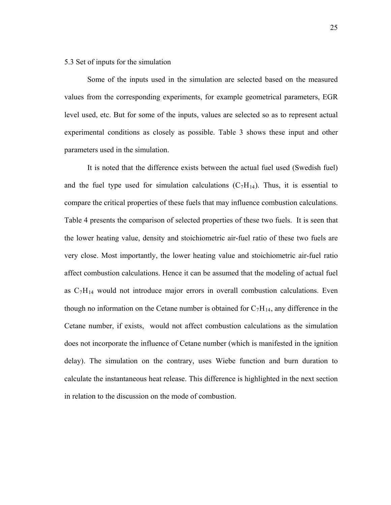### 5.3 Set of inputs for the simulation

Some of the inputs used in the simulation are selected based on the measured values from the corresponding experiments, for example geometrical parameters, EGR level used, etc. But for some of the inputs, values are selected so as to represent actual experimental conditions as closely as possible. Table 3 shows these input and other parameters used in the simulation.

It is noted that the difference exists between the actual fuel used (Swedish fuel) and the fuel type used for simulation calculations  $(C_7H_{14})$ . Thus, it is essential to compare the critical properties of these fuels that may influence combustion calculations. Table 4 presents the comparison of selected properties of these two fuels. It is seen that the lower heating value, density and stoichiometric air-fuel ratio of these two fuels are very close. Most importantly, the lower heating value and stoichiometric air-fuel ratio affect combustion calculations. Hence it can be assumed that the modeling of actual fuel as  $C_7H_{14}$  would not introduce major errors in overall combustion calculations. Even though no information on the Cetane number is obtained for  $C_7H_{14}$ , any difference in the Cetane number, if exists, would not affect combustion calculations as the simulation does not incorporate the influence of Cetane number (which is manifested in the ignition delay). The simulation on the contrary, uses Wiebe function and burn duration to calculate the instantaneous heat release. This difference is highlighted in the next section in relation to the discussion on the mode of combustion.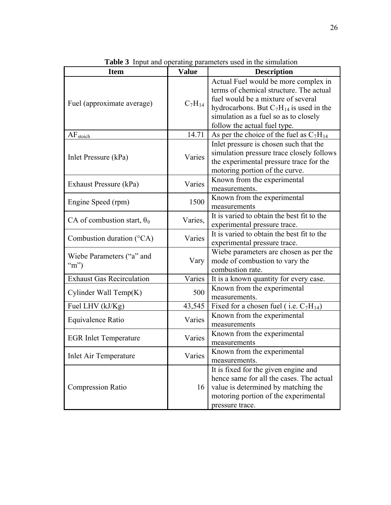| <b>Item</b>                                              | <b>Value</b> | <b>Description</b>                                                                                                                                                                                                                             |  |
|----------------------------------------------------------|--------------|------------------------------------------------------------------------------------------------------------------------------------------------------------------------------------------------------------------------------------------------|--|
| Fuel (approximate average)                               | $C_7H_{14}$  | Actual Fuel would be more complex in<br>terms of chemical structure. The actual<br>fuel would be a mixture of several<br>hydrocarbons. But $C_7H_{14}$ is used in the<br>simulation as a fuel so as to closely<br>follow the actual fuel type. |  |
| AF <sub>stoich</sub>                                     | 14.71        | As per the choice of the fuel as $C_7H_{14}$                                                                                                                                                                                                   |  |
| Inlet Pressure (kPa)                                     | Varies       | Inlet pressure is chosen such that the<br>simulation pressure trace closely follows<br>the experimental pressure trace for the<br>motoring portion of the curve.                                                                               |  |
| Exhaust Pressure (kPa)                                   | Varies       | Known from the experimental<br>measurements.                                                                                                                                                                                                   |  |
| Engine Speed (rpm)                                       | 1500         | Known from the experimental<br>measurements                                                                                                                                                                                                    |  |
| CA of combustion start, $\theta_0$                       | Varies,      | It is varied to obtain the best fit to the<br>experimental pressure trace.                                                                                                                                                                     |  |
| Combustion duration (°CA)                                | Varies       | It is varied to obtain the best fit to the<br>experimental pressure trace.                                                                                                                                                                     |  |
| Wiebe Parameters ("a" and<br>$\mathrm{m}^{\prime\prime}$ | Vary         | Wiebe parameters are chosen as per the<br>mode of combustion to vary the<br>combustion rate.                                                                                                                                                   |  |
| <b>Exhaust Gas Recirculation</b>                         | Varies       | It is a known quantity for every case.                                                                                                                                                                                                         |  |
| Cylinder Wall Temp(K)                                    | 500          | Known from the experimental<br>measurements.                                                                                                                                                                                                   |  |
| Fuel LHV (kJ/Kg)                                         | 43,545       | Fixed for a chosen fuel (i.e. $C_7H_{14}$ )                                                                                                                                                                                                    |  |
| Equivalence Ratio                                        | Varies       | Known from the experimental<br>measurements                                                                                                                                                                                                    |  |
| <b>EGR</b> Inlet Temperature                             | Varies       | Known from the experimental<br>measurements                                                                                                                                                                                                    |  |
| <b>Inlet Air Temperature</b>                             | Varies       | Known from the experimental<br>measurements.                                                                                                                                                                                                   |  |
| <b>Compression Ratio</b>                                 | 16           | It is fixed for the given engine and<br>hence same for all the cases. The actual<br>value is determined by matching the<br>motoring portion of the experimental<br>pressure trace.                                                             |  |

**Table 3** Input and operating parameters used in the simulation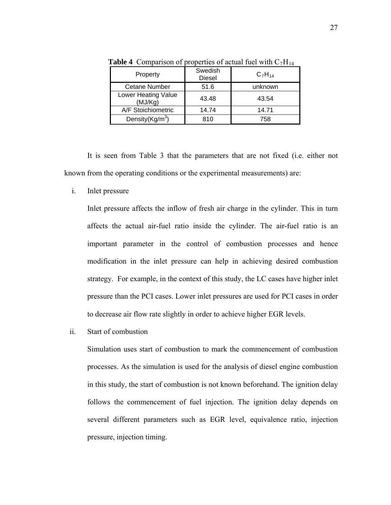| Property                       | Swedish<br><b>Diesel</b> | $C_7H_{14}$ |
|--------------------------------|--------------------------|-------------|
| <b>Cetane Number</b>           | 51.6                     | unknown     |
| Lower Heating Value<br>(MJ/Kg) | 43.48                    | 43.54       |
| A/F Stoichiometric             | 14.74                    | 14.71       |
| Density $(Kg/m^3)$             | 810                      | 758         |

**Table 4** Comparison of properties of actual fuel with  $C_7H_{14}$ 

It is seen from Table 3 that the parameters that are not fixed (i.e. either not known from the operating conditions or the experimental measurements) are:

i. Inlet pressure

Inlet pressure affects the inflow of fresh air charge in the cylinder. This in turn affects the actual air-fuel ratio inside the cylinder. The air-fuel ratio is an important parameter in the control of combustion processes and hence modification in the inlet pressure can help in achieving desired combustion strategy. For example, in the context of this study, the LC cases have higher inlet pressure than the PCI cases. Lower inlet pressures are used for PCI cases in order to decrease air flow rate slightly in order to achieve higher EGR levels.

ii. Start of combustion

Simulation uses start of combustion to mark the commencement of combustion processes. As the simulation is used for the analysis of diesel engine combustion in this study, the start of combustion is not known beforehand. The ignition delay follows the commencement of fuel injection. The ignition delay depends on several different parameters such as EGR level, equivalence ratio, injection pressure, injection timing.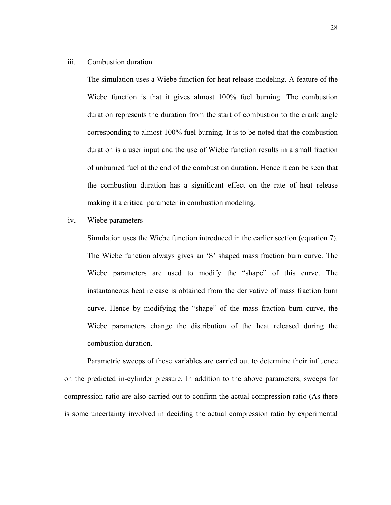### iii. Combustion duration

The simulation uses a Wiebe function for heat release modeling. A feature of the Wiebe function is that it gives almost 100% fuel burning. The combustion duration represents the duration from the start of combustion to the crank angle corresponding to almost 100% fuel burning. It is to be noted that the combustion duration is a user input and the use of Wiebe function results in a small fraction of unburned fuel at the end of the combustion duration. Hence it can be seen that the combustion duration has a significant effect on the rate of heat release making it a critical parameter in combustion modeling.

iv. Wiebe parameters

Simulation uses the Wiebe function introduced in the earlier section (equation 7). The Wiebe function always gives an 'S' shaped mass fraction burn curve. The Wiebe parameters are used to modify the "shape" of this curve. The instantaneous heat release is obtained from the derivative of mass fraction burn curve. Hence by modifying the "shape" of the mass fraction burn curve, the Wiebe parameters change the distribution of the heat released during the combustion duration.

Parametric sweeps of these variables are carried out to determine their influence on the predicted in-cylinder pressure. In addition to the above parameters, sweeps for compression ratio are also carried out to confirm the actual compression ratio (As there is some uncertainty involved in deciding the actual compression ratio by experimental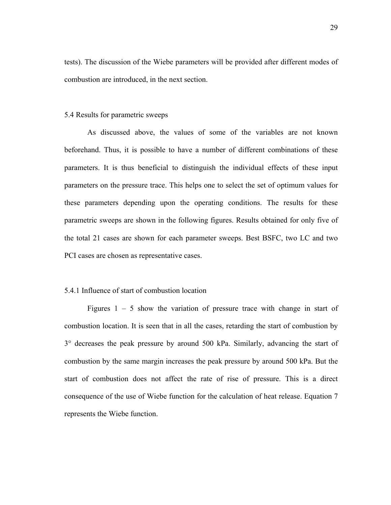tests). The discussion of the Wiebe parameters will be provided after different modes of combustion are introduced, in the next section.

#### 5.4 Results for parametric sweeps

As discussed above, the values of some of the variables are not known beforehand. Thus, it is possible to have a number of different combinations of these parameters. It is thus beneficial to distinguish the individual effects of these input parameters on the pressure trace. This helps one to select the set of optimum values for these parameters depending upon the operating conditions. The results for these parametric sweeps are shown in the following figures. Results obtained for only five of the total 21 cases are shown for each parameter sweeps. Best BSFC, two LC and two PCI cases are chosen as representative cases.

## 5.4.1 Influence of start of combustion location

Figures  $1 - 5$  show the variation of pressure trace with change in start of combustion location. It is seen that in all the cases, retarding the start of combustion by 3° decreases the peak pressure by around 500 kPa. Similarly, advancing the start of combustion by the same margin increases the peak pressure by around 500 kPa. But the start of combustion does not affect the rate of rise of pressure. This is a direct consequence of the use of Wiebe function for the calculation of heat release. Equation 7 represents the Wiebe function.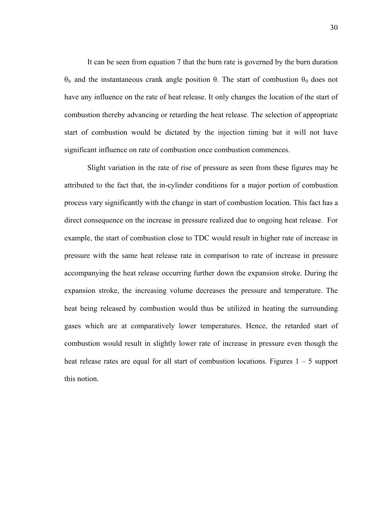It can be seen from equation 7 that the burn rate is governed by the burn duration  $θ<sub>b</sub>$  and the instantaneous crank angle position  $θ$ . The start of combustion  $θ<sub>0</sub>$  does not have any influence on the rate of heat release. It only changes the location of the start of combustion thereby advancing or retarding the heat release. The selection of appropriate start of combustion would be dictated by the injection timing but it will not have significant influence on rate of combustion once combustion commences.

Slight variation in the rate of rise of pressure as seen from these figures may be attributed to the fact that, the in-cylinder conditions for a major portion of combustion process vary significantly with the change in start of combustion location. This fact has a direct consequence on the increase in pressure realized due to ongoing heat release. For example, the start of combustion close to TDC would result in higher rate of increase in pressure with the same heat release rate in comparison to rate of increase in pressure accompanying the heat release occurring further down the expansion stroke. During the expansion stroke, the increasing volume decreases the pressure and temperature. The heat being released by combustion would thus be utilized in heating the surrounding gases which are at comparatively lower temperatures. Hence, the retarded start of combustion would result in slightly lower rate of increase in pressure even though the heat release rates are equal for all start of combustion locations. Figures  $1 - 5$  support this notion.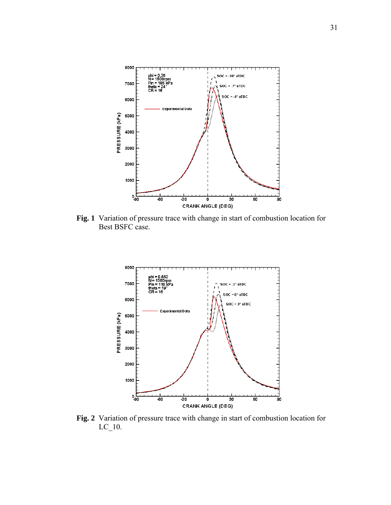

**Fig. 1** Variation of pressure trace with change in start of combustion location for Best BSFC case.



**Fig. 2** Variation of pressure trace with change in start of combustion location for LC\_10.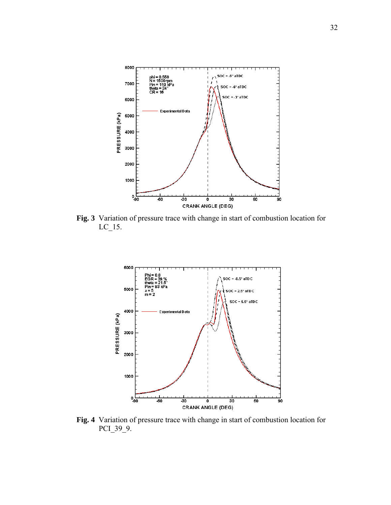

**Fig. 3** Variation of pressure trace with change in start of combustion location for LC\_15.



**Fig. 4** Variation of pressure trace with change in start of combustion location for PCI\_39\_9.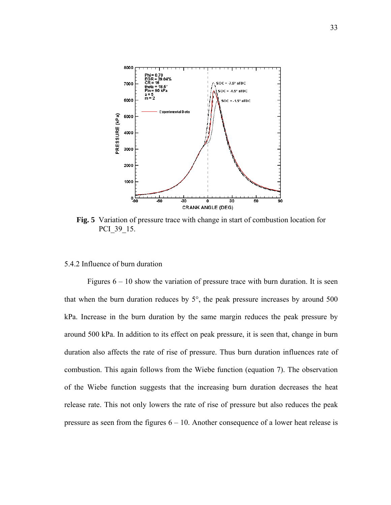

**Fig. 5** Variation of pressure trace with change in start of combustion location for PCI\_39\_15.

# 5.4.2 Influence of burn duration

Figures  $6 - 10$  show the variation of pressure trace with burn duration. It is seen that when the burn duration reduces by 5°, the peak pressure increases by around 500 kPa. Increase in the burn duration by the same margin reduces the peak pressure by around 500 kPa. In addition to its effect on peak pressure, it is seen that, change in burn duration also affects the rate of rise of pressure. Thus burn duration influences rate of combustion. This again follows from the Wiebe function (equation 7). The observation of the Wiebe function suggests that the increasing burn duration decreases the heat release rate. This not only lowers the rate of rise of pressure but also reduces the peak pressure as seen from the figures  $6 - 10$ . Another consequence of a lower heat release is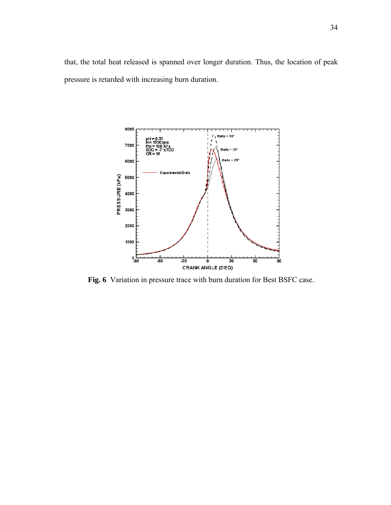that, the total heat released is spanned over longer duration. Thus, the location of peak pressure is retarded with increasing burn duration.



**Fig. 6** Variation in pressure trace with burn duration for Best BSFC case.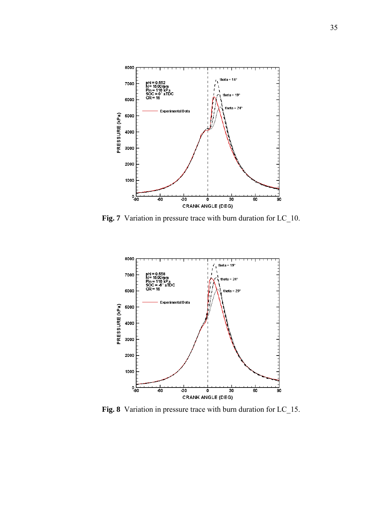

**Fig. 7** Variation in pressure trace with burn duration for LC\_10.



**Fig. 8** Variation in pressure trace with burn duration for LC\_15.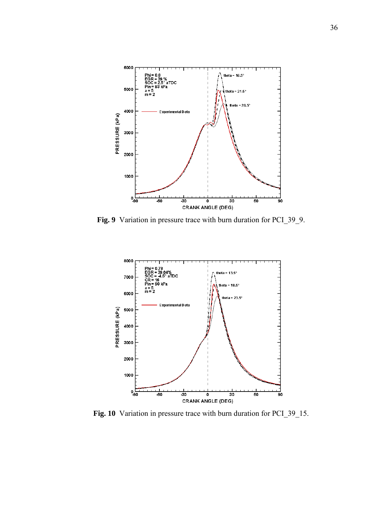

**Fig. 9** Variation in pressure trace with burn duration for PCI\_39\_9.



**Fig. 10** Variation in pressure trace with burn duration for PCI\_39\_15.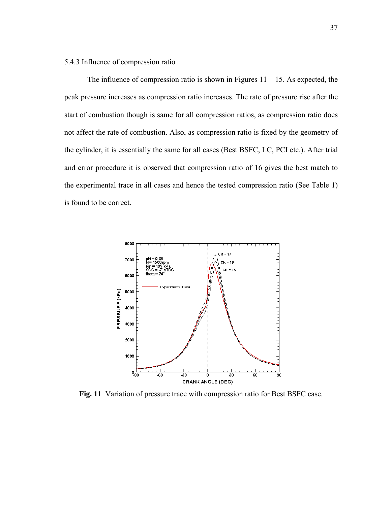## 5.4.3 Influence of compression ratio

The influence of compression ratio is shown in Figures  $11 - 15$ . As expected, the peak pressure increases as compression ratio increases. The rate of pressure rise after the start of combustion though is same for all compression ratios, as compression ratio does not affect the rate of combustion. Also, as compression ratio is fixed by the geometry of the cylinder, it is essentially the same for all cases (Best BSFC, LC, PCI etc.). After trial and error procedure it is observed that compression ratio of 16 gives the best match to the experimental trace in all cases and hence the tested compression ratio (See Table 1) is found to be correct.



**Fig. 11** Variation of pressure trace with compression ratio for Best BSFC case.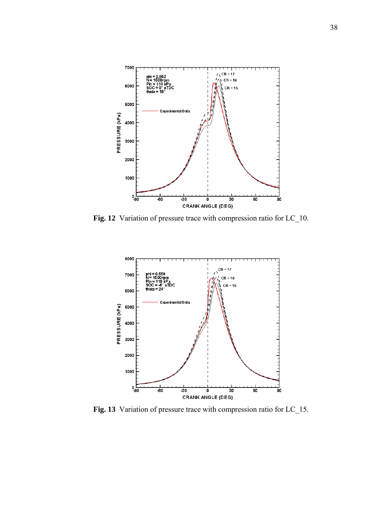

**Fig. 12** Variation of pressure trace with compression ratio for LC\_10.



**Fig. 13** Variation of pressure trace with compression ratio for LC\_15.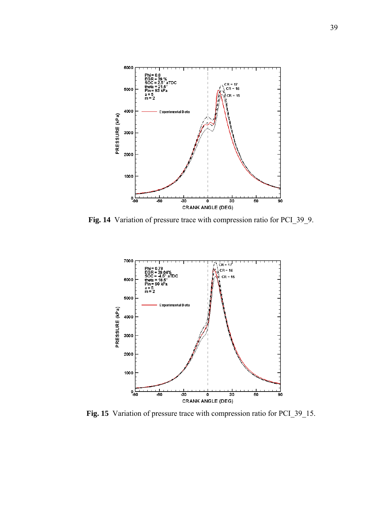

**Fig. 14** Variation of pressure trace with compression ratio for PCI\_39\_9.



**Fig. 15** Variation of pressure trace with compression ratio for PCI\_39\_15.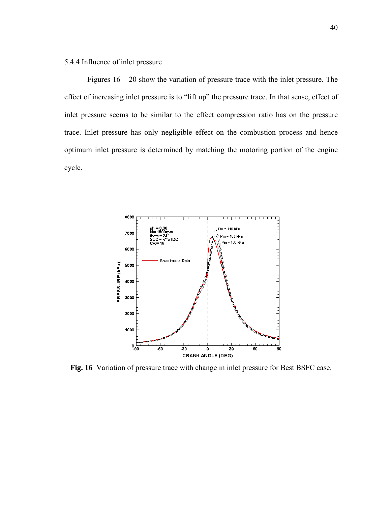# 5.4.4 Influence of inlet pressure

Figures 16 – 20 show the variation of pressure trace with the inlet pressure. The effect of increasing inlet pressure is to "lift up" the pressure trace. In that sense, effect of inlet pressure seems to be similar to the effect compression ratio has on the pressure trace. Inlet pressure has only negligible effect on the combustion process and hence optimum inlet pressure is determined by matching the motoring portion of the engine cycle.



**Fig. 16** Variation of pressure trace with change in inlet pressure for Best BSFC case.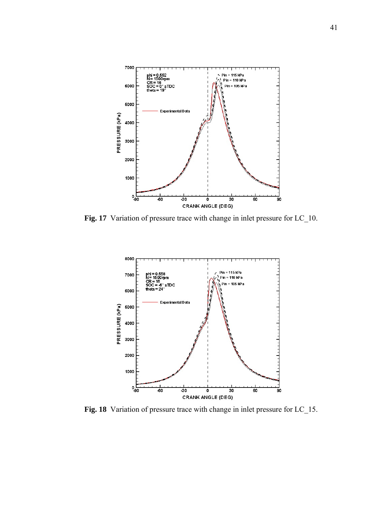

Fig. 17 Variation of pressure trace with change in inlet pressure for LC\_10.



**Fig. 18** Variation of pressure trace with change in inlet pressure for LC\_15.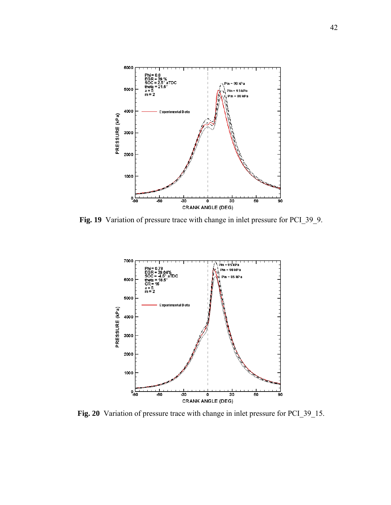

Fig. 19 Variation of pressure trace with change in inlet pressure for PCI\_39\_9.



**Fig. 20** Variation of pressure trace with change in inlet pressure for PCI\_39\_15.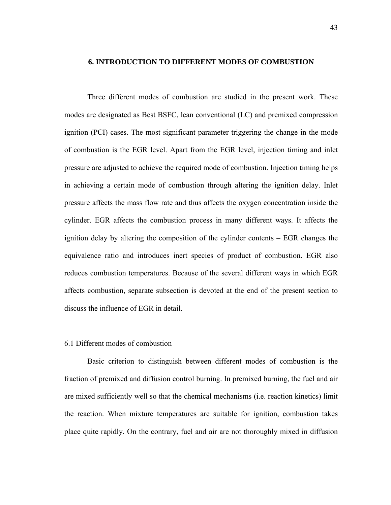### **6. INTRODUCTION TO DIFFERENT MODES OF COMBUSTION**

Three different modes of combustion are studied in the present work. These modes are designated as Best BSFC, lean conventional (LC) and premixed compression ignition (PCI) cases. The most significant parameter triggering the change in the mode of combustion is the EGR level. Apart from the EGR level, injection timing and inlet pressure are adjusted to achieve the required mode of combustion. Injection timing helps in achieving a certain mode of combustion through altering the ignition delay. Inlet pressure affects the mass flow rate and thus affects the oxygen concentration inside the cylinder. EGR affects the combustion process in many different ways. It affects the ignition delay by altering the composition of the cylinder contents – EGR changes the equivalence ratio and introduces inert species of product of combustion. EGR also reduces combustion temperatures. Because of the several different ways in which EGR affects combustion, separate subsection is devoted at the end of the present section to discuss the influence of EGR in detail.

## 6.1 Different modes of combustion

Basic criterion to distinguish between different modes of combustion is the fraction of premixed and diffusion control burning. In premixed burning, the fuel and air are mixed sufficiently well so that the chemical mechanisms (i.e. reaction kinetics) limit the reaction. When mixture temperatures are suitable for ignition, combustion takes place quite rapidly. On the contrary, fuel and air are not thoroughly mixed in diffusion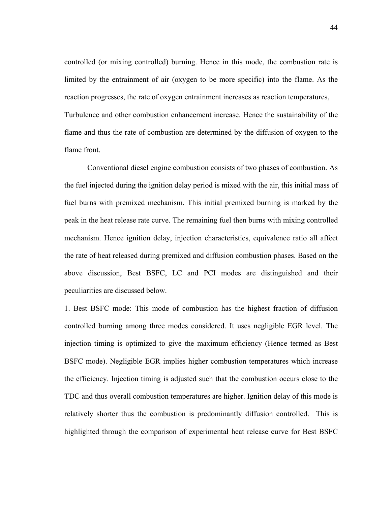controlled (or mixing controlled) burning. Hence in this mode, the combustion rate is limited by the entrainment of air (oxygen to be more specific) into the flame. As the reaction progresses, the rate of oxygen entrainment increases as reaction temperatures, Turbulence and other combustion enhancement increase. Hence the sustainability of the flame and thus the rate of combustion are determined by the diffusion of oxygen to the flame front.

Conventional diesel engine combustion consists of two phases of combustion. As the fuel injected during the ignition delay period is mixed with the air, this initial mass of fuel burns with premixed mechanism. This initial premixed burning is marked by the peak in the heat release rate curve. The remaining fuel then burns with mixing controlled mechanism. Hence ignition delay, injection characteristics, equivalence ratio all affect the rate of heat released during premixed and diffusion combustion phases. Based on the above discussion, Best BSFC, LC and PCI modes are distinguished and their peculiarities are discussed below.

1. Best BSFC mode: This mode of combustion has the highest fraction of diffusion controlled burning among three modes considered. It uses negligible EGR level. The injection timing is optimized to give the maximum efficiency (Hence termed as Best BSFC mode). Negligible EGR implies higher combustion temperatures which increase the efficiency. Injection timing is adjusted such that the combustion occurs close to the TDC and thus overall combustion temperatures are higher. Ignition delay of this mode is relatively shorter thus the combustion is predominantly diffusion controlled. This is highlighted through the comparison of experimental heat release curve for Best BSFC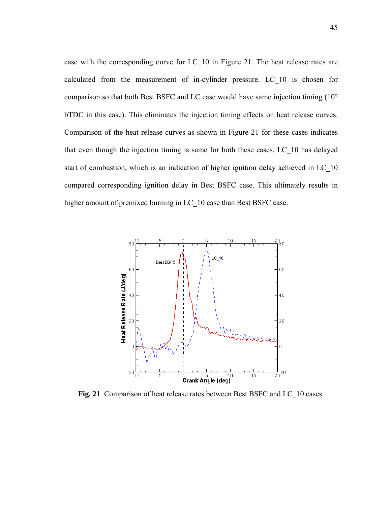case with the corresponding curve for LC\_10 in Figure 21. The heat release rates are calculated from the measurement of in-cylinder pressure. LC\_10 is chosen for comparison so that both Best BSFC and LC case would have same injection timing (10° bTDC in this case). This eliminates the injection timing effects on heat release curves. Comparison of the heat release curves as shown in Figure 21 for these cases indicates that even though the injection timing is same for both these cases, LC\_10 has delayed start of combustion, which is an indication of higher ignition delay achieved in LC\_10 compared corresponding ignition delay in Best BSFC case. This ultimately results in higher amount of premixed burning in LC\_10 case than Best BSFC case.



**Fig. 21** Comparison of heat release rates between Best BSFC and LC\_10 cases.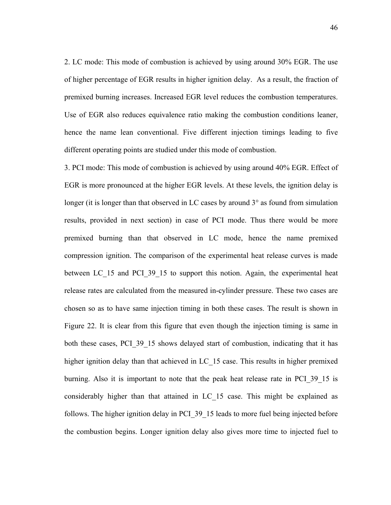2. LC mode: This mode of combustion is achieved by using around 30% EGR. The use of higher percentage of EGR results in higher ignition delay. As a result, the fraction of premixed burning increases. Increased EGR level reduces the combustion temperatures. Use of EGR also reduces equivalence ratio making the combustion conditions leaner, hence the name lean conventional. Five different injection timings leading to five different operating points are studied under this mode of combustion.

3. PCI mode: This mode of combustion is achieved by using around 40% EGR. Effect of EGR is more pronounced at the higher EGR levels. At these levels, the ignition delay is longer (it is longer than that observed in LC cases by around 3° as found from simulation results, provided in next section) in case of PCI mode. Thus there would be more premixed burning than that observed in LC mode, hence the name premixed compression ignition. The comparison of the experimental heat release curves is made between LC 15 and PCI 39 15 to support this notion. Again, the experimental heat release rates are calculated from the measured in-cylinder pressure. These two cases are chosen so as to have same injection timing in both these cases. The result is shown in Figure 22. It is clear from this figure that even though the injection timing is same in both these cases, PCI\_39\_15 shows delayed start of combustion, indicating that it has higher ignition delay than that achieved in LC 15 case. This results in higher premixed burning. Also it is important to note that the peak heat release rate in PCI\_39\_15 is considerably higher than that attained in LC\_15 case. This might be explained as follows. The higher ignition delay in PCI 39 15 leads to more fuel being injected before the combustion begins. Longer ignition delay also gives more time to injected fuel to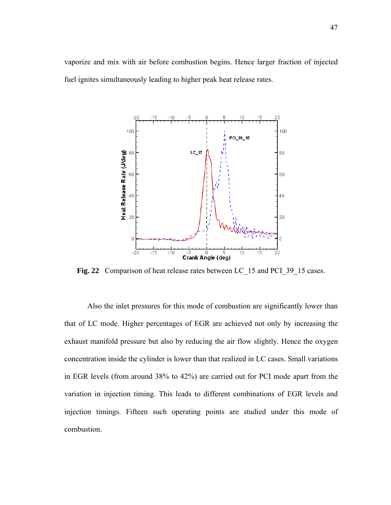vaporize and mix with air before combustion begins. Hence larger fraction of injected fuel ignites simultaneously leading to higher peak heat release rates.



Fig. 22 Comparison of heat release rates between LC 15 and PCI 39 15 cases.

Also the inlet pressures for this mode of combustion are significantly lower than that of LC mode. Higher percentages of EGR are achieved not only by increasing the exhaust manifold pressure but also by reducing the air flow slightly. Hence the oxygen concentration inside the cylinder is lower than that realized in LC cases. Small variations in EGR levels (from around 38% to 42%) are carried out for PCI mode apart from the variation in injection timing. This leads to different combinations of EGR levels and injection timings. Fifteen such operating points are studied under this mode of combustion.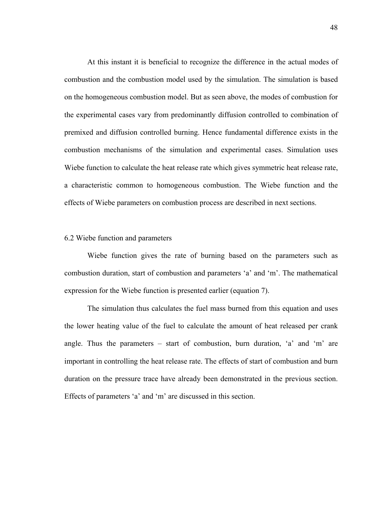At this instant it is beneficial to recognize the difference in the actual modes of combustion and the combustion model used by the simulation. The simulation is based on the homogeneous combustion model. But as seen above, the modes of combustion for the experimental cases vary from predominantly diffusion controlled to combination of premixed and diffusion controlled burning. Hence fundamental difference exists in the combustion mechanisms of the simulation and experimental cases. Simulation uses Wiebe function to calculate the heat release rate which gives symmetric heat release rate, a characteristic common to homogeneous combustion. The Wiebe function and the effects of Wiebe parameters on combustion process are described in next sections.

### 6.2 Wiebe function and parameters

Wiebe function gives the rate of burning based on the parameters such as combustion duration, start of combustion and parameters 'a' and 'm'. The mathematical expression for the Wiebe function is presented earlier (equation 7).

The simulation thus calculates the fuel mass burned from this equation and uses the lower heating value of the fuel to calculate the amount of heat released per crank angle. Thus the parameters – start of combustion, burn duration, 'a' and 'm' are important in controlling the heat release rate. The effects of start of combustion and burn duration on the pressure trace have already been demonstrated in the previous section. Effects of parameters 'a' and 'm' are discussed in this section.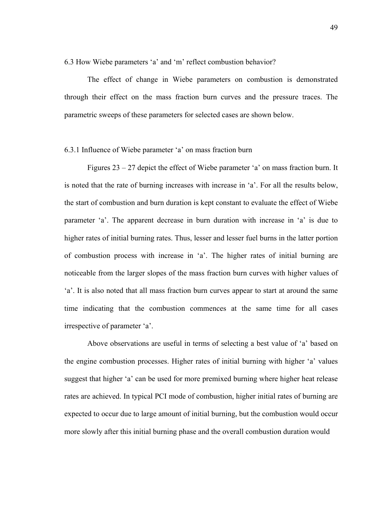6.3 How Wiebe parameters 'a' and 'm' reflect combustion behavior?

The effect of change in Wiebe parameters on combustion is demonstrated through their effect on the mass fraction burn curves and the pressure traces. The parametric sweeps of these parameters for selected cases are shown below.

## 6.3.1 Influence of Wiebe parameter 'a' on mass fraction burn

Figures 23 – 27 depict the effect of Wiebe parameter 'a' on mass fraction burn. It is noted that the rate of burning increases with increase in 'a'. For all the results below, the start of combustion and burn duration is kept constant to evaluate the effect of Wiebe parameter 'a'. The apparent decrease in burn duration with increase in 'a' is due to higher rates of initial burning rates. Thus, lesser and lesser fuel burns in the latter portion of combustion process with increase in 'a'. The higher rates of initial burning are noticeable from the larger slopes of the mass fraction burn curves with higher values of 'a'. It is also noted that all mass fraction burn curves appear to start at around the same time indicating that the combustion commences at the same time for all cases irrespective of parameter 'a'.

Above observations are useful in terms of selecting a best value of 'a' based on the engine combustion processes. Higher rates of initial burning with higher 'a' values suggest that higher 'a' can be used for more premixed burning where higher heat release rates are achieved. In typical PCI mode of combustion, higher initial rates of burning are expected to occur due to large amount of initial burning, but the combustion would occur more slowly after this initial burning phase and the overall combustion duration would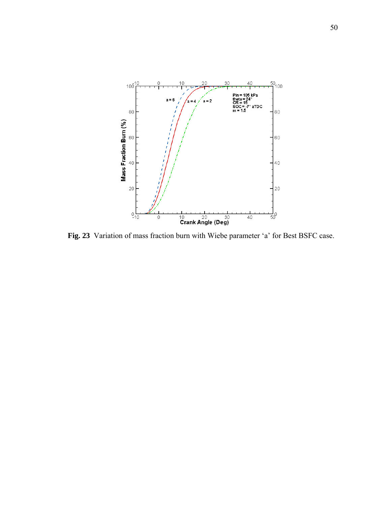

**Fig. 23** Variation of mass fraction burn with Wiebe parameter 'a' for Best BSFC case.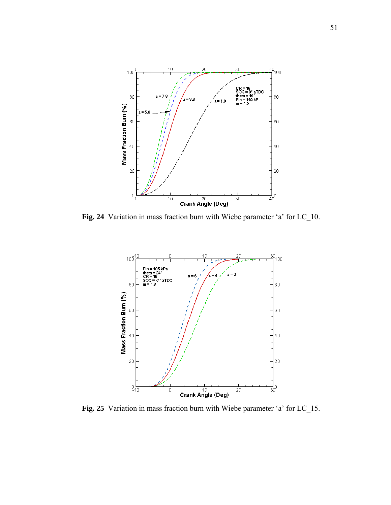

**Fig. 24** Variation in mass fraction burn with Wiebe parameter 'a' for LC\_10.



**Fig. 25** Variation in mass fraction burn with Wiebe parameter 'a' for LC\_15.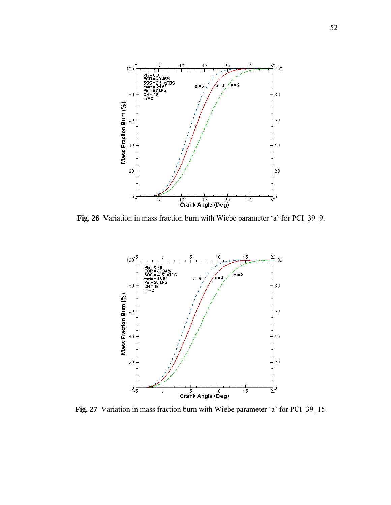

**Fig. 26** Variation in mass fraction burn with Wiebe parameter 'a' for PCI\_39\_9.



**Fig. 27** Variation in mass fraction burn with Wiebe parameter 'a' for PCI\_39\_15.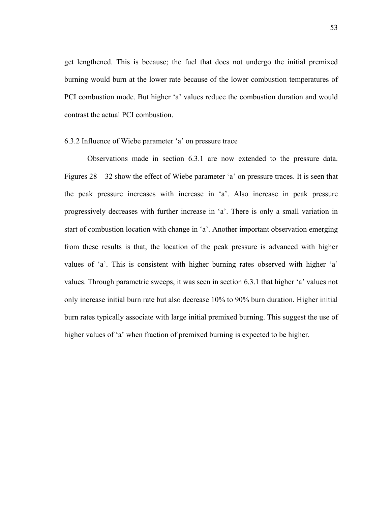get lengthened. This is because; the fuel that does not undergo the initial premixed burning would burn at the lower rate because of the lower combustion temperatures of PCI combustion mode. But higher 'a' values reduce the combustion duration and would contrast the actual PCI combustion.

### 6.3.2 Influence of Wiebe parameter 'a' on pressure trace

Observations made in section 6.3.1 are now extended to the pressure data. Figures 28 – 32 show the effect of Wiebe parameter 'a' on pressure traces. It is seen that the peak pressure increases with increase in 'a'. Also increase in peak pressure progressively decreases with further increase in 'a'. There is only a small variation in start of combustion location with change in 'a'. Another important observation emerging from these results is that, the location of the peak pressure is advanced with higher values of 'a'. This is consistent with higher burning rates observed with higher 'a' values. Through parametric sweeps, it was seen in section 6.3.1 that higher 'a' values not only increase initial burn rate but also decrease 10% to 90% burn duration. Higher initial burn rates typically associate with large initial premixed burning. This suggest the use of higher values of 'a' when fraction of premixed burning is expected to be higher.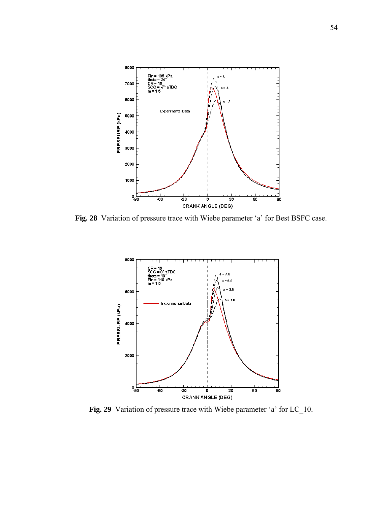

**Fig. 28** Variation of pressure trace with Wiebe parameter 'a' for Best BSFC case.



Fig. 29 Variation of pressure trace with Wiebe parameter 'a' for LC\_10.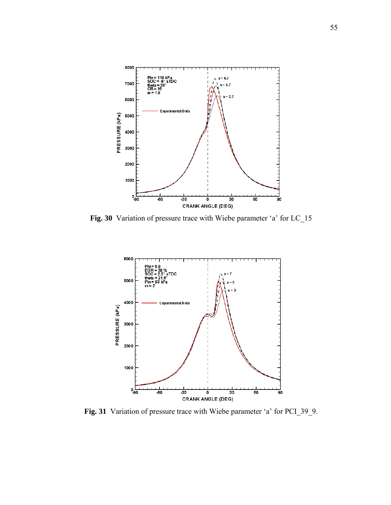

**Fig. 30** Variation of pressure trace with Wiebe parameter 'a' for LC\_15



**Fig. 31** Variation of pressure trace with Wiebe parameter 'a' for PCI\_39\_9.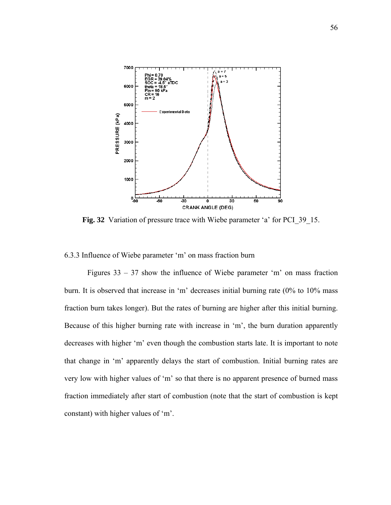

Fig. 32 Variation of pressure trace with Wiebe parameter 'a' for PCI 39 15.

6.3.3 Influence of Wiebe parameter 'm' on mass fraction burn

Figures 33 – 37 show the influence of Wiebe parameter 'm' on mass fraction burn. It is observed that increase in 'm' decreases initial burning rate (0% to 10% mass fraction burn takes longer). But the rates of burning are higher after this initial burning. Because of this higher burning rate with increase in 'm', the burn duration apparently decreases with higher 'm' even though the combustion starts late. It is important to note that change in 'm' apparently delays the start of combustion. Initial burning rates are very low with higher values of 'm' so that there is no apparent presence of burned mass fraction immediately after start of combustion (note that the start of combustion is kept constant) with higher values of 'm'.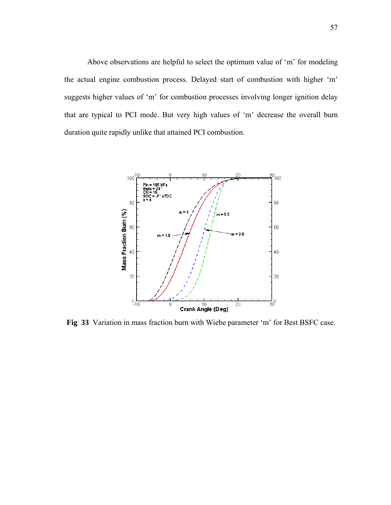Above observations are helpful to select the optimum value of 'm' for modeling the actual engine combustion process. Delayed start of combustion with higher 'm' suggests higher values of 'm' for combustion processes involving longer ignition delay that are typical to PCI mode. But very high values of 'm' decrease the overall burn duration quite rapidly unlike that attained PCI combustion.



**Fig 33** Variation in mass fraction burn with Wiebe parameter 'm' for Best BSFC case.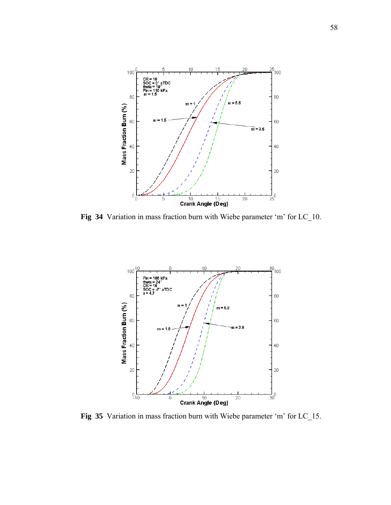

**Fig 34** Variation in mass fraction burn with Wiebe parameter 'm' for LC\_10.



**Fig 35** Variation in mass fraction burn with Wiebe parameter 'm' for LC\_15.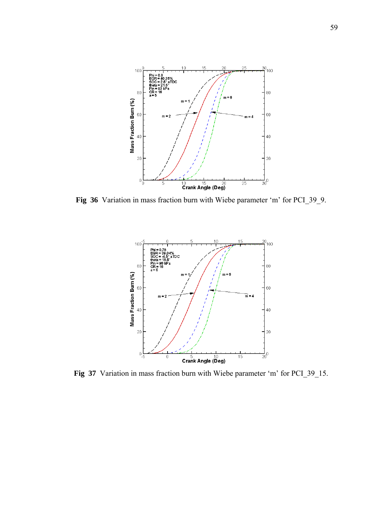

**Fig 36** Variation in mass fraction burn with Wiebe parameter 'm' for PCI\_39\_9.



**Fig 37** Variation in mass fraction burn with Wiebe parameter 'm' for PCI\_39\_15.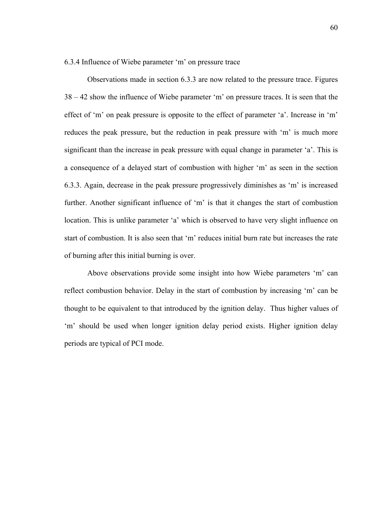6.3.4 Influence of Wiebe parameter 'm' on pressure trace

Observations made in section 6.3.3 are now related to the pressure trace. Figures 38 – 42 show the influence of Wiebe parameter 'm' on pressure traces. It is seen that the effect of 'm' on peak pressure is opposite to the effect of parameter 'a'. Increase in 'm' reduces the peak pressure, but the reduction in peak pressure with 'm' is much more significant than the increase in peak pressure with equal change in parameter 'a'. This is a consequence of a delayed start of combustion with higher 'm' as seen in the section 6.3.3. Again, decrease in the peak pressure progressively diminishes as 'm' is increased further. Another significant influence of 'm' is that it changes the start of combustion location. This is unlike parameter 'a' which is observed to have very slight influence on start of combustion. It is also seen that 'm' reduces initial burn rate but increases the rate of burning after this initial burning is over.

Above observations provide some insight into how Wiebe parameters 'm' can reflect combustion behavior. Delay in the start of combustion by increasing 'm' can be thought to be equivalent to that introduced by the ignition delay. Thus higher values of 'm' should be used when longer ignition delay period exists. Higher ignition delay periods are typical of PCI mode.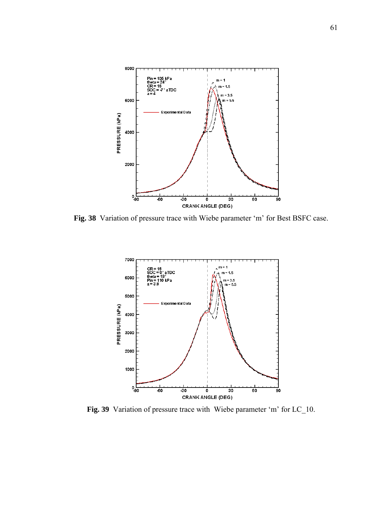

**Fig. 38** Variation of pressure trace with Wiebe parameter 'm' for Best BSFC case.



Fig. 39 Variation of pressure trace with Wiebe parameter 'm' for LC\_10.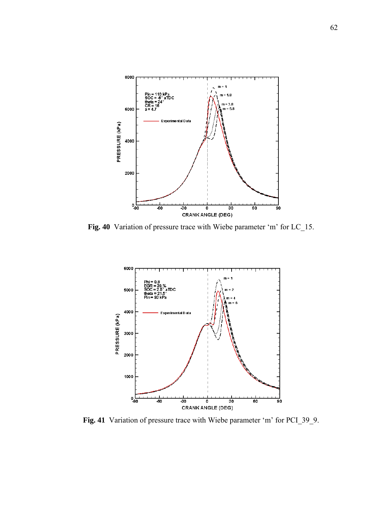

**Fig. 40** Variation of pressure trace with Wiebe parameter 'm' for LC\_15.



**Fig. 41** Variation of pressure trace with Wiebe parameter 'm' for PCI\_39\_9.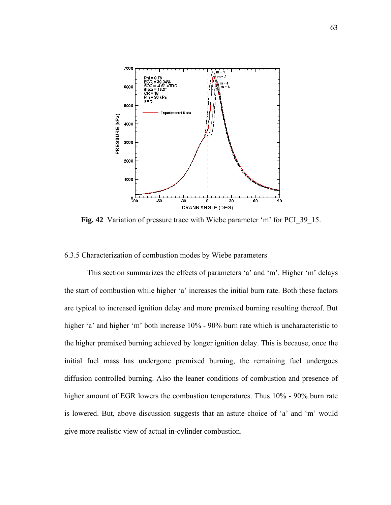

Fig. 42 Variation of pressure trace with Wiebe parameter 'm' for PCI 39 15.

## 6.3.5 Characterization of combustion modes by Wiebe parameters

This section summarizes the effects of parameters 'a' and 'm'. Higher 'm' delays the start of combustion while higher 'a' increases the initial burn rate. Both these factors are typical to increased ignition delay and more premixed burning resulting thereof. But higher 'a' and higher 'm' both increase 10% - 90% burn rate which is uncharacteristic to the higher premixed burning achieved by longer ignition delay. This is because, once the initial fuel mass has undergone premixed burning, the remaining fuel undergoes diffusion controlled burning. Also the leaner conditions of combustion and presence of higher amount of EGR lowers the combustion temperatures. Thus 10% - 90% burn rate is lowered. But, above discussion suggests that an astute choice of 'a' and 'm' would give more realistic view of actual in-cylinder combustion.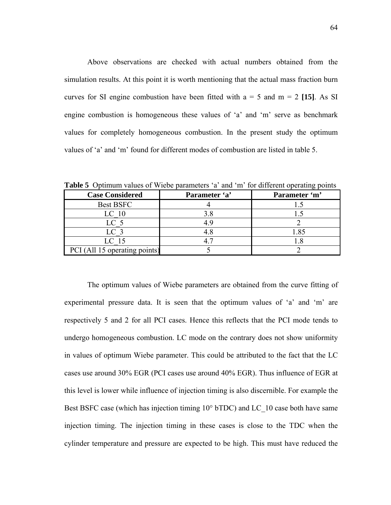Above observations are checked with actual numbers obtained from the simulation results. At this point it is worth mentioning that the actual mass fraction burn curves for SI engine combustion have been fitted with  $a = 5$  and  $m = 2$  [15]. As SI engine combustion is homogeneous these values of 'a' and 'm' serve as benchmark values for completely homogeneous combustion. In the present study the optimum values of 'a' and 'm' found for different modes of combustion are listed in table 5.

| <b>Case Considered</b>        | Parameter 'a' | Parameter 'm' |
|-------------------------------|---------------|---------------|
| <b>Best BSFC</b>              |               |               |
| LC 10                         |               |               |
| LC 5                          |               |               |
| LC 3                          |               | .85           |
| LC 15                         |               |               |
| PCI (All 15 operating points) |               |               |

**Table 5** Optimum values of Wiebe parameters 'a' and 'm' for different operating points

The optimum values of Wiebe parameters are obtained from the curve fitting of experimental pressure data. It is seen that the optimum values of 'a' and 'm' are respectively 5 and 2 for all PCI cases. Hence this reflects that the PCI mode tends to undergo homogeneous combustion. LC mode on the contrary does not show uniformity in values of optimum Wiebe parameter. This could be attributed to the fact that the LC cases use around 30% EGR (PCI cases use around 40% EGR). Thus influence of EGR at this level is lower while influence of injection timing is also discernible. For example the Best BSFC case (which has injection timing 10° bTDC) and LC\_10 case both have same injection timing. The injection timing in these cases is close to the TDC when the cylinder temperature and pressure are expected to be high. This must have reduced the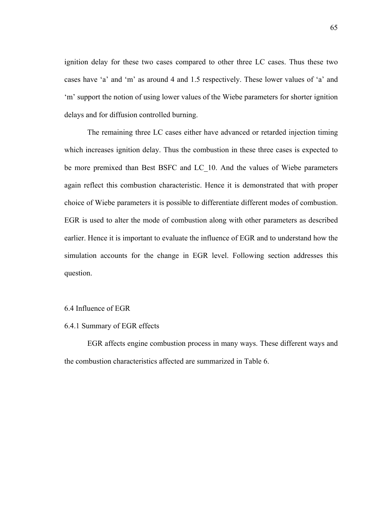ignition delay for these two cases compared to other three LC cases. Thus these two cases have 'a' and 'm' as around 4 and 1.5 respectively. These lower values of 'a' and 'm' support the notion of using lower values of the Wiebe parameters for shorter ignition delays and for diffusion controlled burning.

The remaining three LC cases either have advanced or retarded injection timing which increases ignition delay. Thus the combustion in these three cases is expected to be more premixed than Best BSFC and LC\_10. And the values of Wiebe parameters again reflect this combustion characteristic. Hence it is demonstrated that with proper choice of Wiebe parameters it is possible to differentiate different modes of combustion. EGR is used to alter the mode of combustion along with other parameters as described earlier. Hence it is important to evaluate the influence of EGR and to understand how the simulation accounts for the change in EGR level. Following section addresses this question.

#### 6.4 Influence of EGR

# 6.4.1 Summary of EGR effects

EGR affects engine combustion process in many ways. These different ways and the combustion characteristics affected are summarized in Table 6.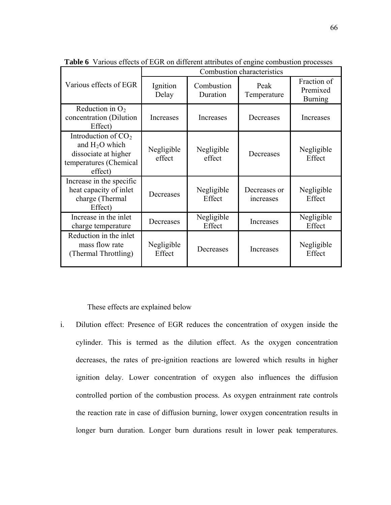|                                                                                                       | Combustion characteristics |                        |                                 |                                           |  |
|-------------------------------------------------------------------------------------------------------|----------------------------|------------------------|---------------------------------|-------------------------------------------|--|
| Various effects of EGR                                                                                | Ignition<br>Delay          | Combustion<br>Duration | Peak<br>Temperature             | Fraction of<br>Premixed<br><b>Burning</b> |  |
| Reduction in $O2$<br>concentration (Dilution<br>Effect)                                               | Increases                  | Increases              | Decreases                       | Increases                                 |  |
| Introduction of $CO2$<br>and $H2O$ which<br>dissociate at higher<br>temperatures (Chemical<br>effect) | Negligible<br>effect       | Negligible<br>effect   | Decreases                       | Negligible<br>Effect                      |  |
| Increase in the specific<br>heat capacity of inlet<br>charge (Thermal<br>Effect)                      | Decreases                  | Negligible<br>Effect   | Decreases or<br><i>ncreases</i> | Negligible<br>Effect                      |  |
| Increase in the inlet<br>charge temperature                                                           | Decreases                  | Negligible<br>Effect   | Increases                       | Negligible<br>Effect                      |  |
| Reduction in the inlet<br>mass flow rate<br>(Thermal Throttling)                                      | Negligible<br>Effect       | Decreases              | Increases                       | Negligible<br>Effect                      |  |

**Table 6** Various effects of EGR on different attributes of engine combustion processes

These effects are explained below

i. Dilution effect: Presence of EGR reduces the concentration of oxygen inside the cylinder. This is termed as the dilution effect. As the oxygen concentration decreases, the rates of pre-ignition reactions are lowered which results in higher ignition delay. Lower concentration of oxygen also influences the diffusion controlled portion of the combustion process. As oxygen entrainment rate controls the reaction rate in case of diffusion burning, lower oxygen concentration results in longer burn duration. Longer burn durations result in lower peak temperatures.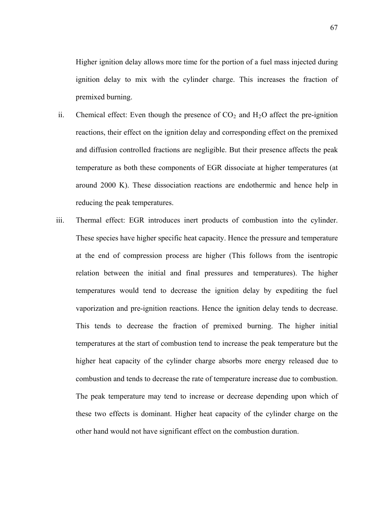Higher ignition delay allows more time for the portion of a fuel mass injected during ignition delay to mix with the cylinder charge. This increases the fraction of premixed burning.

- around 2000 K). These dissociation reactions are endothermic and hence help in ii. Chemical effect: Even though the presence of  $CO<sub>2</sub>$  and  $H<sub>2</sub>O$  affect the pre-ignition reactions, their effect on the ignition delay and corresponding effect on the premixed and diffusion controlled fractions are negligible. But their presence affects the peak temperature as both these components of EGR dissociate at higher temperatures (at reducing the peak temperatures.
- these two effects is dominant. Higher heat capacity of the cylinder charge on the other hand would not have significant effect on the combustion duration. iii. Thermal effect: EGR introduces inert products of combustion into the cylinder. These species have higher specific heat capacity. Hence the pressure and temperature at the end of compression process are higher (This follows from the isentropic relation between the initial and final pressures and temperatures). The higher temperatures would tend to decrease the ignition delay by expediting the fuel vaporization and pre-ignition reactions. Hence the ignition delay tends to decrease. This tends to decrease the fraction of premixed burning. The higher initial temperatures at the start of combustion tend to increase the peak temperature but the higher heat capacity of the cylinder charge absorbs more energy released due to combustion and tends to decrease the rate of temperature increase due to combustion. The peak temperature may tend to increase or decrease depending upon which of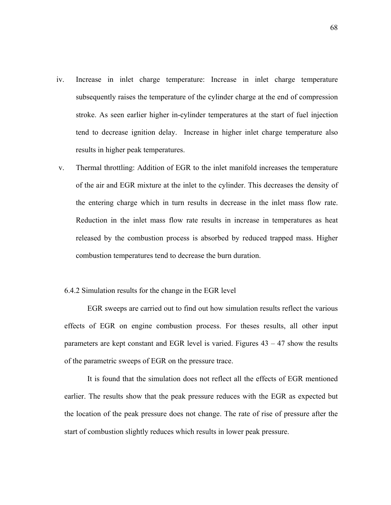- iv. Increase in inlet charge temperature: Increase in inlet charge temperature subsequently raises the temperature of the cylinder charge at the end of compression stroke. As seen earlier higher in-cylinder temperatures at the start of fuel injection tend to decrease ignition delay. Increase in higher inlet charge temperature also results in higher peak temperatures.
- released by the combustion process is absorbed by reduced trapped mass. Higher combustion temperatures tend to decrease the burn duration. v. Thermal throttling: Addition of EGR to the inlet manifold increases the temperature of the air and EGR mixture at the inlet to the cylinder. This decreases the density of the entering charge which in turn results in decrease in the inlet mass flow rate. Reduction in the inlet mass flow rate results in increase in temperatures as heat

#### 6.4.2 S imulation results for the change in the EGR level

parameters are kept constant and EGR level is varied. Figures  $43 - 47$  show the results of the p arametric sweeps of EGR on the pressure trace. EGR sweeps are carried out to find out how simulation results reflect the various effects of EGR on engine combustion process. For theses results, all other input

the location of the peak pressure does not change. The rate of rise of pressure after the start of combustion slightly reduces which results in lower peak pressure. It is found that the simulation does not reflect all the effects of EGR mentioned earlier. The results show that the peak pressure reduces with the EGR as expected but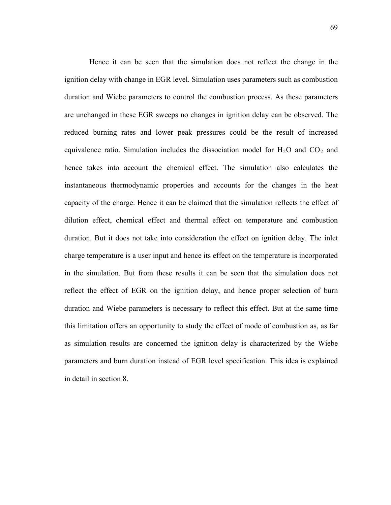Hence it can be seen that the simulation does not reflect the change in the ignition delay with change in EGR level. Simulation uses parameters such as combustion duration and Wiebe parameters to control the combustion process. As these parameters are unchanged in these EGR sweeps no changes in ignition delay can be observed. The reduced burning rates and lower peak pressures could be the result of increased equivalence ratio. Simulation includes the dissociation model for  $H_2O$  and  $CO_2$  and hence takes into account the chemical effect. The simulation also calculates the instantaneous thermodynamic properties and accounts for the changes in the heat capacity of the charge. Hence it can be claimed that the simulation reflects the effect of dilution effect, chemical effect and thermal effect on temperature and combustion duration. But it does not take into consideration the effect on ignition delay. The inlet charge temperature is a user input and hence its effect on the temperature is incorporated in the simulation. But from these results it can be seen that the simulation does not reflect the effect of EGR on the ignition delay, and hence proper selection of burn duration and Wiebe parameters is necessary to reflect this effect. But at the same time this limitation offers an opportunity to study the effect of mode of combustion as, as far as simulation results are concerned the ignition delay is characterized by the Wiebe parameters and burn duration instead of EGR level specification. This idea is explained in detail in section 8.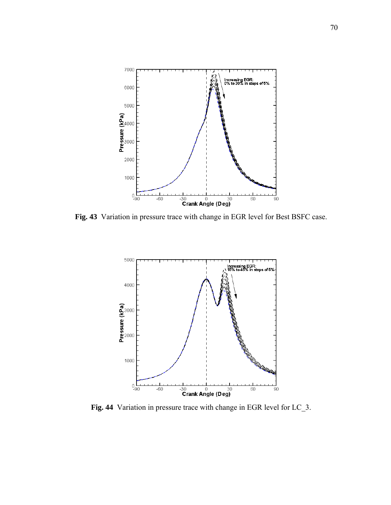

**Fig. 43** Variation in pressure trace with change in EGR level for Best BSFC case.



**Fig. 44** Variation in pressure trace with change in EGR level for LC\_3.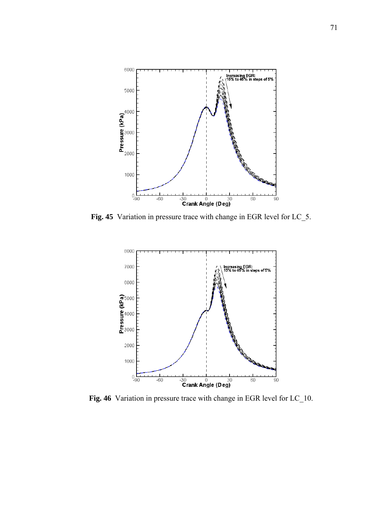

**Fig. 45** Variation in pressure trace with change in EGR level for LC\_5.



**Fig. 46** Variation in pressure trace with change in EGR level for LC\_10.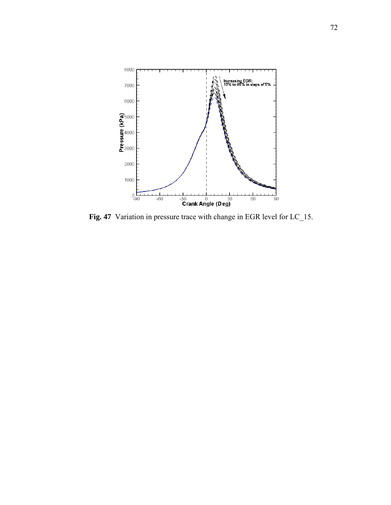

**Fig. 47** Variation in pressure trace with change in EGR level for LC\_15.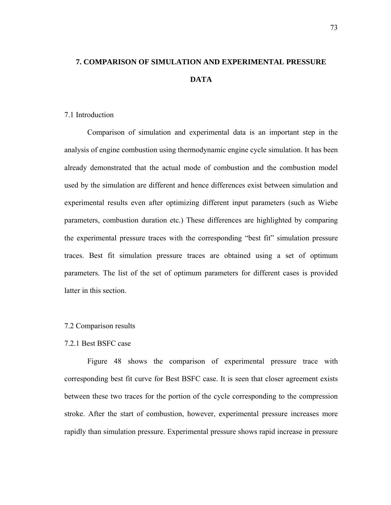# **7. COMPARISON OF SIMULATION AND EXPERIMENTAL PRESSURE DATA**

#### 7.1 Introduction

Comparison of simulation and experimental data is an important step in the analysis of engine combustion using thermodynamic engine cycle simulation. It has been already demonstrated that the actual mode of combustion and the combustion model used by the simulation are different and hence differences exist between simulation and experimental results even after optimizing different input parameters (such as Wiebe parameters, combustion duration etc.) These differences are highlighted by comparing the experimental pressure traces with the corresponding "best fit" simulation pressure traces. Best fit simulation pressure traces are obtained using a set of optimum parameters. The list of the set of optimum parameters for different cases is provided latter in this section.

## 7.2 Comparison results

## 7.2.1 Best BSFC case

Figure 48 shows the comparison of experimental pressure trace with corresponding best fit curve for Best BSFC case. It is seen that closer agreement exists between these two traces for the portion of the cycle corresponding to the compression stroke. After the start of combustion, however, experimental pressure increases more rapidly than simulation pressure. Experimental pressure shows rapid increase in pressure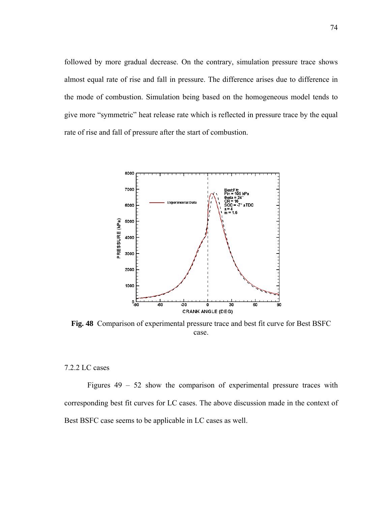followed by more gradual decrease. On the contrary, simulation pressure trace shows almost equal rate of rise and fall in pressure. The difference arises due to difference in the mode of combustion. Simulation being based on the homogeneous model tends to give more "symmetric" heat release rate which is reflected in pressure trace by the equal rate of rise and fall of pressure after the start of combustion.



**Fig. 48** Comparison of experimental pressure trace and best fit curve for Best BSFC case.

## 7.2.2 LC cases

Figures  $49 - 52$  show the comparison of experimental pressure traces with corresponding best fit curves for LC cases. The above discussion made in the context of Best BSFC case seems to be applicable in LC cases as well.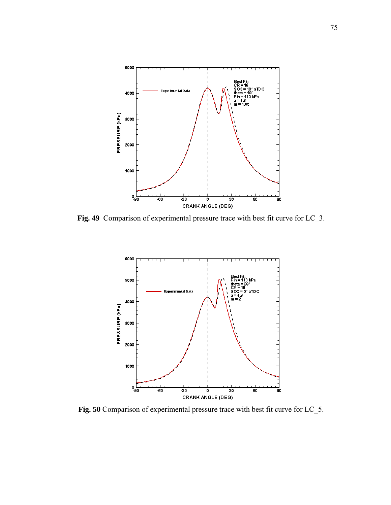

**Fig. 49** Comparison of experimental pressure trace with best fit curve for LC\_3.



**Fig. 50** Comparison of experimental pressure trace with best fit curve for LC\_5.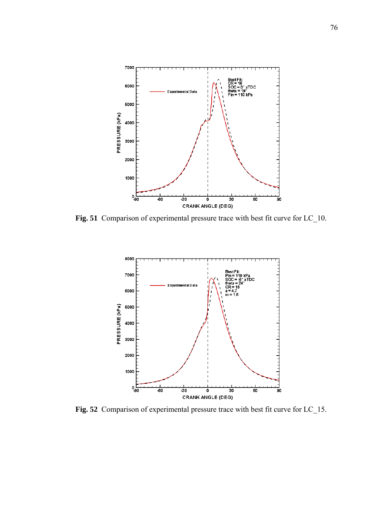

**Fig. 51** Comparison of experimental pressure trace with best fit curve for LC\_10.



**Fig. 52** Comparison of experimental pressure trace with best fit curve for LC\_15.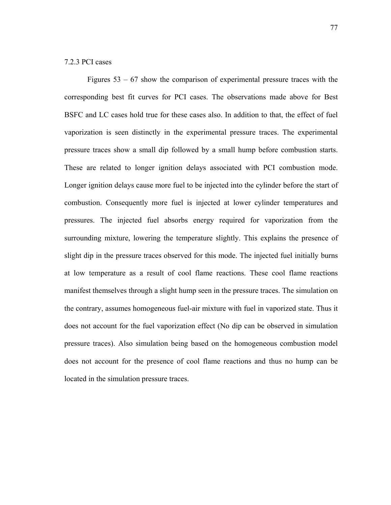#### 7.2.3 PCI cases

Figures 53 – 67 show the comparison of experimental pressure traces with the corresponding best fit curves for PCI cases. The observations made above for Best BSFC and LC cases hold true for these cases also. In addition to that, the effect of fuel vaporization is seen distinctly in the experimental pressure traces. The experimental pressure traces show a small dip followed by a small hump before combustion starts. These are related to longer ignition delays associated with PCI combustion mode. Longer ignition delays cause more fuel to be injected into the cylinder before the start of combustion. Consequently more fuel is injected at lower cylinder temperatures and pressures. The injected fuel absorbs energy required for vaporization from the surrounding mixture, lowering the temperature slightly. This explains the presence of slight dip in the pressure traces observed for this mode. The injected fuel initially burns at low temperature as a result of cool flame reactions. These cool flame reactions manifest themselves through a slight hump seen in the pressure traces. The simulation on the contrary, assumes homogeneous fuel-air mixture with fuel in vaporized state. Thus it does not account for the fuel vaporization effect (No dip can be observed in simulation pressure traces). Also simulation being based on the homogeneous combustion model does not account for the presence of cool flame reactions and thus no hump can be located in the simulation pressure traces.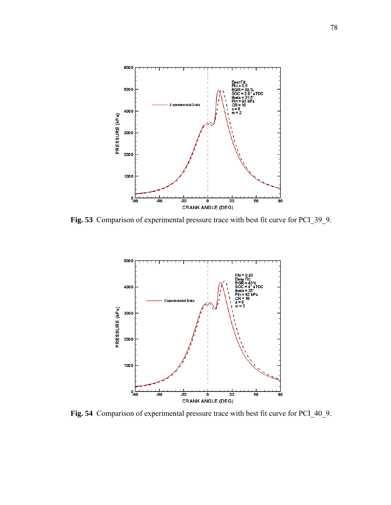

**Fig. 53** Comparison of experimental pressure trace with best fit curve for PCI\_39\_9.



**Fig. 54** Comparison of experimental pressure trace with best fit curve for PCI\_40\_9.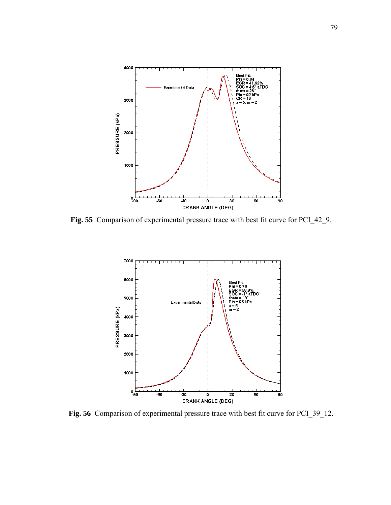

**Fig. 55** Comparison of experimental pressure trace with best fit curve for PCI\_42\_9.



**Fig. 56** Comparison of experimental pressure trace with best fit curve for PCI\_39\_12.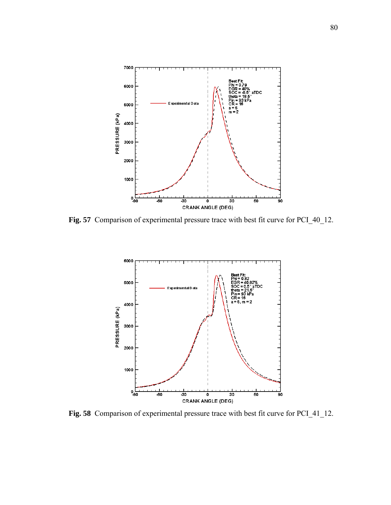

**Fig. 57** Comparison of experimental pressure trace with best fit curve for PCI\_40\_12.



**Fig. 58** Comparison of experimental pressure trace with best fit curve for PCI\_41\_12.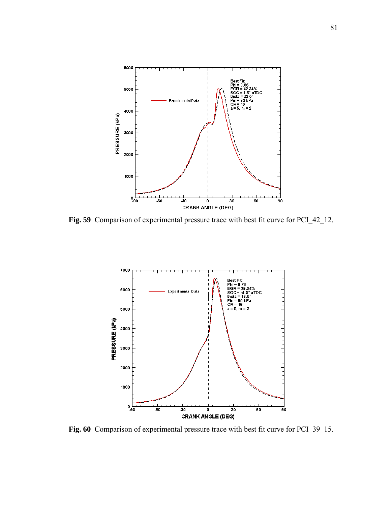

**Fig. 59** Comparison of experimental pressure trace with best fit curve for PCI\_42\_12.



**Fig. 60** Comparison of experimental pressure trace with best fit curve for PCI\_39\_15.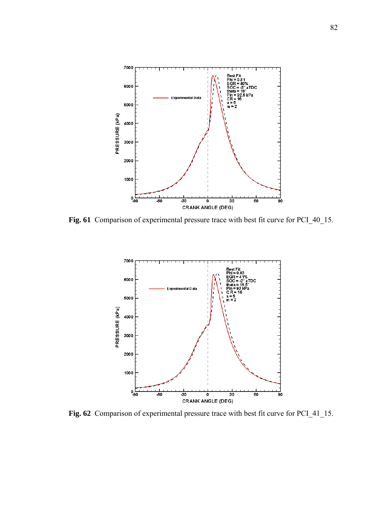

**Fig. 61** Comparison of experimental pressure trace with best fit curve for PCI\_40\_15.



**Fig. 62** Comparison of experimental pressure trace with best fit curve for PCI\_41\_15.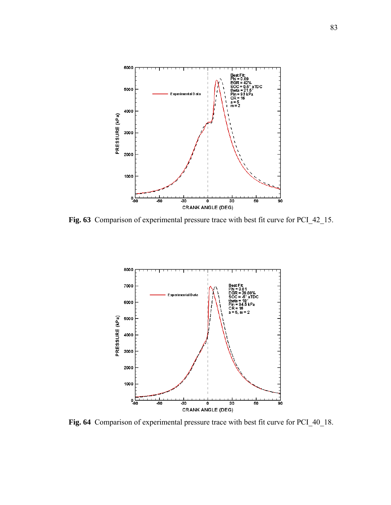

**Fig. 63** Comparison of experimental pressure trace with best fit curve for PCI\_42\_15.



**Fig. 64** Comparison of experimental pressure trace with best fit curve for PCI\_40\_18.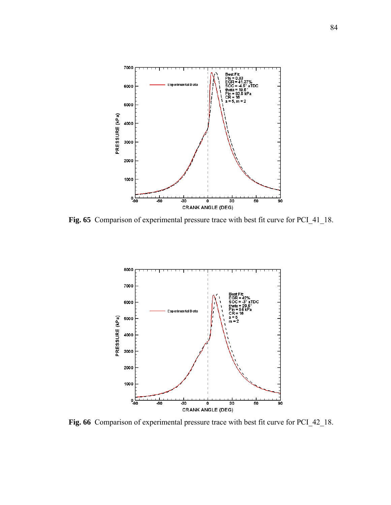

**Fig. 65** Comparison of experimental pressure trace with best fit curve for PCI\_41\_18.



**Fig. 66** Comparison of experimental pressure trace with best fit curve for PCI\_42\_18.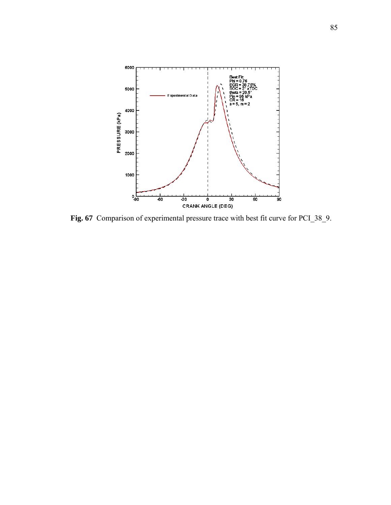

**Fig. 67** Comparison of experimental pressure trace with best fit curve for PCI\_38\_9.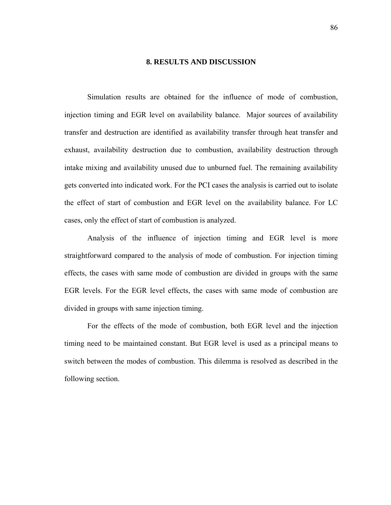#### **8. RESULTS AND DISCUSSION**

Simulation results are obtained for the influence of mode of combustion, injection timing and EGR level on availability balance. Major sources of availability transfer and destruction are identified as availability transfer through heat transfer and exhaust, availability destruction due to combustion, availability destruction through intake mixing and availability unused due to unburned fuel. The remaining availability gets converted into indicated work. For the PCI cases the analysis is carried out to isolate the effect of start of combustion and EGR level on the availability balance. For LC cases, only the effect of start of combustion is analyzed.

Analysis of the influence of injection timing and EGR level is more straightforward compared to the analysis of mode of combustion. For injection timing effects, the cases with same mode of combustion are divided in groups with the same EGR levels. For the EGR level effects, the cases with same mode of combustion are divided in groups with same injection timing.

For the effects of the mode of combustion, both EGR level and the injection timing need to be maintained constant. But EGR level is used as a principal means to switch between the modes of combustion. This dilemma is resolved as described in the following section.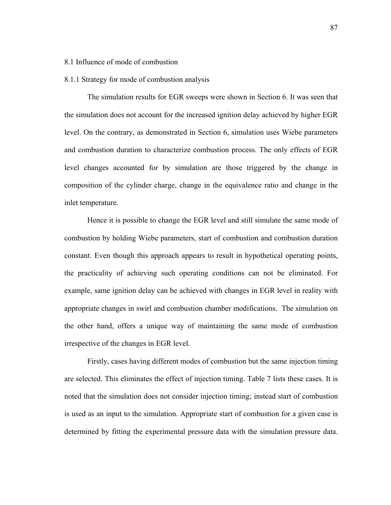#### 8.1 Influence of mode of combustion

#### 8.1.1 Strategy for mode of combustion analysis

The simulation results for EGR sweeps were shown in Section 6. It was seen that the simulation does not account for the increased ignition delay achieved by higher EGR level. On the contrary, as demonstrated in Section 6, simulation uses Wiebe parameters and combustion duration to characterize combustion process. The only effects of EGR level changes accounted for by simulation are those triggered by the change in composition of the cylinder charge, change in the equivalence ratio and change in the inlet temperature.

Hence it is possible to change the EGR level and still simulate the same mode of combustion by holding Wiebe parameters, start of combustion and combustion duration constant. Even though this approach appears to result in hypothetical operating points, the practicality of achieving such operating conditions can not be eliminated. For example, same ignition delay can be achieved with changes in EGR level in reality with appropriate changes in swirl and combustion chamber modifications. The simulation on the other hand, offers a unique way of maintaining the same mode of combustion irrespective of the changes in EGR level.

Firstly, cases having different modes of combustion but the same injection timing are selected. This eliminates the effect of injection timing. Table 7 lists these cases. It is noted that the simulation does not consider injection timing; instead start of combustion is used as an input to the simulation. Appropriate start of combustion for a given case is determined by fitting the experimental pressure data with the simulation pressure data.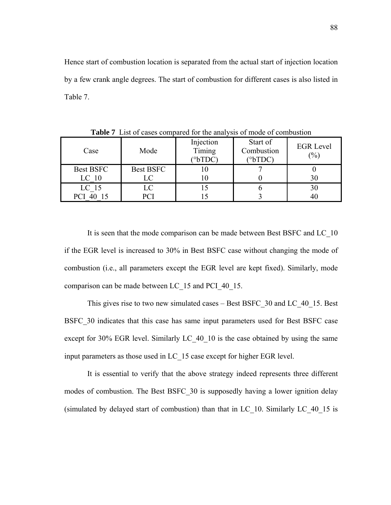Hence start of combustion location is separated from the actual start of injection location by a few crank angle degrees. The start of combustion for different cases is also listed in Table 7.

| Case             | Mode             | Injection<br>Timing<br>$(^{\circ}bTDC)$ | Start of<br>Combustion<br>$(^{\circ}bTDC)$ | <b>EGR</b> Level<br>$\frac{(0)}{0}$ |
|------------------|------------------|-----------------------------------------|--------------------------------------------|-------------------------------------|
| Best BSFC        | <b>Best BSFC</b> |                                         |                                            |                                     |
| LC <sub>10</sub> | LC               |                                         |                                            |                                     |
| LC <sub>15</sub> | LC               |                                         |                                            |                                     |
|                  | PCI              |                                         |                                            |                                     |

**Table 7** List of cases compared for the analysis of mode of combustion

It is seen that the mode comparison can be made between Best BSFC and LC\_10 if the EGR level is increased to 30% in Best BSFC case without changing the mode of combustion (i.e., all parameters except the EGR level are kept fixed). Similarly, mode comparison can be made between LC\_15 and PCI\_40\_15.

This gives rise to two new simulated cases – Best BSFC\_30 and LC\_40\_15. Best BSFC\_30 indicates that this case has same input parameters used for Best BSFC case except for 30% EGR level. Similarly LC 40–10 is the case obtained by using the same input parameters as those used in LC\_15 case except for higher EGR level.

It is essential to verify that the above strategy indeed represents three different modes of combustion. The Best BSFC\_30 is supposedly having a lower ignition delay (simulated by delayed start of combustion) than that in LC\_10. Similarly LC\_40\_15 is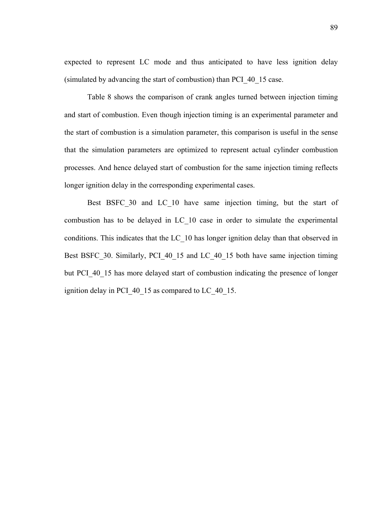expected to represent LC mode and thus anticipated to have less ignition delay (simulated by advancing the start of combustion) than PCI\_40\_15 case.

Table 8 shows the comparison of crank angles turned between injection timing and start of combustion. Even though injection timing is an experimental parameter and the start of combustion is a simulation parameter, this comparison is useful in the sense that the simulation parameters are optimized to represent actual cylinder combustion processes. And hence delayed start of combustion for the same injection timing reflects longer ignition delay in the corresponding experimental cases.

Best BSFC\_30 and LC\_10 have same injection timing, but the start of combustion has to be delayed in LC\_10 case in order to simulate the experimental conditions. This indicates that the LC\_10 has longer ignition delay than that observed in Best BSFC 30. Similarly, PCI 40 15 and LC 40 15 both have same injection timing but PCI 40 15 has more delayed start of combustion indicating the presence of longer ignition delay in PCI 40 15 as compared to LC 40 15.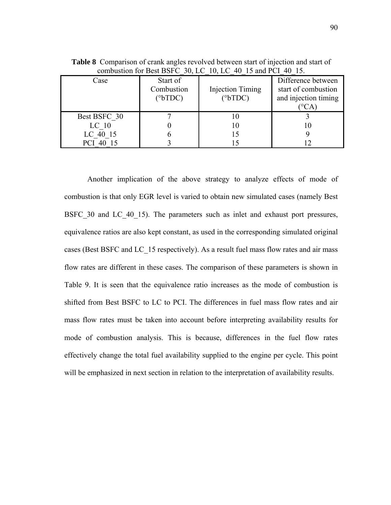| Case             | Start of<br>Combustion<br>$(^{\circ}bTDC)$ | <b>Injection Timing</b><br>$(^{\circ}bTDC)$ | Difference between<br>start of combustion<br>and injection timing |
|------------------|--------------------------------------------|---------------------------------------------|-------------------------------------------------------------------|
| Best BSFC 30     |                                            | 10                                          |                                                                   |
| LC <sub>10</sub> |                                            | 10                                          |                                                                   |
| LC 40 15         |                                            |                                             |                                                                   |
|                  |                                            |                                             |                                                                   |

**Table 8** Comparison of crank angles revolved between start of injection and start of combustion for Best BSFC\_30, LC\_10, LC\_40\_15 and PCI\_40\_15.

Another implication of the above strategy to analyze effects of mode of combustion is that only EGR level is varied to obtain new simulated cases (namely Best BSFC 30 and LC 40 15). The parameters such as inlet and exhaust port pressures, equivalence ratios are also kept constant, as used in the corresponding simulated original cases (Best BSFC and LC\_15 respectively). As a result fuel mass flow rates and air mass flow rates are different in these cases. The comparison of these parameters is shown in Table 9. It is seen that the equivalence ratio increases as the mode of combustion is shifted from Best BSFC to LC to PCI. The differences in fuel mass flow rates and air mass flow rates must be taken into account before interpreting availability results for mode of combustion analysis. This is because, differences in the fuel flow rates effectively change the total fuel availability supplied to the engine per cycle. This point will be emphasized in next section in relation to the interpretation of availability results.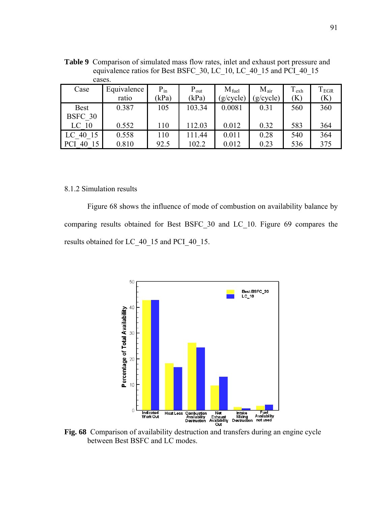| Cascs.           |             |          |           |                   |                  |           |           |
|------------------|-------------|----------|-----------|-------------------|------------------|-----------|-----------|
| Case             | Equivalence | $P_{in}$ | $P_{out}$ | $M_{\text{fuel}}$ | $M_{\text{air}}$ | $T_{exh}$ | $T_{EGR}$ |
|                  | ratio       | kPa)     | (kPa)     | (g/cycle)         | $g/cycle$ )      | $\bf(K)$  | (K)       |
| <b>Best</b>      | 0.387       | 105      | 103.34    | 0.0081            | 0.31             | 560       | 360       |
| BSFC 30          |             |          |           |                   |                  |           |           |
| LC <sub>10</sub> | 0.552       | 110      | 112.03    | 0.012             | 0.32             | 583       | 364       |
| LC 40 15         | 0.558       | 110      | 111.44    | 0.011             | 0.28             | 540       | 364       |
| <b>PCI</b><br>40 | 0.810       | 92.5     | 102.2     | 0.012             | 0.23             | 536       | 375       |

**Table 9** Comparison of simulated mass flow rates, inlet and exhaust port pressure and equivalence ratios for Best BSFC\_30, LC\_10, LC\_40\_15 and PCI\_40\_15 cases.

#### 8.1.2 Simulation results

Figure 68 shows the influence of mode of combustion on availability balance by comparing results obtained for Best BSFC\_30 and LC\_10. Figure 69 compares the results obtained for LC\_40\_15 and PCI\_40\_15.



**Fig. 68** Comparison of availability destruction and transfers during an engine cycle between Best BSFC and LC modes.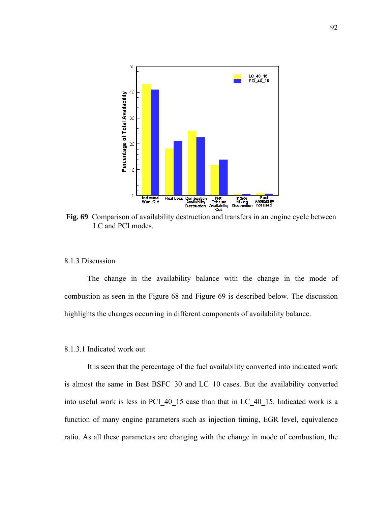

**Fig. 69** Comparison of availability destruction and transfers in an engine cycle between LC and PCI modes.

# 8.1.3 Discussion

The change in the availability balance with the change in the mode of combustion as seen in the Figure 68 and Figure 69 is described below. The discussion highlights the changes occurring in different components of availability balance.

# 8.1.3.1 Indicated work out

It is seen that the percentage of the fuel availability converted into indicated work is almost the same in Best BSFC\_30 and LC\_10 cases. But the availability converted into useful work is less in PCI\_40\_15 case than that in LC\_40\_15. Indicated work is a function of many engine parameters such as injection timing, EGR level, equivalence ratio. As all these parameters are changing with the change in mode of combustion, the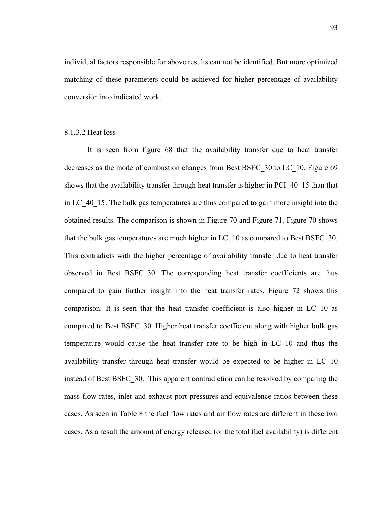individual factors responsible for above results can not be identified. But more optimized matching of these parameters could be achieved for higher percentage of availability conversion into indicated work.

## 8.1.3.2 Heat loss

It is seen from figure 68 that the availability transfer due to heat transfer decreases as the mode of combustion changes from Best BSFC\_30 to LC\_10. Figure 69 shows that the availability transfer through heat transfer is higher in PCI\_40\_15 than that in LC\_40\_15. The bulk gas temperatures are thus compared to gain more insight into the obtained results. The comparison is shown in Figure 70 and Figure 71. Figure 70 shows that the bulk gas temperatures are much higher in LC\_10 as compared to Best BSFC\_30. This contradicts with the higher percentage of availability transfer due to heat transfer observed in Best BSFC\_30. The corresponding heat transfer coefficients are thus compared to gain further insight into the heat transfer rates. Figure 72 shows this comparison. It is seen that the heat transfer coefficient is also higher in LC\_10 as compared to Best BSFC\_30. Higher heat transfer coefficient along with higher bulk gas temperature would cause the heat transfer rate to be high in LC\_10 and thus the availability transfer through heat transfer would be expected to be higher in LC\_10 instead of Best BSFC\_30. This apparent contradiction can be resolved by comparing the mass flow rates, inlet and exhaust port pressures and equivalence ratios between these cases. As seen in Table 8 the fuel flow rates and air flow rates are different in these two cases. As a result the amount of energy released (or the total fuel availability) is different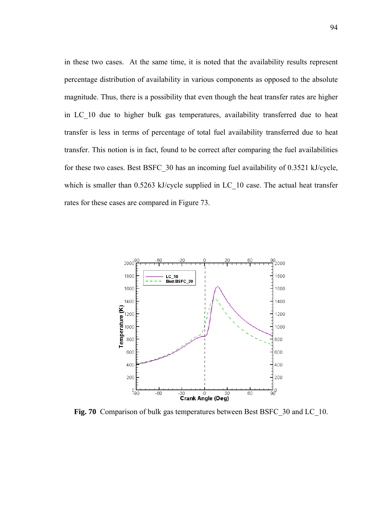in these two cases. At the same time, it is noted that the availability results represent percentage distribution of availability in various components as opposed to the absolute magnitude. Thus, there is a possibility that even though the heat transfer rates are higher in LC\_10 due to higher bulk gas temperatures, availability transferred due to heat transfer is less in terms of percentage of total fuel availability transferred due to heat transfer. This notion is in fact, found to be correct after comparing the fuel availabilities for these two cases. Best BSFC\_30 has an incoming fuel availability of 0.3521 kJ/cycle, which is smaller than 0.5263 kJ/cycle supplied in LC\_10 case. The actual heat transfer rates for these cases are compared in Figure 73.



**Fig. 70** Comparison of bulk gas temperatures between Best BSFC\_30 and LC\_10.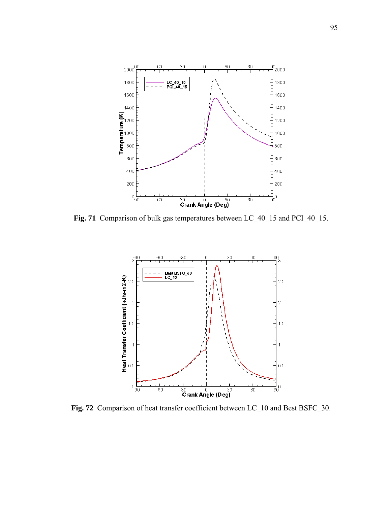

**Fig. 71** Comparison of bulk gas temperatures between LC\_40\_15 and PCI\_40\_15.



**Fig. 72** Comparison of heat transfer coefficient between LC\_10 and Best BSFC\_30.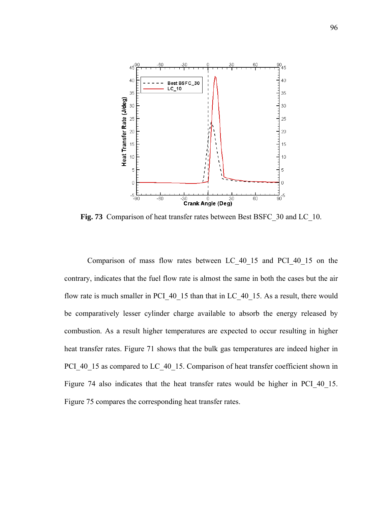

Fig. 73 Comparison of heat transfer rates between Best BSFC 30 and LC 10.

Comparison of mass flow rates between LC\_40\_15 and PCI\_40\_15 on the contrary, indicates that the fuel flow rate is almost the same in both the cases but the air flow rate is much smaller in PCI 40\_15 than that in LC\_40\_15. As a result, there would be comparatively lesser cylinder charge available to absorb the energy released by combustion. As a result higher temperatures are expected to occur resulting in higher heat transfer rates. Figure 71 shows that the bulk gas temperatures are indeed higher in PCI\_40\_15 as compared to LC\_40\_15. Comparison of heat transfer coefficient shown in Figure 74 also indicates that the heat transfer rates would be higher in PCI 40 15. Figure 75 compares the corresponding heat transfer rates.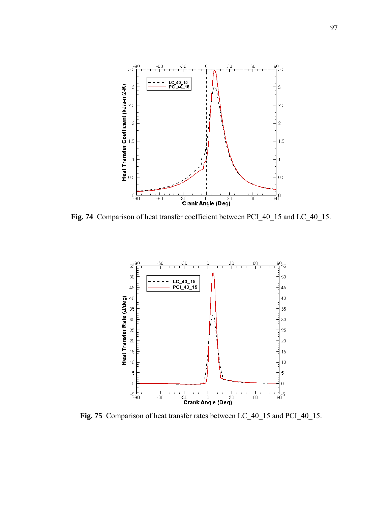

**Fig. 74** Comparison of heat transfer coefficient between PCI\_40\_15 and LC\_40\_15.



**Fig. 75** Comparison of heat transfer rates between LC\_40\_15 and PCI\_40\_15.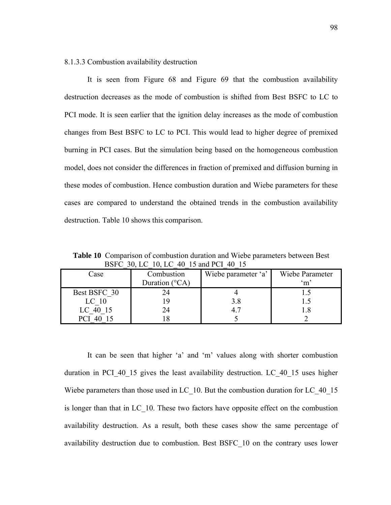8.1.3.3 Combustion availability destruction

It is seen from Figure 68 and Figure 69 that the combustion availability destruc tion decreases as the mode of combustion is shifted from Best BSFC to LC to PCI mode. It is seen earlier that the ignition delay increases as the mode of combustion changes from Best BSFC to LC to PCI. This would lead to higher degree of premixed burning in PCI cases. But the simulation being based on the homogeneous combustion model, does not consider the differences in fraction of premixed and diffusion burning in these modes of combustion. Hence combustion duration and Wiebe parameters for these cases are compared to understand the obtained trends in the combustion availability destruction. Table 10 shows this comparison.

| DOI'V JU, LV TU, LV 40 TJ and IVI 40 TJ |                         |                     |                 |  |  |
|-----------------------------------------|-------------------------|---------------------|-----------------|--|--|
| Case                                    | Combustion              | Wiebe parameter 'a' | Wiebe Parameter |  |  |
|                                         | Duration $(^{\circ}CA)$ |                     | $\mathrm{m}$    |  |  |
| Best BSFC 30                            |                         |                     |                 |  |  |
| LC <sub>10</sub>                        |                         | 3.8                 |                 |  |  |
| LC 40 15                                | 24                      | 4.7                 |                 |  |  |
|                                         |                         |                     |                 |  |  |

**Table 10** Comparison of combustion duration and Wiebe parameters between Best BSFC\_30, LC\_10, LC\_40\_15 and PCI\_40\_15

It can be seen that higher 'a' and 'm' values along with shorter combustion duratio n in PCI\_40\_15 gives the least availability destruction. LC\_40\_15 uses higher Wiebe parameters than those used in LC\_10. But the combustion duration for LC\_40\_15 is longer than that in LC\_10. These two factors have opposite effect on the combustion availability destruction. As a result, both these cases show the same percentage of availability destruction due to combustion. Best BSFC\_10 on the contrary uses lower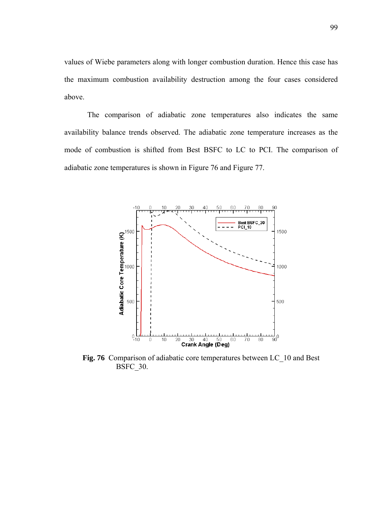values of Wiebe parameters along with longer combustion duration. Hence this case has the maximum combustion availability destruction among the four cases considered above.

The comparison of adiabatic zone temperatures also indicates the same availability balance trends observed. The adiabatic zone temperature increases as the mode of combustion is shifted from Best BSFC to LC to PCI. The comparison of adiabatic zone temperatures is shown in Figure 76 and Figure 77.



**Fig. 76** Comparison of adiabatic core temperatures between LC\_10 and Best BSFC\_30.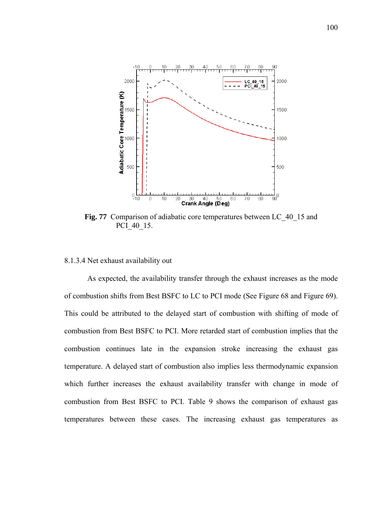

Fig. 77 Comparison of adiabatic core temperatures between LC 40<sup>15</sup> and PCI\_40\_15.

### .1.3.4 Net exhaust availability out 8

As expected, the availability transfer through the exhaust increases as the mode of com bustion shifts from Best BSFC to LC to PCI mode (See Figure 68 and Figure 69). This could be attributed to the delayed start of combustion with shifting of mode of combustion from Best BSFC to PCI. More retarded start of combustion implies that the combustion continues late in the expansion stroke increasing the exhaust gas temperature. A delayed start of combustion also implies less thermodynamic expansion which further increases the exhaust availability transfer with change in mode of combustion from Best BSFC to PCI. Table 9 shows the comparison of exhaust gas temperatures between these cases. The increasing exhaust gas temperatures as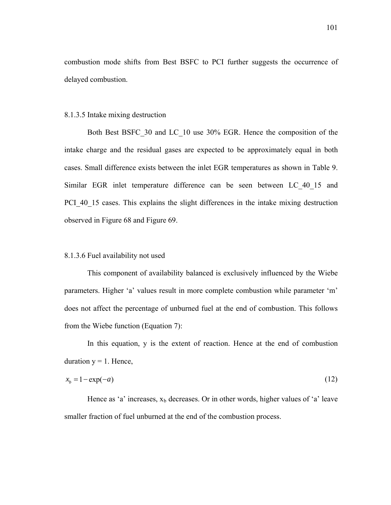combustion mode shifts from Best BSFC to PCI further suggests the occurrence of delayed combustion.

#### 8.1.3.5 Intake mixing destruction

Both Best BSFC\_30 and LC\_10 use 30% EGR. Hence the composition of the intake charge and the residual gases are expected to be approximately equal in both cases. Small difference exists between the inlet EGR temperatures as shown in Table 9. Similar EGR inlet temperature difference can be seen between LC\_40\_15 and PCI 40 15 cases. This explains the slight differences in the intake mixing destruction observed in Figure 68 and Figure 69.

## 8.1.3.6 Fuel availability not used

This component of availability balanced is exclusively influenced by the Wiebe parameters. Higher 'a' values result in more complete combustion while parameter 'm' does not affect the percentage of unburned fuel at the end of combustion. This follows from the Wiebe function (Equation 7):

In this equation, y is the extent of reaction. Hence at the end of combustion duration  $y = 1$ . Hence,

$$
x_b = 1 - \exp(-a) \tag{12}
$$

Hence as 'a' increases,  $x_b$  decreases. Or in other words, higher values of 'a' leave smaller fraction of fuel unburned at the end of the combustion process.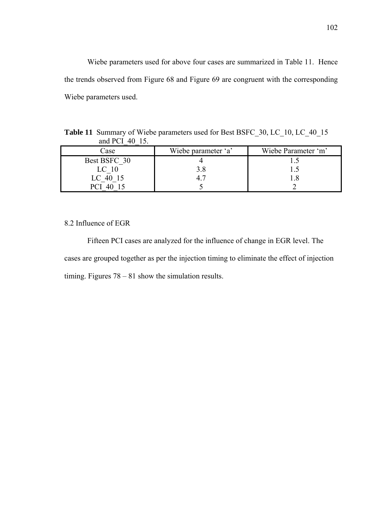Wiebe parameters used for above four cases are summarized in Table 11. Hence the trends observed from Figure 68 and Figure 69 are congruent with the corresponding Wiebe parameters used.

| Table 11 Summary of Wiebe parameters used for Best BSFC_30, LC_10, LC_40_15 |
|-----------------------------------------------------------------------------|
| and PCI 40 15.                                                              |

| Case             | Wiebe parameter 'a' | Wiebe Parameter 'm' |
|------------------|---------------------|---------------------|
| Best BSFC 30     |                     |                     |
| LC <sub>10</sub> |                     |                     |
| $LC$ 40 15       |                     |                     |
| D()              |                     |                     |

8.2 Influence of EGR

Fifteen PCI cases are analyzed for the influence of change in EGR level. The cases are grouped together as per the injection timing to eliminate the effect of injection timing. Figures 78 – 81 show the simulation results.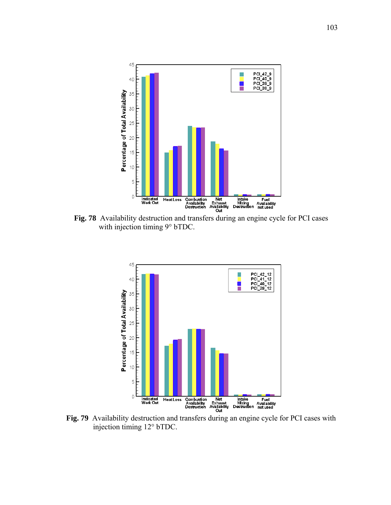

**Fig. 78** Availability destruction and transfers during an engine cycle for PCI cases with injection timing 9° bTDC.



**Fig. 79** Availability destruction and transfers during an engine cycle for PCI cases with injection timing 12° bTDC.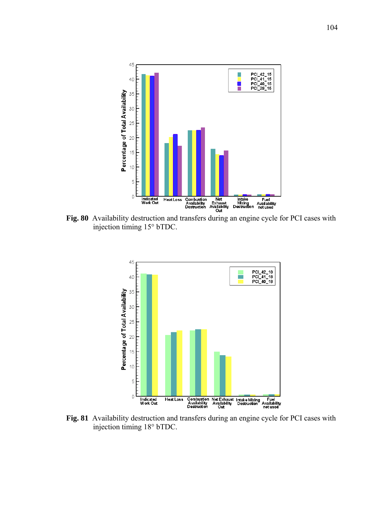

**Fig. 80** Availability destruction and transfers during an engine cycle for PCI cases with injection timing 15° bTDC.



**Fig. 81** Availability destruction and transfers during an engine cycle for PCI cases with injection timing 18° bTDC.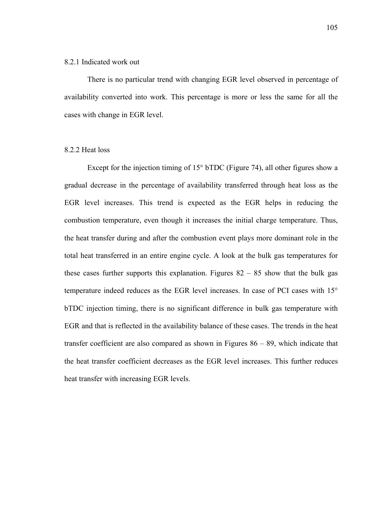#### 8.2.1 Indicated work out

There is no particular trend with changing EGR level observed in percentage of availability converted into work. This percentage is more or less the same for all the cases with change in EGR level.

#### 8.2.2 Heat loss

Except for the injection timing of 15° bTDC (Figure 74), all other figures show a gradual decrease in the percentage of availability transferred through heat loss as the EGR level increases. This trend is expected as the EGR helps in reducing the combustion temperature, even though it increases the initial charge temperature. Thus, the heat transfer during and after the combustion event plays more dominant role in the total heat transferred in an entire engine cycle. A look at the bulk gas temperatures for these cases further supports this explanation. Figures  $82 - 85$  show that the bulk gas temperature indeed reduces as the EGR level increases. In case of PCI cases with 15° bTDC injection timing, there is no significant difference in bulk gas temperature with EGR and that is reflected in the availability balance of these cases. The trends in the heat transfer coefficient are also compared as shown in Figures  $86 - 89$ , which indicate that the heat transfer coefficient decreases as the EGR level increases. This further reduces heat transfer with increasing EGR levels.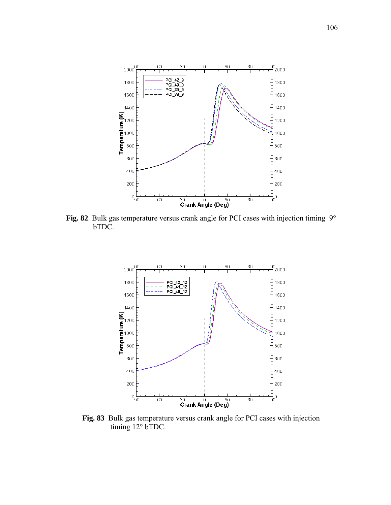

**Fig. 82** Bulk gas temperature versus crank angle for PCI cases with injection timing 9° bTDC.



**Fig. 83** Bulk gas temperature versus crank angle for PCI cases with injection timing 12° bTDC.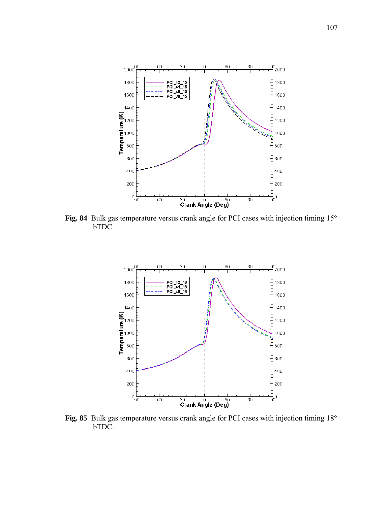

**Fig. 84** Bulk gas temperature versus crank angle for PCI cases with injection timing 15° bTDC.



**Fig. 85** Bulk gas temperature versus crank angle for PCI cases with injection timing 18° bTDC.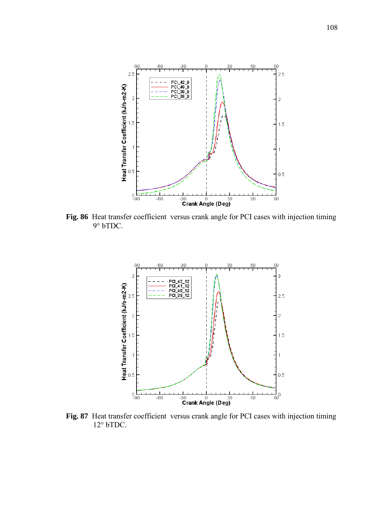

**Fig. 86** Heat transfer coefficient versus crank angle for PCI cases with injection timing 9° bTDC.



**Fig. 87** Heat transfer coefficient versus crank angle for PCI cases with injection timing 12° bTDC.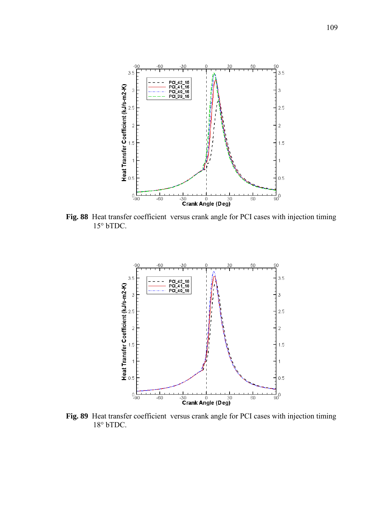

**Fig. 88** Heat transfer coefficient versus crank angle for PCI cases with injection timing 15° bTDC.



**Fig. 89** Heat transfer coefficient versus crank angle for PCI cases with injection timing 18° bTDC.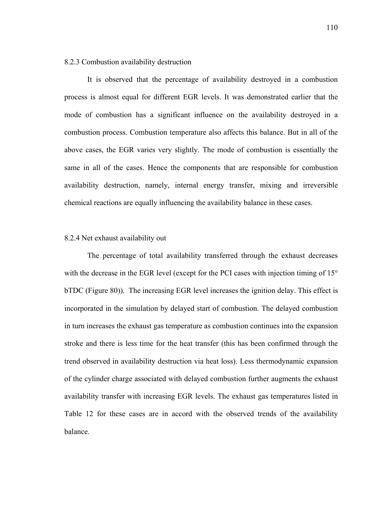#### 8.2.3 Combustion availability destruction

It is observed that the percentage of availability destroyed in a combustion process is almost equal for different EGR levels. It was demonstrated earlier that the mode of combustion has a significant influence on the availability destroyed in a combustion process. Combustion temperature also affects this balance. But in all of the above cases, the EGR varies very slightly. The mode of combustion is essentially the same in all of the cases. Hence the components that are responsible for combustion availability destruction, namely, internal energy transfer, mixing and irreversible chemical reactions are equally influencing the availability balance in these cases.

## 8.2.4 Net exhaust availability out

The percentage of total availability transferred through the exhaust decreases with the decrease in the EGR level (except for the PCI cases with injection timing of 15° bTDC (Figure 80)). The increasing EGR level increases the ignition delay. This effect is incorporated in the simulation by delayed start of combustion. The delayed combustion in turn increases the exhaust gas temperature as combustion continues into the expansion stroke and there is less time for the heat transfer (this has been confirmed through the trend observed in availability destruction via heat loss). Less thermodynamic expansion of the cylinder charge associated with delayed combustion further augments the exhaust availability transfer with increasing EGR levels. The exhaust gas temperatures listed in Table 12 for these cases are in accord with the observed trends of the availability balance.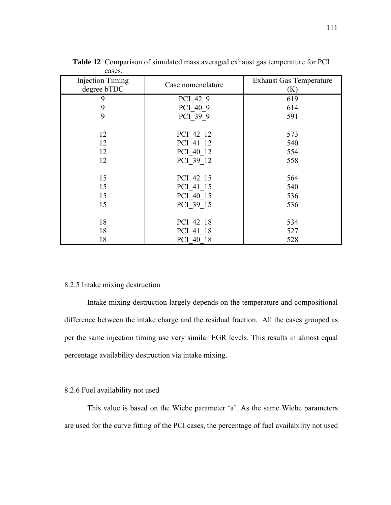| <b>Injection Timing</b><br>degree bTDC | Case nomenclature | <b>Exhaust Gas Temperature</b><br>(K) |
|----------------------------------------|-------------------|---------------------------------------|
| 9                                      | PCI 42 9          | 619                                   |
| 9                                      | PCI 40 9          | 614                                   |
| 9                                      | PCI 39 9          | 591                                   |
| 12                                     | PCI 42 12         | 573                                   |
| 12                                     | PCI 41 12         | 540                                   |
| 12                                     | PCI 40 12         | 554                                   |
| 12                                     | PCI 39 12         | 558                                   |
| 15                                     | PCI 42 15         | 564                                   |
| 15                                     | PCI 41 15         | 540                                   |
| 15                                     | PCI 40 15         | 536                                   |
| 15                                     | PCI 39 15         | 536                                   |
| 18                                     | PCI 42 18         | 534                                   |
| 18                                     | PCI 41 18         | 527                                   |
| 18                                     | PCI 40 18         | 528                                   |

**Table 12** Comparison of simulated mass averaged exhaust gas temperature for PCI cases.

## 8.2.5 Intake mixing destruction

Intake mixing destruction largely depends on the temperature and compositional difference between the intake charge and the residual fraction. All the cases grouped as per the same injection timing use very similar EGR levels. This results in almost equal percentage availability destruction via intake mixing.

## 8.2.6 Fuel availability not used

This value is based on the Wiebe parameter 'a'. As the same Wiebe parameters are used for the curve fitting of the PCI cases, the percentage of fuel availability not used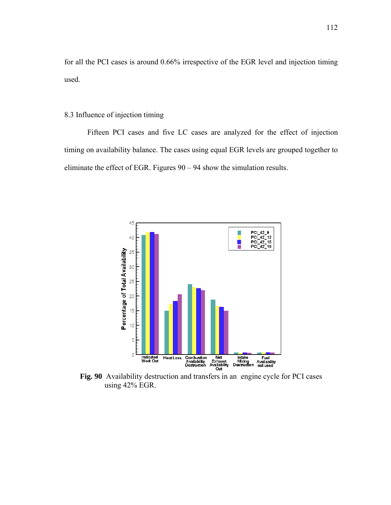for all the PCI cases is around 0.66% irrespective of the EGR level and injection timing used.

## 8.3 Influence of injection timing

Fifteen PCI cases and five LC cases are analyzed for the effect of injection timing on availability balance. The cases using equal EGR levels are grouped together to eliminate the effect of EGR. Figures 90 – 94 show the simulation results.



**Fig. 90** Availability destruction and transfers in an engine cycle for PCI cases using 42% EGR.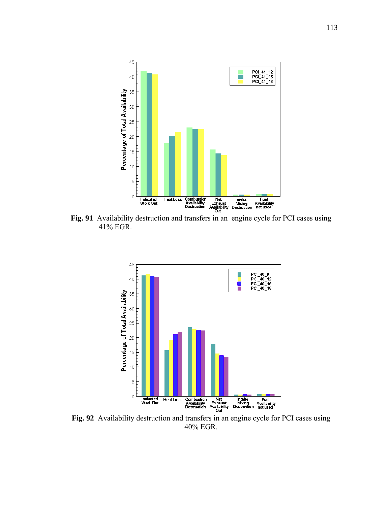

**Fig. 91** Availability destruction and transfers in an engine cycle for PCI cases using 41% EGR.



**Fig. 92** Availability destruction and transfers in an engine cycle for PCI cases using 40% EGR.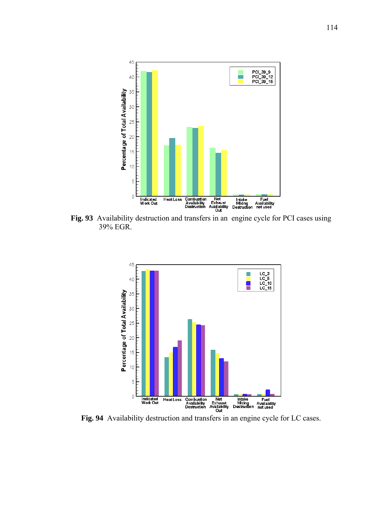

**Fig. 93** Availability destruction and transfers in an engine cycle for PCI cases using 39% EGR.



**Fig. 94** Availability destruction and transfers in an engine cycle for LC cases.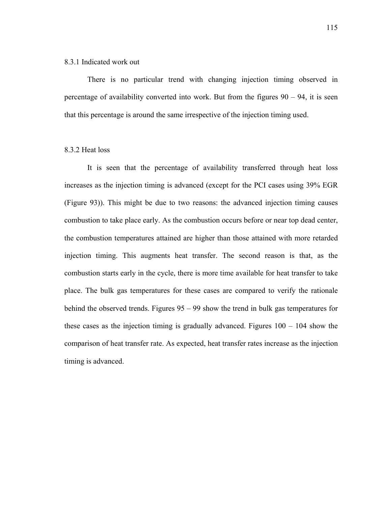#### 8.3.1 Indicated work out

There is no particular trend with changing injection timing observed in percentage of availability converted into work. But from the figures  $90 - 94$ , it is seen that this percentage is around the same irrespective of the injection timing used.

## 8.3.2 Heat loss

It is seen that the percentage of availability transferred through heat loss increases as the injection timing is advanced (except for the PCI cases using 39% EGR (Figure 93)). This might be due to two reasons: the advanced injection timing causes combustion to take place early. As the combustion occurs before or near top dead center, the combustion temperatures attained are higher than those attained with more retarded injection timing. This augments heat transfer. The second reason is that, as the combustion starts early in the cycle, there is more time available for heat transfer to take place. The bulk gas temperatures for these cases are compared to verify the rationale behind the observed trends. Figures 95 – 99 show the trend in bulk gas temperatures for these cases as the injection timing is gradually advanced. Figures 100 – 104 show the comparison of heat transfer rate. As expected, heat transfer rates increase as the injection timing is advanced.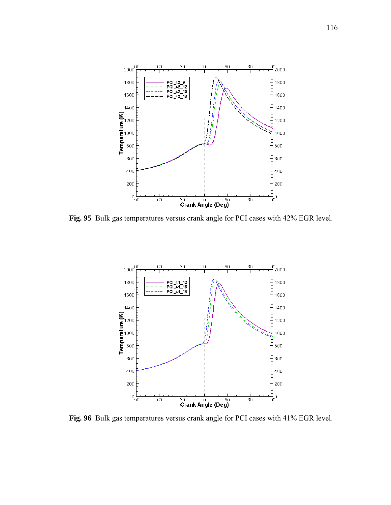

**Fig. 95** Bulk gas temperatures versus crank angle for PCI cases with 42% EGR level.



**Fig. 96** Bulk gas temperatures versus crank angle for PCI cases with 41% EGR level.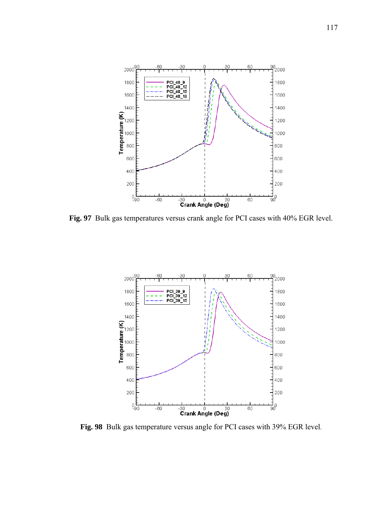

**Fig. 97** Bulk gas temperatures versus crank angle for PCI cases with 40% EGR level.



**Fig. 98** Bulk gas temperature versus angle for PCI cases with 39% EGR level.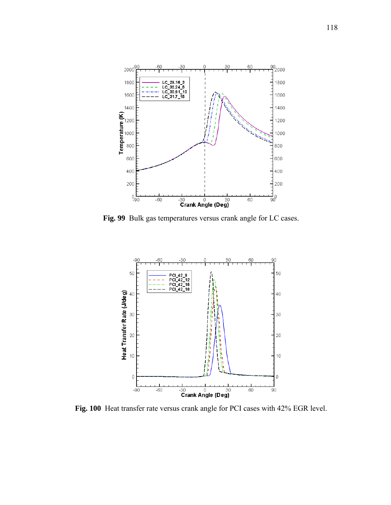

**Fig. 99** Bulk gas temperatures versus crank angle for LC cases.



**Fig. 100** Heat transfer rate versus crank angle for PCI cases with 42% EGR level.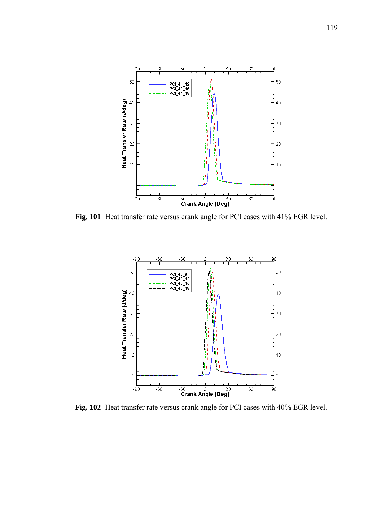

**Fig. 101** Heat transfer rate versus crank angle for PCI cases with 41% EGR level.



**Fig. 102** Heat transfer rate versus crank angle for PCI cases with 40% EGR level.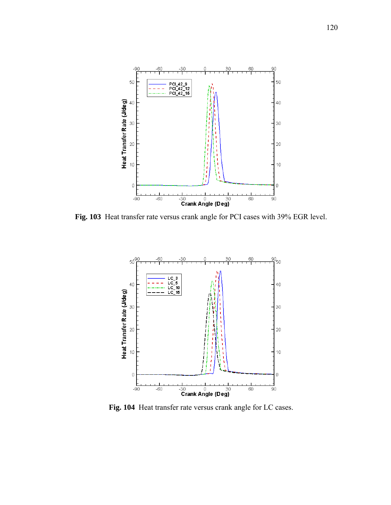

**Fig. 103** Heat transfer rate versus crank angle for PCI cases with 39% EGR level.



**Fig. 104** Heat transfer rate versus crank angle for LC cases.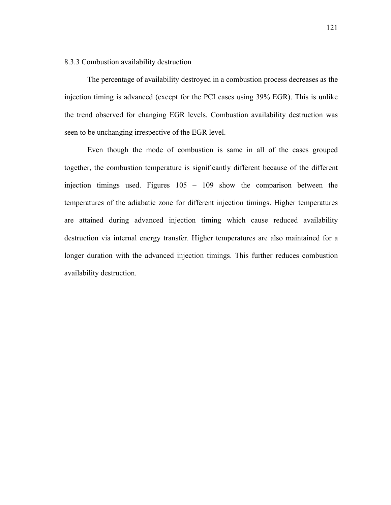## 8.3.3 Combustion availability destruction

The percentage of availability destroyed in a combustion process decreases as the injection timing is advanced (except for the PCI cases using 39% EGR). This is unlike the trend observed for changing EGR levels. Combustion availability destruction was seen to be unchanging irrespective of the EGR level.

Even though the mode of combustion is same in all of the cases grouped together, the combustion temperature is significantly different because of the different injection timings used. Figures 105 – 109 show the comparison between the temperatures of the adiabatic zone for different injection timings. Higher temperatures are attained during advanced injection timing which cause reduced availability destruction via internal energy transfer. Higher temperatures are also maintained for a longer duration with the advanced injection timings. This further reduces combustion availability destruction.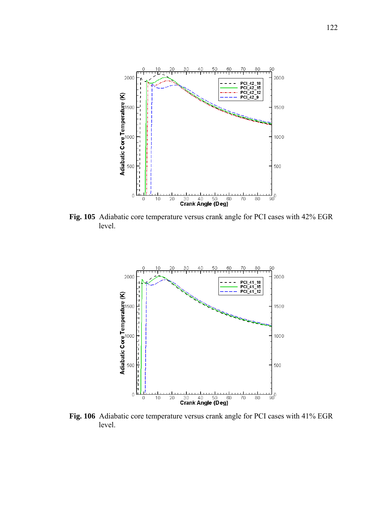

**Fig. 105** Adiabatic core temperature versus crank angle for PCI cases with 42% EGR level.



**Fig. 106** Adiabatic core temperature versus crank angle for PCI cases with 41% EGR level.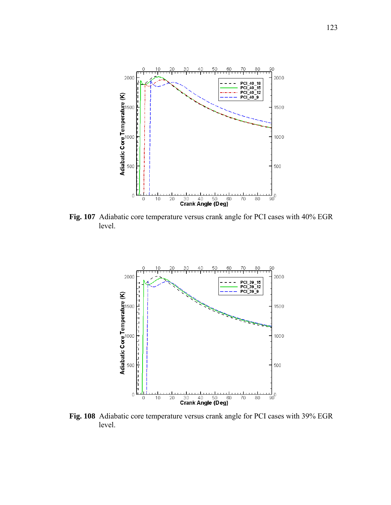

**Fig. 107** Adiabatic core temperature versus crank angle for PCI cases with 40% EGR level.



**Fig. 108** Adiabatic core temperature versus crank angle for PCI cases with 39% EGR level.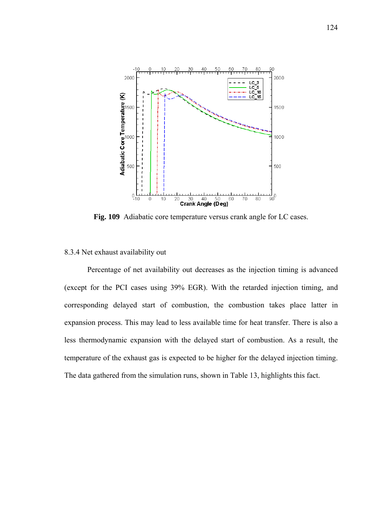

**Fig. 109** Adiabatic core temperature versus crank angle for LC cases.

## 8.3.4 Net exhaust availability out

Percentage of net availability out decreases as the injection timing is advanced (except for the PCI cases using 39% EGR). With the retarded injection timing, and corresponding delayed start of combustion, the combustion takes place latter in expansion process. This may lead to less available time for heat transfer. There is also a less thermodynamic expansion with the delayed start of combustion. As a result, the temperature of the exhaust gas is expected to be higher for the delayed injection timing. The data gathered from the simulation runs, shown in Table 13, highlights this fact.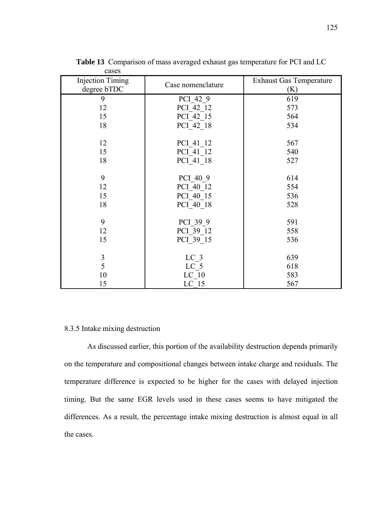| <b>Injection Timing</b><br>degree bTDC | Case nomenclature | <b>Exhaust Gas Temperature</b><br>(K) |
|----------------------------------------|-------------------|---------------------------------------|
| 9                                      | PCI 42 9          | 619                                   |
| 12                                     | PCI 42 12         | 573                                   |
| 15                                     | PCI 42 15         | 564                                   |
| 18                                     | PCI 42 18         | 534                                   |
| 12                                     | PCI 41 12         | 567                                   |
| 15                                     | PCI 41 12         | 540                                   |
| 18                                     | PCI 41 18         | 527                                   |
|                                        |                   |                                       |
| 9                                      | PCI 40 9          | 614                                   |
| 12                                     | PCI 40 12         | 554                                   |
| 15                                     | PCI 40 15         | 536                                   |
| 18                                     | PCI 40 18         | 528                                   |
| 9                                      | PCI 39 9          | 591                                   |
| 12                                     | PCI 39 12         | 558                                   |
| 15                                     | PCI 39 15         | 536                                   |
| 3                                      | LC <sub>3</sub>   | 639                                   |
| 5                                      | LC <sub>5</sub>   | 618                                   |
| 10                                     | LC <sub>10</sub>  | 583                                   |
| 15                                     | LC <sub>15</sub>  | 567                                   |

**Table 13** Comparison of mass averaged exhaust gas temperature for PCI and LC cases

# 8.3.5 Intake mixing destruction

As discussed earlier, this portion of the availability destruction depends primarily on the temperature and compositional changes between intake charge and residuals. The temperature difference is expected to be higher for the cases with delayed injection timing. But the same EGR levels used in these cases seems to have mitigated the differences. As a result, the percentage intake mixing destruction is almost equal in all the cases.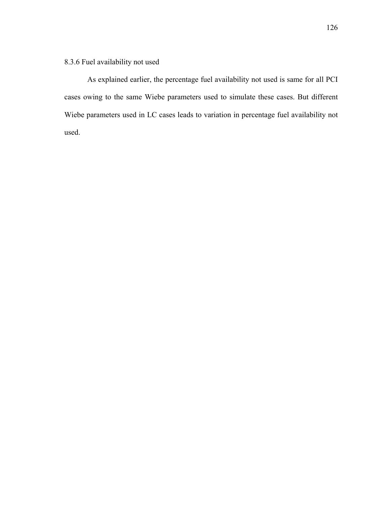8.3.6 Fuel availability not used

As explained earlier, the percentage fuel availability not used is same for all PCI cases owing to the same Wiebe parameters used to simulate these cases. But different Wiebe parameters used in LC cases leads to variation in percentage fuel availability not used.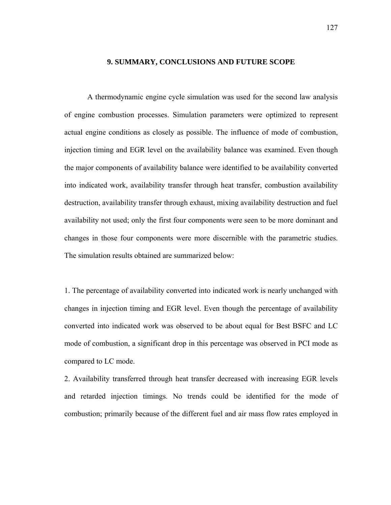#### **9. SUMMARY, CONCLUSIONS AND FUTURE SCOPE**

A thermodynamic engine cycle simulation was used for the second law analysis of engine combustion processes. Simulation parameters were optimized to represent actual engine conditions as closely as possible. The influence of mode of combustion, injection timing and EGR level on the availability balance was examined. Even though the major components of availability balance were identified to be availability converted into indicated work, availability transfer through heat transfer, combustion availability destruction, availability transfer through exhaust, mixing availability destruction and fuel availability not used; only the first four components were seen to be more dominant and changes in those four components were more discernible with the parametric studies. The simulation results obtained are summarized below:

1. The percentage of availability converted into indicated work is nearly unchanged with changes in injection timing and EGR level. Even though the percentage of availability converted into indicated work was observed to be about equal for Best BSFC and LC mode of combustion, a significant drop in this percentage was observed in PCI mode as compared to LC mode.

2. Availability transferred through heat transfer decreased with increasing EGR levels and retarded injection timings. No trends could be identified for the mode of combustion; primarily because of the different fuel and air mass flow rates employed in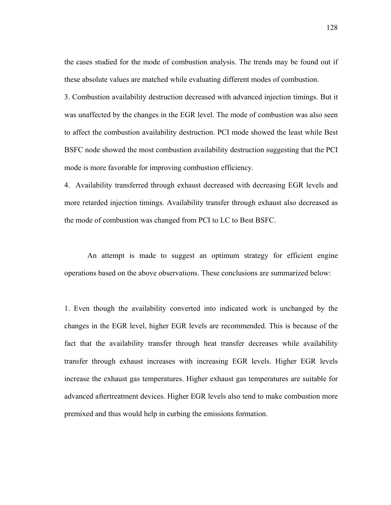the cases studied for the mode of combustion analysis. The trends may be found out if these absolute values are matched while evaluating different modes of combustion.

3. Combustion availability destruction decreased with advanced injection timings. But it was unaffected by the changes in the EGR level. The mode of combustion was also seen to affect the combustion availability destruction. PCI mode showed the least while Best BSFC node showed the most combustion availability destruction suggesting that the PCI mode is more favorable for improving combustion efficiency.

4. Availability transferred through exhaust decreased with decreasing EGR levels and more retarded injection timings. Availability transfer through exhaust also decreased as the mode of combustion was changed from PCI to LC to Best BSFC.

An attempt is made to suggest an optimum strategy for efficient engine operations based on the above observations. These conclusions are summarized below:

1. Even though the availability converted into indicated work is unchanged by the changes in the EGR level, higher EGR levels are recommended. This is because of the fact that the availability transfer through heat transfer decreases while availability transfer through exhaust increases with increasing EGR levels. Higher EGR levels increase the exhaust gas temperatures. Higher exhaust gas temperatures are suitable for advanced aftertreatment devices. Higher EGR levels also tend to make combustion more premixed and thus would help in curbing the emissions formation.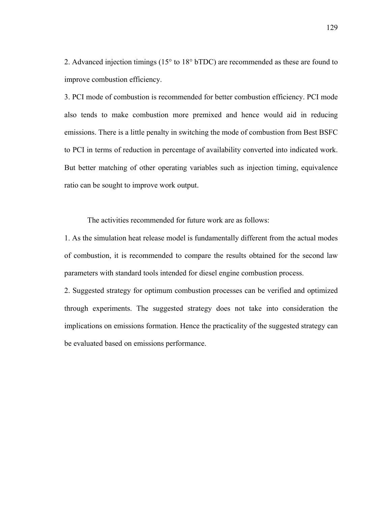2. Advanced injection timings (15° to 18° bTDC) are recommended as these are found to improve combustion efficiency.

3. PCI mode of combustion is recommended for better combustion efficiency. PCI mode also tends to make combustion more premixed and hence would aid in reducing emissions. There is a little penalty in switching the mode of combustion from Best BSFC to PCI in terms of reduction in percentage of availability converted into indicated work. But better matching of other operating variables such as injection timing, equivalence ratio can be sought to improve work output.

The activities recommended for future work are as follows:

1. As the simulation heat release model is fundamentally different from the actual modes of combustion, it is recommended to compare the results obtained for the second law parameters with standard tools intended for diesel engine combustion process.

2. Suggested strategy for optimum combustion processes can be verified and optimized through experiments. The suggested strategy does not take into consideration the implications on emissions formation. Hence the practicality of the suggested strategy can be evaluated based on emissions performance.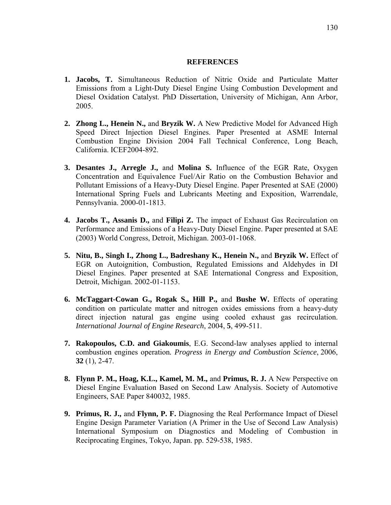## **REFERENCES**

- **1. Jacobs, T.** Simultaneous Reduction of Nitric Oxide and Particulate Matter Emissions from a Light-Duty Diesel Engine Using Combustion Development and Diesel Oxidation Catalyst. PhD Dissertation, University of Michigan, Ann Arbor, 2005.
- **2. Zhong L., Henein N.,** and **Bryzik W.** A New Predictive Model for Advanced High Speed Direct Injection Diesel Engines. Paper Presented at ASME Internal Combustion Engine Division 2004 Fall Technical Conference, Long Beach, California. ICEF2004-892.
- **3. Desantes J., Arregle J.,** and **Molina S.** Influence of the EGR Rate, Oxygen Concentration and Equivalence Fuel/Air Ratio on the Combustion Behavior and Pollutant Emissions of a Heavy-Duty Diesel Engine. Paper Presented at SAE (2000) International Spring Fuels and Lubricants Meeting and Exposition, Warrendale, Pennsylvania. 2000-01-1813.
- **4. Jacobs T., Assanis D.,** and **Filipi Z.** The impact of Exhaust Gas Recirculation on Performance and Emissions of a Heavy-Duty Diesel Engine. Paper presented at SAE (2003) World Congress, Detroit, Michigan. 2003-01-1068.
- **5. Nitu, B., Singh I., Zhong L., Badreshany K., Henein N.,** and **Bryzik W.** Effect of EGR on Autoignition, Combustion, Regulated Emissions and Aldehydes in DI Diesel Engines. Paper presented at SAE International Congress and Exposition, Detroit, Michigan. 2002-01-1153.
- **6. McTaggart-Cowan G., Rogak S., Hill P.,** and **Bushe W.** Effects of operating condition on particulate matter and nitrogen oxides emissions from a heavy-duty direct injection natural gas engine using cooled exhaust gas recirculation. *International Journal of Engine Research*, 2004, **5**, 499-511.
- **7. Rakopoulos, C.D. and Giakoumis**, E.G. Second-law analyses applied to internal combustion engines operation*. Progress in Energy and Combustion Science*, 2006, **32** (1), 2-47.
- **8. Flynn P. M., Hoag, K.L., Kamel, M. M.,** and **Primus, R. J.** A New Perspective on Diesel Engine Evaluation Based on Second Law Analysis. Society of Automotive Engineers, SAE Paper 840032, 1985.
- **9. Primus, R. J.,** and **Flynn, P. F.** Diagnosing the Real Performance Impact of Diesel Engine Design Parameter Variation (A Primer in the Use of Second Law Analysis) International Symposium on Diagnostics and Modeling of Combustion in Reciprocating Engines, Tokyo, Japan. pp. 529-538, 1985.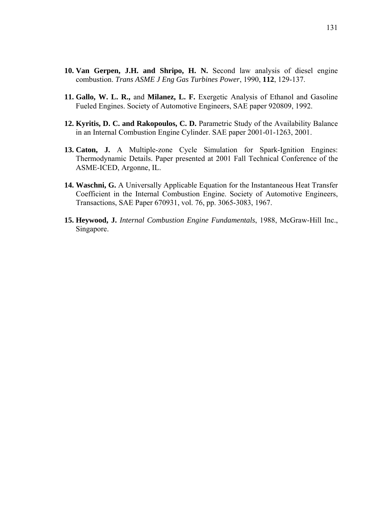- **10. Van Gerpen, J.H. and Shripo, H. N.** Second law analysis of diesel engine combustion. *Trans ASME J Eng Gas Turbines Power*, 1990, **112**, 129-137.
- **11. Gallo, W. L. R.,** and **Milanez, L. F.** Exergetic Analysis of Ethanol and Gasoline Fueled Engines. Society of Automotive Engineers, SAE paper 920809, 1992.
- **12. Kyritis, D. C. and Rakopoulos, C. D.** Parametric Study of the Availability Balance in an Internal Combustion Engine Cylinder. SAE paper 2001-01-1263, 2001.
- **13. Caton, J.** A Multiple-zone Cycle Simulation for Spark-Ignition Engines: Thermodynamic Details. Paper presented at 2001 Fall Technical Conference of the ASME-ICED, Argonne, IL.
- **14. Waschni, G.** A Universally Applicable Equation for the Instantaneous Heat Transfer Coefficient in the Internal Combustion Engine. Society of Automotive Engineers, Transactions, SAE Paper 670931, vol. 76, pp. 3065-3083, 1967.
- **15. Heywood, J.** *Internal Combustion Engine Fundamentals*, 1988, McGraw-Hill Inc., Singapore.